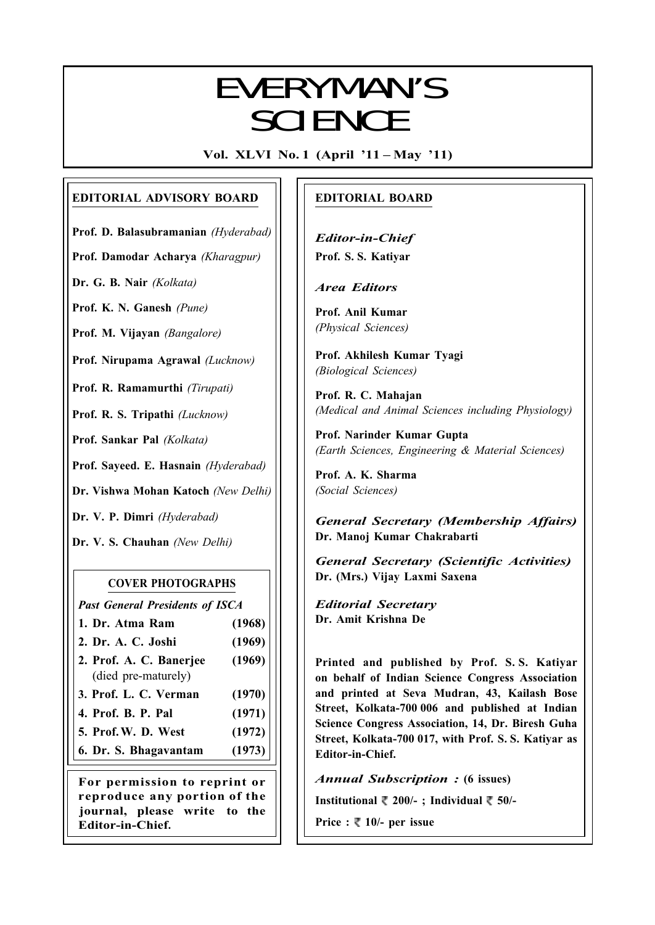# Everyman's Science VOL. XLVI NO. 1, April '11 — May '11 EVERYMAN'S **SCIENCE**

Vol. XLVI No. 1 (April '11 – May '11)

# EDITORIAL ADVISORY BOARD

Prof. D. Balasubramanian (Hyderabad)

Prof. Damodar Acharya (Kharagpur)

Dr. G. B. Nair (Kolkata)

Prof. K. N. Ganesh (Pune)

Prof. M. Vijayan (Bangalore)

Prof. Nirupama Agrawal (Lucknow)

Prof. R. Ramamurthi (Tirupati)

Prof. R. S. Tripathi (Lucknow)

Prof. Sankar Pal (Kolkata)

Prof. Sayeed. E. Hasnain (Hyderabad)

Dr. Vishwa Mohan Katoch (New Delhi)

Dr. V. P. Dimri (Hyderabad)

Dr. V. S. Chauhan (New Delhi)

# COVER PHOTOGRAPHS

Past General Presidents of ISCA

- 1. Dr. Atma Ram (1968)
- 2. Dr. A. C. Joshi (1969)
- 2. Prof. A. C. Banerjee (1969) (died pre-maturely)
- 3. Prof. L. C. Verman (1970)
- 4. Prof. B. P. Pal (1971)
- 5. Prof.W. D. West (1972)
- 6. Dr. S. Bhagavantam (1973)

For permission to reprint or reproduce any portion of the journal, please write to the Editor-in-Chief.

# EDITORIAL BOARD

Editor-in-Chief Prof. S. S. Katiyar

Area Editors

Prof. Anil Kumar (Physical Sciences)

Prof. Akhilesh Kumar Tyagi (Biological Sciences)

Prof. R. C. Mahajan (Medical and Animal Sciences including Physiology)

Prof. Narinder Kumar Gupta (Earth Sciences, Engineering & Material Sciences)

Prof. A. K. Sharma (Social Sciences)

General Secretary (Membership Affairs) Dr. Manoj Kumar Chakrabarti

General Secretary (Scientific Activities) Dr. (Mrs.) Vijay Laxmi Saxena

Editorial Secretary Dr. Amit Krishna De

Printed and published by Prof. S. S. Katiyar on behalf of Indian Science Congress Association and printed at Seva Mudran, 43, Kailash Bose Street, Kolkata-700 006 and published at Indian Science Congress Association, 14, Dr. Biresh Guha Street, Kolkata-700 017, with Prof. S. S. Katiyar as Editor-in-Chief.

Annual Subscription : (6 issues)

Institutional  $\sqrt[m]{200/-}$ ; Individual  $\sqrt[m]{50/-}$ 

Price :  $\sqrt[m]{ }$  10/- per issue

1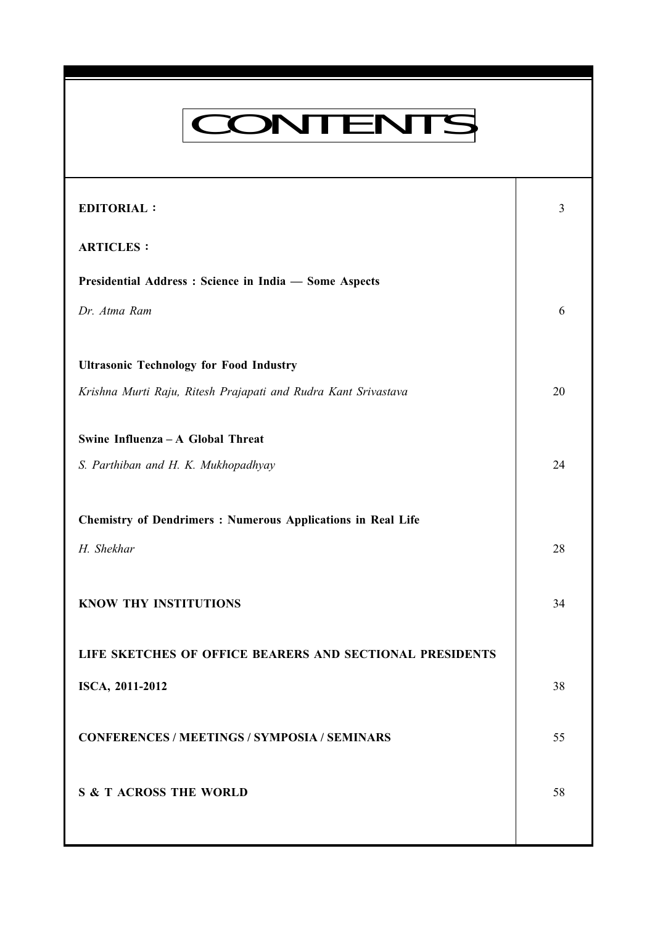# CONTENTS

Everyman's Science VOL. XLVI NO. 1, April '11 — May '11

| <b>EDITORIAL:</b>                                                  | 3  |
|--------------------------------------------------------------------|----|
| <b>ARTICLES:</b>                                                   |    |
| Presidential Address: Science in India - Some Aspects              |    |
| Dr. Atma Ram                                                       | 6  |
|                                                                    |    |
| <b>Ultrasonic Technology for Food Industry</b>                     |    |
| Krishna Murti Raju, Ritesh Prajapati and Rudra Kant Srivastava     | 20 |
| Swine Influenza - A Global Threat                                  |    |
|                                                                    |    |
| S. Parthiban and H. K. Mukhopadhyay                                | 24 |
| <b>Chemistry of Dendrimers: Numerous Applications in Real Life</b> |    |
| H. Shekhar                                                         | 28 |
|                                                                    |    |
| KNOW THY INSTITUTIONS                                              | 34 |
|                                                                    |    |
| LIFE SKETCHES OF OFFICE BEARERS AND SECTIONAL PRESIDENTS           |    |
| ISCA, 2011-2012                                                    | 38 |
|                                                                    |    |
| <b>CONFERENCES / MEETINGS / SYMPOSIA / SEMINARS</b>                | 55 |
| <b>S &amp; T ACROSS THE WORLD</b>                                  | 58 |
|                                                                    |    |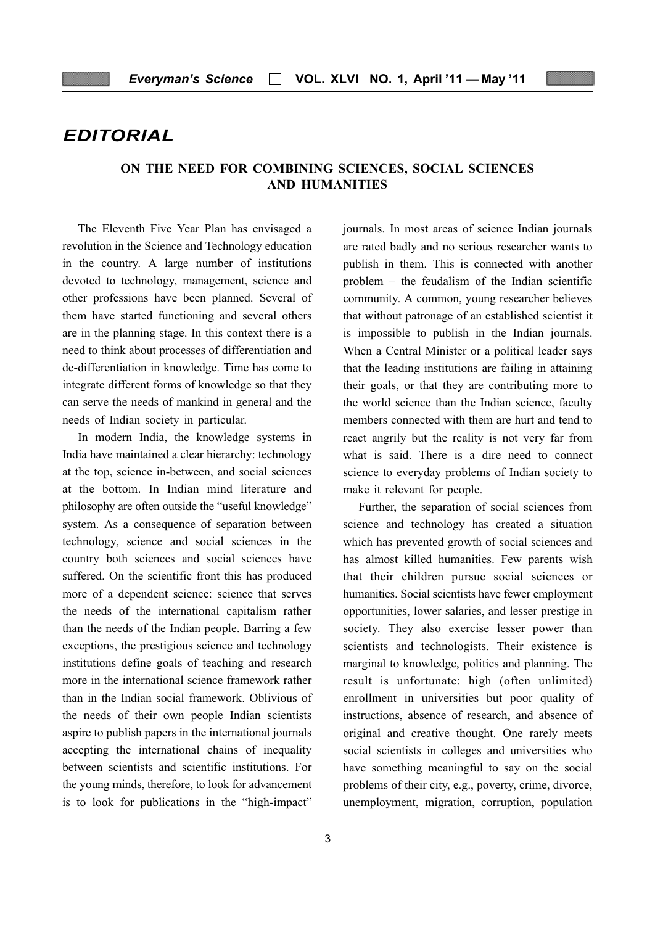# EDITORIAL

# ON THE NEED FOR COMBINING SCIENCES, SOCIAL SCIENCES AND HUMANITIES

The Eleventh Five Year Plan has envisaged a revolution in the Science and Technology education in the country. A large number of institutions devoted to technology, management, science and other professions have been planned. Several of them have started functioning and several others are in the planning stage. In this context there is a need to think about processes of differentiation and de-differentiation in knowledge. Time has come to integrate different forms of knowledge so that they can serve the needs of mankind in general and the needs of Indian society in particular.

In modern India, the knowledge systems in India have maintained a clear hierarchy: technology at the top, science in-between, and social sciences at the bottom. In Indian mind literature and philosophy are often outside the "useful knowledge" system. As a consequence of separation between technology, science and social sciences in the country both sciences and social sciences have suffered. On the scientific front this has produced more of a dependent science: science that serves the needs of the international capitalism rather than the needs of the Indian people. Barring a few exceptions, the prestigious science and technology institutions define goals of teaching and research more in the international science framework rather than in the Indian social framework. Oblivious of the needs of their own people Indian scientists aspire to publish papers in the international journals accepting the international chains of inequality between scientists and scientific institutions. For the young minds, therefore, to look for advancement is to look for publications in the "high-impact"

journals. In most areas of science Indian journals are rated badly and no serious researcher wants to publish in them. This is connected with another problem – the feudalism of the Indian scientific community. A common, young researcher believes that without patronage of an established scientist it is impossible to publish in the Indian journals. When a Central Minister or a political leader says that the leading institutions are failing in attaining their goals, or that they are contributing more to the world science than the Indian science, faculty members connected with them are hurt and tend to react angrily but the reality is not very far from what is said. There is a dire need to connect science to everyday problems of Indian society to make it relevant for people.

Further, the separation of social sciences from science and technology has created a situation which has prevented growth of social sciences and has almost killed humanities. Few parents wish that their children pursue social sciences or humanities. Social scientists have fewer employment opportunities, lower salaries, and lesser prestige in society. They also exercise lesser power than scientists and technologists. Their existence is marginal to knowledge, politics and planning. The result is unfortunate: high (often unlimited) enrollment in universities but poor quality of instructions, absence of research, and absence of original and creative thought. One rarely meets social scientists in colleges and universities who have something meaningful to say on the social problems of their city, e.g., poverty, crime, divorce, unemployment, migration, corruption, population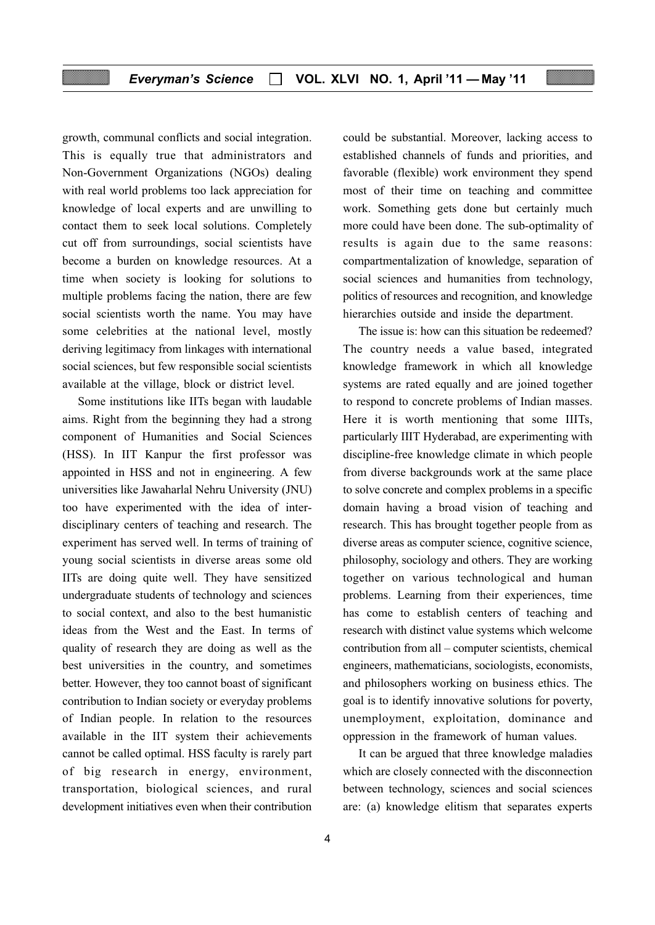growth, communal conflicts and social integration. This is equally true that administrators and Non-Government Organizations (NGOs) dealing with real world problems too lack appreciation for knowledge of local experts and are unwilling to contact them to seek local solutions. Completely cut off from surroundings, social scientists have become a burden on knowledge resources. At a time when society is looking for solutions to multiple problems facing the nation, there are few social scientists worth the name. You may have some celebrities at the national level, mostly deriving legitimacy from linkages with international social sciences, but few responsible social scientists available at the village, block or district level.

Some institutions like IITs began with laudable aims. Right from the beginning they had a strong component of Humanities and Social Sciences (HSS). In IIT Kanpur the first professor was appointed in HSS and not in engineering. A few universities like Jawaharlal Nehru University (JNU) too have experimented with the idea of interdisciplinary centers of teaching and research. The experiment has served well. In terms of training of young social scientists in diverse areas some old IITs are doing quite well. They have sensitized undergraduate students of technology and sciences to social context, and also to the best humanistic ideas from the West and the East. In terms of quality of research they are doing as well as the best universities in the country, and sometimes better. However, they too cannot boast of significant contribution to Indian society or everyday problems of Indian people. In relation to the resources available in the IIT system their achievements cannot be called optimal. HSS faculty is rarely part of big research in energy, environment, transportation, biological sciences, and rural development initiatives even when their contribution

could be substantial. Moreover, lacking access to established channels of funds and priorities, and favorable (flexible) work environment they spend most of their time on teaching and committee work. Something gets done but certainly much more could have been done. The sub-optimality of results is again due to the same reasons: compartmentalization of knowledge, separation of social sciences and humanities from technology, politics of resources and recognition, and knowledge hierarchies outside and inside the department.

The issue is: how can this situation be redeemed? The country needs a value based, integrated knowledge framework in which all knowledge systems are rated equally and are joined together to respond to concrete problems of Indian masses. Here it is worth mentioning that some IIITs, particularly IIIT Hyderabad, are experimenting with discipline-free knowledge climate in which people from diverse backgrounds work at the same place to solve concrete and complex problems in a specific domain having a broad vision of teaching and research. This has brought together people from as diverse areas as computer science, cognitive science, philosophy, sociology and others. They are working together on various technological and human problems. Learning from their experiences, time has come to establish centers of teaching and research with distinct value systems which welcome contribution from all – computer scientists, chemical engineers, mathematicians, sociologists, economists, and philosophers working on business ethics. The goal is to identify innovative solutions for poverty, unemployment, exploitation, dominance and oppression in the framework of human values.

It can be argued that three knowledge maladies which are closely connected with the disconnection between technology, sciences and social sciences are: (a) knowledge elitism that separates experts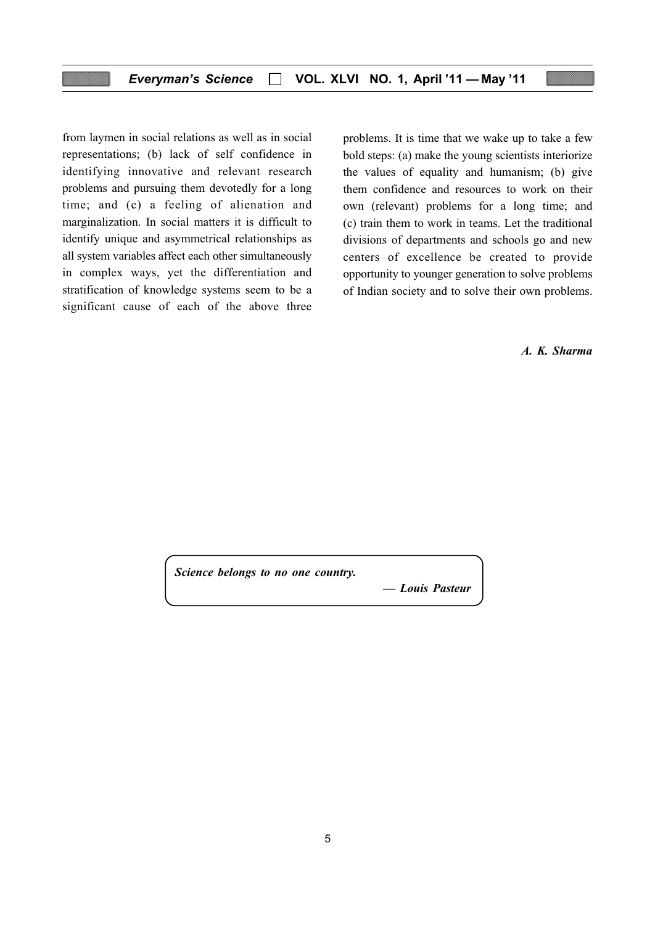from laymen in social relations as well as in social representations; (b) lack of self confidence in identifying innovative and relevant research problems and pursuing them devotedly for a long time; and (c) a feeling of alienation and marginalization. In social matters it is difficult to identify unique and asymmetrical relationships as all system variables affect each other simultaneously in complex ways, yet the differentiation and stratification of knowledge systems seem to be a significant cause of each of the above three

problems. It is time that we wake up to take a few bold steps: (a) make the young scientists interiorize the values of equality and humanism; (b) give them confidence and resources to work on their own (relevant) problems for a long time; and (c) train them to work in teams. Let the traditional divisions of departments and schools go and new centers of excellence be created to provide opportunity to younger generation to solve problems of Indian society and to solve their own problems.

A. K. Sharma

Science belongs to no one country.

— Louis Pasteur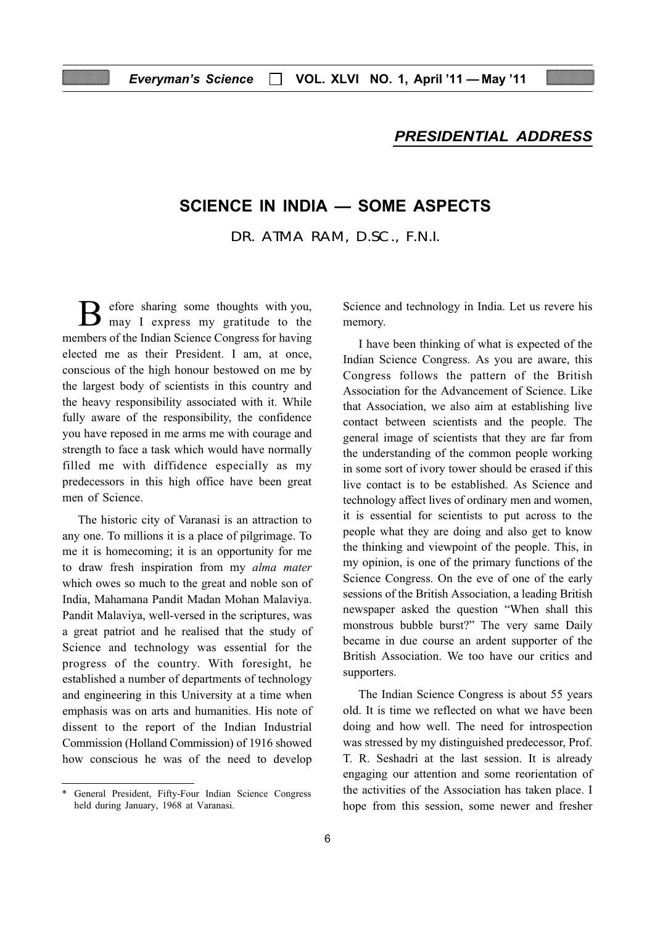# PRESIDENTIAL ADDRESS

# SCIENCE IN INDIA — SOME ASPECTS

DR. ATMA RAM, D.SC., F.N.I.

efore sharing some thoughts with you, may I express my gratitude to the members of the Indian Science Congress for having elected me as their President. I am, at once, conscious of the high honour bestowed on me by the largest body of scientists in this country and the heavy responsibility associated with it. While fully aware of the responsibility, the confidence you have reposed in me arms me with courage and strength to face a task which would have normally filled me with diffidence especially as my predecessors in this high office have been great men of Science.

The historic city of Varanasi is an attraction to any one. To millions it is a place of pilgrimage. To me it is homecoming; it is an opportunity for me to draw fresh inspiration from my alma mater which owes so much to the great and noble son of India, Mahamana Pandit Madan Mohan Malaviya. Pandit Malaviya, well-versed in the scriptures, was a great patriot and he realised that the study of Science and technology was essential for the progress of the country. With foresight, he established a number of departments of technology and engineering in this University at a time when emphasis was on arts and humanities. His note of dissent to the report of the Indian Industrial Commission (Holland Commission) of 1916 showed how conscious he was of the need to develop

Science and technology in India. Let us revere his memory.

I have been thinking of what is expected of the Indian Science Congress. As you are aware, this Congress follows the pattern of the British Association for the Advancement of Science. Like that Association, we also aim at establishing live contact between scientists and the people. The general image of scientists that they are far from the understanding of the common people working in some sort of ivory tower should be erased if this live contact is to be established. As Science and technology affect lives of ordinary men and women, it is essential for scientists to put across to the people what they are doing and also get to know the thinking and viewpoint of the people. This, in my opinion, is one of the primary functions of the Science Congress. On the eve of one of the early sessions of the British Association, a leading British newspaper asked the question "When shall this monstrous bubble burst?" The very same Daily became in due course an ardent supporter of the British Association. We too have our critics and supporters.

The Indian Science Congress is about 55 years old. It is time we reflected on what we have been doing and how well. The need for introspection was stressed by my distinguished predecessor, Prof. T. R. Seshadri at the last session. It is already engaging our attention and some reorientation of the activities of the Association has taken place. I hope from this session, some newer and fresher

General President, Fifty-Four Indian Science Congress held during January, 1968 at Varanasi.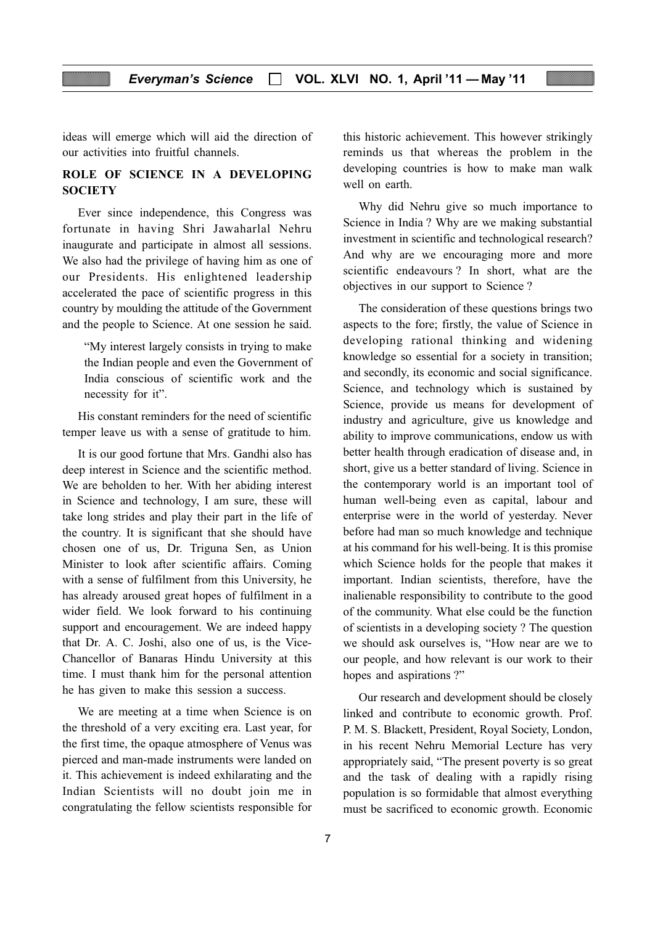ideas will emerge which will aid the direction of our activities into fruitful channels.

# ROLE OF SCIENCE IN A DEVELOPING **SOCIETY**

Ever since independence, this Congress was fortunate in having Shri Jawaharlal Nehru inaugurate and participate in almost all sessions. We also had the privilege of having him as one of our Presidents. His enlightened leadership accelerated the pace of scientific progress in this country by moulding the attitude of the Government and the people to Science. At one session he said.

"My interest largely consists in trying to make the Indian people and even the Government of India conscious of scientific work and the necessity for it".

His constant reminders for the need of scientific temper leave us with a sense of gratitude to him.

It is our good fortune that Mrs. Gandhi also has deep interest in Science and the scientific method. We are beholden to her. With her abiding interest in Science and technology, I am sure, these will take long strides and play their part in the life of the country. It is significant that she should have chosen one of us, Dr. Triguna Sen, as Union Minister to look after scientific affairs. Coming with a sense of fulfilment from this University, he has already aroused great hopes of fulfilment in a wider field. We look forward to his continuing support and encouragement. We are indeed happy that Dr. A. C. Joshi, also one of us, is the Vice-Chancellor of Banaras Hindu University at this time. I must thank him for the personal attention he has given to make this session a success.

We are meeting at a time when Science is on the threshold of a very exciting era. Last year, for the first time, the opaque atmosphere of Venus was pierced and man-made instruments were landed on it. This achievement is indeed exhilarating and the Indian Scientists will no doubt join me in congratulating the fellow scientists responsible for

this historic achievement. This however strikingly reminds us that whereas the problem in the developing countries is how to make man walk well on earth.

Why did Nehru give so much importance to Science in India ? Why are we making substantial investment in scientific and technological research? And why are we encouraging more and more scientific endeavours ? In short, what are the objectives in our support to Science ?

The consideration of these questions brings two aspects to the fore; firstly, the value of Science in developing rational thinking and widening knowledge so essential for a society in transition; and secondly, its economic and social significance. Science, and technology which is sustained by Science, provide us means for development of industry and agriculture, give us knowledge and ability to improve communications, endow us with better health through eradication of disease and, in short, give us a better standard of living. Science in the contemporary world is an important tool of human well-being even as capital, labour and enterprise were in the world of yesterday. Never before had man so much knowledge and technique at his command for his well-being. It is this promise which Science holds for the people that makes it important. Indian scientists, therefore, have the inalienable responsibility to contribute to the good of the community. What else could be the function of scientists in a developing society ? The question we should ask ourselves is, "How near are we to our people, and how relevant is our work to their hopes and aspirations ?"

Our research and development should be closely linked and contribute to economic growth. Prof. P. M. S. Blackett, President, Royal Society, London, in his recent Nehru Memorial Lecture has very appropriately said, "The present poverty is so great and the task of dealing with a rapidly rising population is so formidable that almost everything must be sacrificed to economic growth. Economic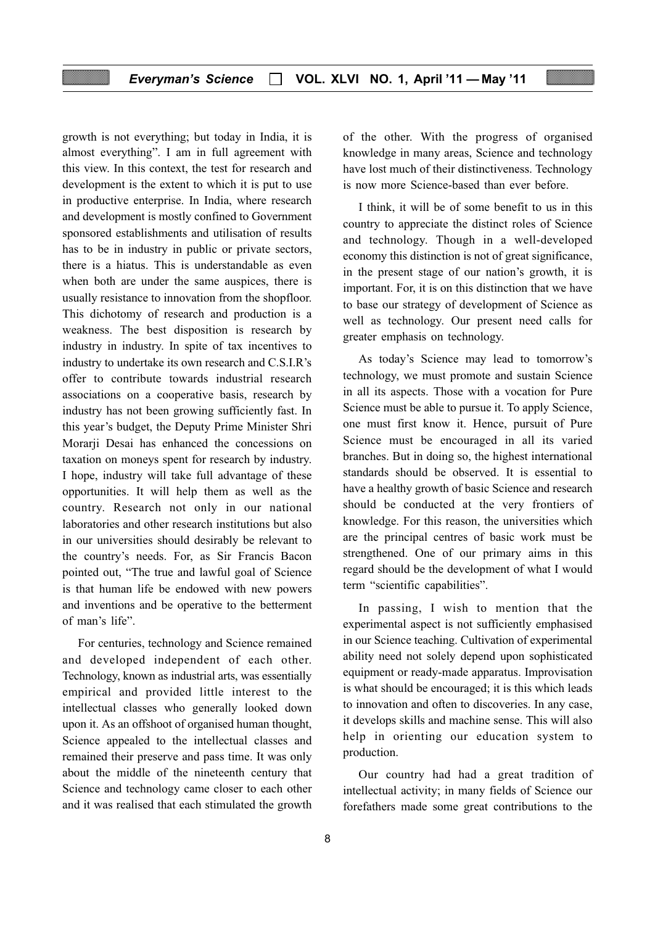growth is not everything; but today in India, it is almost everything". I am in full agreement with this view. In this context, the test for research and development is the extent to which it is put to use in productive enterprise. In India, where research and development is mostly confined to Government sponsored establishments and utilisation of results has to be in industry in public or private sectors, there is a hiatus. This is understandable as even when both are under the same auspices, there is usually resistance to innovation from the shopfloor. This dichotomy of research and production is a weakness. The best disposition is research by industry in industry. In spite of tax incentives to industry to undertake its own research and C.S.I.R's offer to contribute towards industrial research associations on a cooperative basis, research by industry has not been growing sufficiently fast. In this year's budget, the Deputy Prime Minister Shri Morarji Desai has enhanced the concessions on taxation on moneys spent for research by industry. I hope, industry will take full advantage of these opportunities. It will help them as well as the country. Research not only in our national laboratories and other research institutions but also in our universities should desirably be relevant to the country's needs. For, as Sir Francis Bacon pointed out, "The true and lawful goal of Science is that human life be endowed with new powers and inventions and be operative to the betterment of man's life".

For centuries, technology and Science remained and developed independent of each other. Technology, known as industrial arts, was essentially empirical and provided little interest to the intellectual classes who generally looked down upon it. As an offshoot of organised human thought, Science appealed to the intellectual classes and remained their preserve and pass time. It was only about the middle of the nineteenth century that Science and technology came closer to each other and it was realised that each stimulated the growth

of the other. With the progress of organised knowledge in many areas, Science and technology have lost much of their distinctiveness. Technology is now more Science-based than ever before.

I think, it will be of some benefit to us in this country to appreciate the distinct roles of Science and technology. Though in a well-developed economy this distinction is not of great significance, in the present stage of our nation's growth, it is important. For, it is on this distinction that we have to base our strategy of development of Science as well as technology. Our present need calls for greater emphasis on technology.

As today's Science may lead to tomorrow's technology, we must promote and sustain Science in all its aspects. Those with a vocation for Pure Science must be able to pursue it. To apply Science, one must first know it. Hence, pursuit of Pure Science must be encouraged in all its varied branches. But in doing so, the highest international standards should be observed. It is essential to have a healthy growth of basic Science and research should be conducted at the very frontiers of knowledge. For this reason, the universities which are the principal centres of basic work must be strengthened. One of our primary aims in this regard should be the development of what I would term "scientific capabilities".

In passing, I wish to mention that the experimental aspect is not sufficiently emphasised in our Science teaching. Cultivation of experimental ability need not solely depend upon sophisticated equipment or ready-made apparatus. Improvisation is what should be encouraged; it is this which leads to innovation and often to discoveries. In any case, it develops skills and machine sense. This will also help in orienting our education system to production.

Our country had had a great tradition of intellectual activity; in many fields of Science our forefathers made some great contributions to the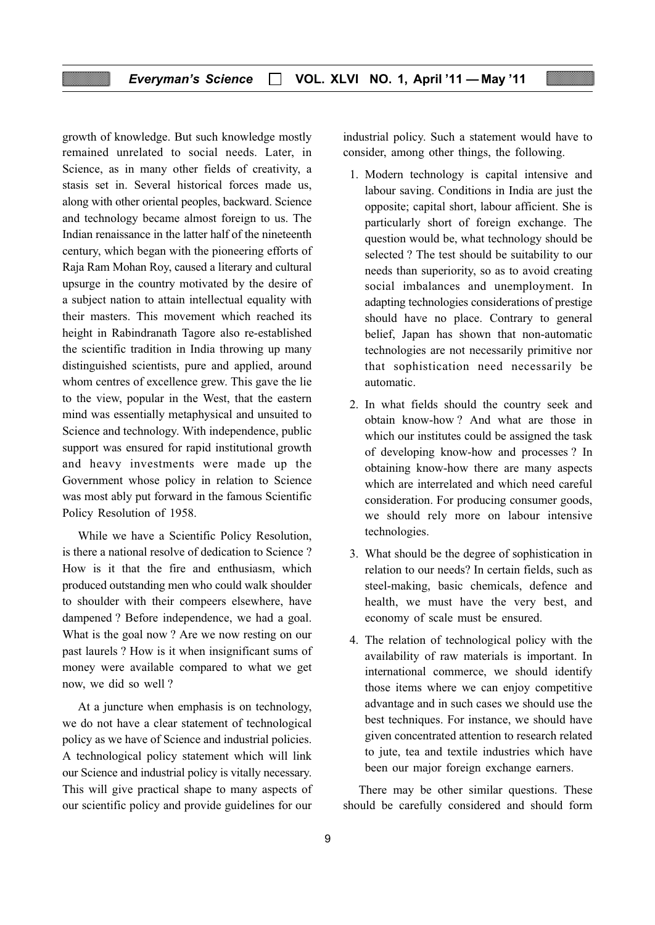growth of knowledge. But such knowledge mostly remained unrelated to social needs. Later, in Science, as in many other fields of creativity, a stasis set in. Several historical forces made us, along with other oriental peoples, backward. Science and technology became almost foreign to us. The Indian renaissance in the latter half of the nineteenth century, which began with the pioneering efforts of Raja Ram Mohan Roy, caused a literary and cultural upsurge in the country motivated by the desire of a subject nation to attain intellectual equality with their masters. This movement which reached its height in Rabindranath Tagore also re-established the scientific tradition in India throwing up many distinguished scientists, pure and applied, around whom centres of excellence grew. This gave the lie to the view, popular in the West, that the eastern mind was essentially metaphysical and unsuited to Science and technology. With independence, public support was ensured for rapid institutional growth and heavy investments were made up the Government whose policy in relation to Science was most ably put forward in the famous Scientific Policy Resolution of 1958.

While we have a Scientific Policy Resolution, is there a national resolve of dedication to Science ? How is it that the fire and enthusiasm, which produced outstanding men who could walk shoulder to shoulder with their compeers elsewhere, have dampened ? Before independence, we had a goal. What is the goal now ? Are we now resting on our past laurels ? How is it when insignificant sums of money were available compared to what we get now, we did so well ?

At a juncture when emphasis is on technology, we do not have a clear statement of technological policy as we have of Science and industrial policies. A technological policy statement which will link our Science and industrial policy is vitally necessary. This will give practical shape to many aspects of our scientific policy and provide guidelines for our

industrial policy. Such a statement would have to consider, among other things, the following.

- 1. Modern technology is capital intensive and labour saving. Conditions in India are just the opposite; capital short, labour afficient. She is particularly short of foreign exchange. The question would be, what technology should be selected ? The test should be suitability to our needs than superiority, so as to avoid creating social imbalances and unemployment. In adapting technologies considerations of prestige should have no place. Contrary to general belief, Japan has shown that non-automatic technologies are not necessarily primitive nor that sophistication need necessarily be automatic.
- 2. In what fields should the country seek and obtain know-how ? And what are those in which our institutes could be assigned the task of developing know-how and processes ? In obtaining know-how there are many aspects which are interrelated and which need careful consideration. For producing consumer goods, we should rely more on labour intensive technologies.
- 3. What should be the degree of sophistication in relation to our needs? In certain fields, such as steel-making, basic chemicals, defence and health, we must have the very best, and economy of scale must be ensured.
- 4. The relation of technological policy with the availability of raw materials is important. In international commerce, we should identify those items where we can enjoy competitive advantage and in such cases we should use the best techniques. For instance, we should have given concentrated attention to research related to jute, tea and textile industries which have been our major foreign exchange earners.

There may be other similar questions. These should be carefully considered and should form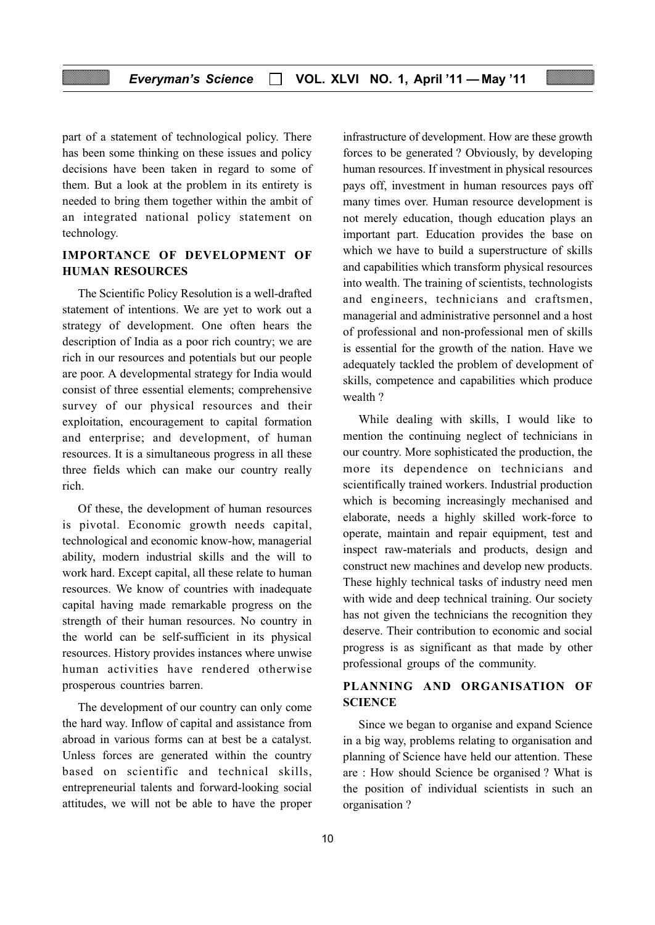part of a statement of technological policy. There has been some thinking on these issues and policy decisions have been taken in regard to some of them. But a look at the problem in its entirety is needed to bring them together within the ambit of an integrated national policy statement on technology.

# IMPORTANCE OF DEVELOPMENT OF HUMAN RESOURCES

The Scientific Policy Resolution is a well-drafted statement of intentions. We are yet to work out a strategy of development. One often hears the description of India as a poor rich country; we are rich in our resources and potentials but our people are poor. A developmental strategy for India would consist of three essential elements; comprehensive survey of our physical resources and their exploitation, encouragement to capital formation and enterprise; and development, of human resources. It is a simultaneous progress in all these three fields which can make our country really rich.

Of these, the development of human resources is pivotal. Economic growth needs capital, technological and economic know-how, managerial ability, modern industrial skills and the will to work hard. Except capital, all these relate to human resources. We know of countries with inadequate capital having made remarkable progress on the strength of their human resources. No country in the world can be self-sufficient in its physical resources. History provides instances where unwise human activities have rendered otherwise prosperous countries barren.

The development of our country can only come the hard way. Inflow of capital and assistance from abroad in various forms can at best be a catalyst. Unless forces are generated within the country based on scientific and technical skills, entrepreneurial talents and forward-looking social attitudes, we will not be able to have the proper infrastructure of development. How are these growth forces to be generated ? Obviously, by developing human resources. If investment in physical resources pays off, investment in human resources pays off many times over. Human resource development is not merely education, though education plays an important part. Education provides the base on which we have to build a superstructure of skills and capabilities which transform physical resources into wealth. The training of scientists, technologists and engineers, technicians and craftsmen, managerial and administrative personnel and a host of professional and non-professional men of skills is essential for the growth of the nation. Have we adequately tackled the problem of development of skills, competence and capabilities which produce wealth ?

While dealing with skills, I would like to mention the continuing neglect of technicians in our country. More sophisticated the production, the more its dependence on technicians and scientifically trained workers. Industrial production which is becoming increasingly mechanised and elaborate, needs a highly skilled work-force to operate, maintain and repair equipment, test and inspect raw-materials and products, design and construct new machines and develop new products. These highly technical tasks of industry need men with wide and deep technical training. Our society has not given the technicians the recognition they deserve. Their contribution to economic and social progress is as significant as that made by other professional groups of the community.

# PLANNING AND ORGANISATION OF **SCIENCE**

Since we began to organise and expand Science in a big way, problems relating to organisation and planning of Science have held our attention. These are : How should Science be organised ? What is the position of individual scientists in such an organisation ?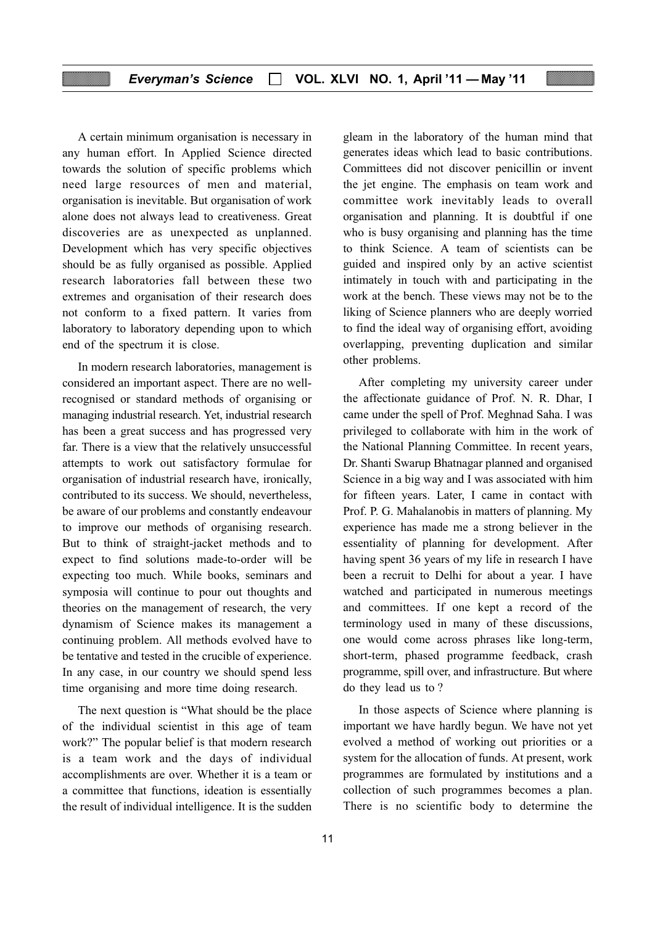### Everyman's Science  $\Box$  VOL. XLVI NO. 1, April '11 - May '11

A certain minimum organisation is necessary in any human effort. In Applied Science directed towards the solution of specific problems which need large resources of men and material, organisation is inevitable. But organisation of work alone does not always lead to creativeness. Great discoveries are as unexpected as unplanned. Development which has very specific objectives should be as fully organised as possible. Applied research laboratories fall between these two extremes and organisation of their research does not conform to a fixed pattern. It varies from laboratory to laboratory depending upon to which end of the spectrum it is close.

In modern research laboratories, management is considered an important aspect. There are no wellrecognised or standard methods of organising or managing industrial research. Yet, industrial research has been a great success and has progressed very far. There is a view that the relatively unsuccessful attempts to work out satisfactory formulae for organisation of industrial research have, ironically, contributed to its success. We should, nevertheless, be aware of our problems and constantly endeavour to improve our methods of organising research. But to think of straight-jacket methods and to expect to find solutions made-to-order will be expecting too much. While books, seminars and symposia will continue to pour out thoughts and theories on the management of research, the very dynamism of Science makes its management a continuing problem. All methods evolved have to be tentative and tested in the crucible of experience. In any case, in our country we should spend less time organising and more time doing research.

The next question is "What should be the place of the individual scientist in this age of team work?" The popular belief is that modern research is a team work and the days of individual accomplishments are over. Whether it is a team or a committee that functions, ideation is essentially the result of individual intelligence. It is the sudden

gleam in the laboratory of the human mind that generates ideas which lead to basic contributions. Committees did not discover penicillin or invent the jet engine. The emphasis on team work and committee work inevitably leads to overall organisation and planning. It is doubtful if one who is busy organising and planning has the time to think Science. A team of scientists can be guided and inspired only by an active scientist intimately in touch with and participating in the work at the bench. These views may not be to the liking of Science planners who are deeply worried to find the ideal way of organising effort, avoiding overlapping, preventing duplication and similar other problems.

After completing my university career under the affectionate guidance of Prof. N. R. Dhar, I came under the spell of Prof. Meghnad Saha. I was privileged to collaborate with him in the work of the National Planning Committee. In recent years, Dr. Shanti Swarup Bhatnagar planned and organised Science in a big way and I was associated with him for fifteen years. Later, I came in contact with Prof. P. G. Mahalanobis in matters of planning. My experience has made me a strong believer in the essentiality of planning for development. After having spent 36 years of my life in research I have been a recruit to Delhi for about a year. I have watched and participated in numerous meetings and committees. If one kept a record of the terminology used in many of these discussions, one would come across phrases like long-term, short-term, phased programme feedback, crash programme, spill over, and infrastructure. But where do they lead us to ?

In those aspects of Science where planning is important we have hardly begun. We have not yet evolved a method of working out priorities or a system for the allocation of funds. At present, work programmes are formulated by institutions and a collection of such programmes becomes a plan. There is no scientific body to determine the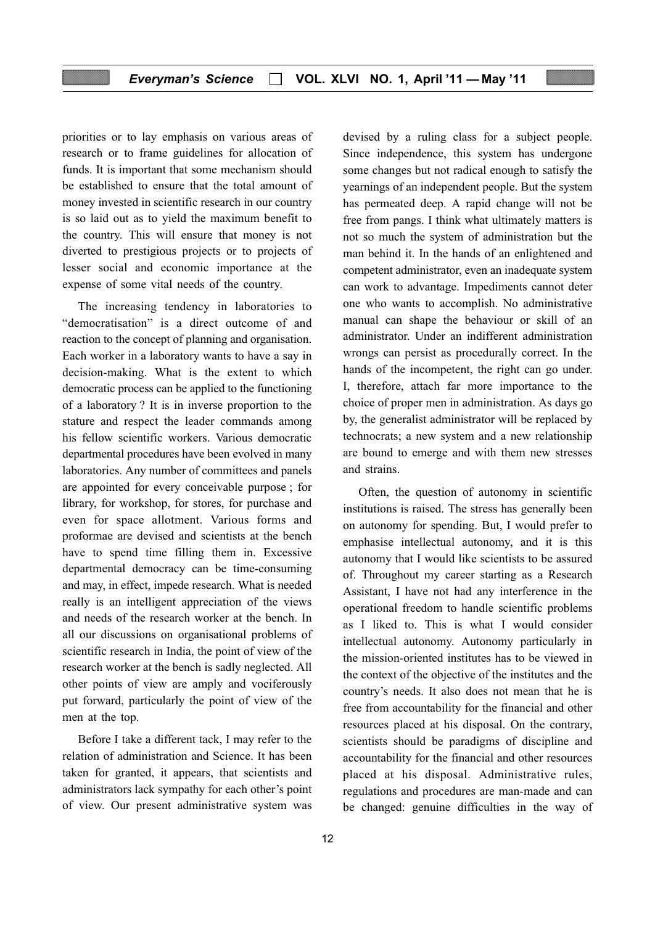priorities or to lay emphasis on various areas of research or to frame guidelines for allocation of funds. It is important that some mechanism should be established to ensure that the total amount of money invested in scientific research in our country is so laid out as to yield the maximum benefit to the country. This will ensure that money is not diverted to prestigious projects or to projects of lesser social and economic importance at the expense of some vital needs of the country.

The increasing tendency in laboratories to "democratisation" is a direct outcome of and reaction to the concept of planning and organisation. Each worker in a laboratory wants to have a say in decision-making. What is the extent to which democratic process can be applied to the functioning of a laboratory ? It is in inverse proportion to the stature and respect the leader commands among his fellow scientific workers. Various democratic departmental procedures have been evolved in many laboratories. Any number of committees and panels are appointed for every conceivable purpose ; for library, for workshop, for stores, for purchase and even for space allotment. Various forms and proformae are devised and scientists at the bench have to spend time filling them in. Excessive departmental democracy can be time-consuming and may, in effect, impede research. What is needed really is an intelligent appreciation of the views and needs of the research worker at the bench. In all our discussions on organisational problems of scientific research in India, the point of view of the research worker at the bench is sadly neglected. All other points of view are amply and vociferously put forward, particularly the point of view of the men at the top.

Before I take a different tack, I may refer to the relation of administration and Science. It has been taken for granted, it appears, that scientists and administrators lack sympathy for each other's point of view. Our present administrative system was

devised by a ruling class for a subject people. Since independence, this system has undergone some changes but not radical enough to satisfy the yearnings of an independent people. But the system has permeated deep. A rapid change will not be free from pangs. I think what ultimately matters is not so much the system of administration but the man behind it. In the hands of an enlightened and competent administrator, even an inadequate system can work to advantage. Impediments cannot deter one who wants to accomplish. No administrative manual can shape the behaviour or skill of an administrator. Under an indifferent administration wrongs can persist as procedurally correct. In the hands of the incompetent, the right can go under. I, therefore, attach far more importance to the choice of proper men in administration. As days go by, the generalist administrator will be replaced by technocrats; a new system and a new relationship are bound to emerge and with them new stresses and strains.

Often, the question of autonomy in scientific institutions is raised. The stress has generally been on autonomy for spending. But, I would prefer to emphasise intellectual autonomy, and it is this autonomy that I would like scientists to be assured of. Throughout my career starting as a Research Assistant, I have not had any interference in the operational freedom to handle scientific problems as I liked to. This is what I would consider intellectual autonomy. Autonomy particularly in the mission-oriented institutes has to be viewed in the context of the objective of the institutes and the country's needs. It also does not mean that he is free from accountability for the financial and other resources placed at his disposal. On the contrary, scientists should be paradigms of discipline and accountability for the financial and other resources placed at his disposal. Administrative rules, regulations and procedures are man-made and can be changed: genuine difficulties in the way of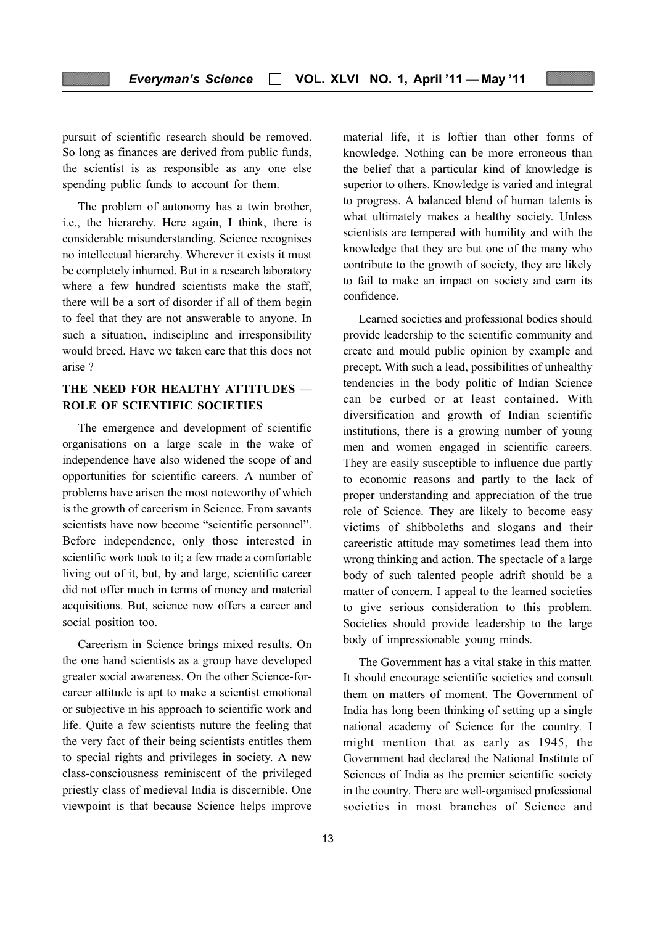pursuit of scientific research should be removed. So long as finances are derived from public funds, the scientist is as responsible as any one else spending public funds to account for them.

The problem of autonomy has a twin brother, i.e., the hierarchy. Here again, I think, there is considerable misunderstanding. Science recognises no intellectual hierarchy. Wherever it exists it must be completely inhumed. But in a research laboratory where a few hundred scientists make the staff, there will be a sort of disorder if all of them begin to feel that they are not answerable to anyone. In such a situation, indiscipline and irresponsibility would breed. Have we taken care that this does not arise ?

# THE NEED FOR HEALTHY ATTITUDES — ROLE OF SCIENTIFIC SOCIETIES

The emergence and development of scientific organisations on a large scale in the wake of independence have also widened the scope of and opportunities for scientific careers. A number of problems have arisen the most noteworthy of which is the growth of careerism in Science. From savants scientists have now become "scientific personnel". Before independence, only those interested in scientific work took to it; a few made a comfortable living out of it, but, by and large, scientific career did not offer much in terms of money and material acquisitions. But, science now offers a career and social position too.

Careerism in Science brings mixed results. On the one hand scientists as a group have developed greater social awareness. On the other Science-forcareer attitude is apt to make a scientist emotional or subjective in his approach to scientific work and life. Quite a few scientists nuture the feeling that the very fact of their being scientists entitles them to special rights and privileges in society. A new class-consciousness reminiscent of the privileged priestly class of medieval India is discernible. One viewpoint is that because Science helps improve

material life, it is loftier than other forms of knowledge. Nothing can be more erroneous than the belief that a particular kind of knowledge is superior to others. Knowledge is varied and integral to progress. A balanced blend of human talents is what ultimately makes a healthy society. Unless scientists are tempered with humility and with the knowledge that they are but one of the many who contribute to the growth of society, they are likely to fail to make an impact on society and earn its confidence.

Learned societies and professional bodies should provide leadership to the scientific community and create and mould public opinion by example and precept. With such a lead, possibilities of unhealthy tendencies in the body politic of Indian Science can be curbed or at least contained. With diversification and growth of Indian scientific institutions, there is a growing number of young men and women engaged in scientific careers. They are easily susceptible to influence due partly to economic reasons and partly to the lack of proper understanding and appreciation of the true role of Science. They are likely to become easy victims of shibboleths and slogans and their careeristic attitude may sometimes lead them into wrong thinking and action. The spectacle of a large body of such talented people adrift should be a matter of concern. I appeal to the learned societies to give serious consideration to this problem. Societies should provide leadership to the large body of impressionable young minds.

The Government has a vital stake in this matter. It should encourage scientific societies and consult them on matters of moment. The Government of India has long been thinking of setting up a single national academy of Science for the country. I might mention that as early as 1945, the Government had declared the National Institute of Sciences of India as the premier scientific society in the country. There are well-organised professional societies in most branches of Science and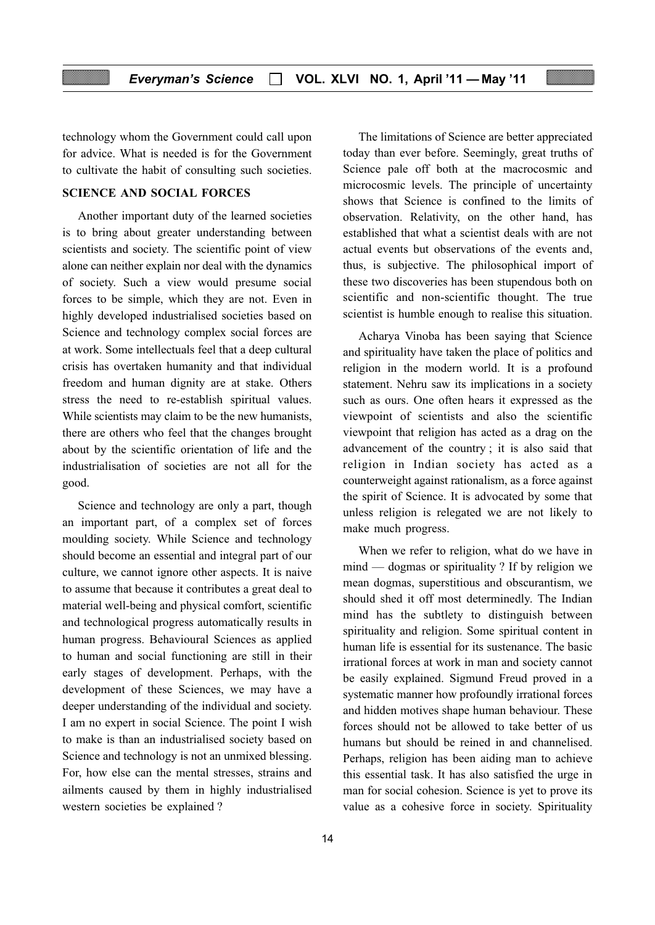technology whom the Government could call upon for advice. What is needed is for the Government to cultivate the habit of consulting such societies.

#### SCIENCE AND SOCIAL FORCES

Another important duty of the learned societies is to bring about greater understanding between scientists and society. The scientific point of view alone can neither explain nor deal with the dynamics of society. Such a view would presume social forces to be simple, which they are not. Even in highly developed industrialised societies based on Science and technology complex social forces are at work. Some intellectuals feel that a deep cultural crisis has overtaken humanity and that individual freedom and human dignity are at stake. Others stress the need to re-establish spiritual values. While scientists may claim to be the new humanists, there are others who feel that the changes brought about by the scientific orientation of life and the industrialisation of societies are not all for the good.

Science and technology are only a part, though an important part, of a complex set of forces moulding society. While Science and technology should become an essential and integral part of our culture, we cannot ignore other aspects. It is naive to assume that because it contributes a great deal to material well-being and physical comfort, scientific and technological progress automatically results in human progress. Behavioural Sciences as applied to human and social functioning are still in their early stages of development. Perhaps, with the development of these Sciences, we may have a deeper understanding of the individual and society. I am no expert in social Science. The point I wish to make is than an industrialised society based on Science and technology is not an unmixed blessing. For, how else can the mental stresses, strains and ailments caused by them in highly industrialised western societies be explained ?

The limitations of Science are better appreciated today than ever before. Seemingly, great truths of Science pale off both at the macrocosmic and microcosmic levels. The principle of uncertainty shows that Science is confined to the limits of observation. Relativity, on the other hand, has established that what a scientist deals with are not actual events but observations of the events and, thus, is subjective. The philosophical import of these two discoveries has been stupendous both on scientific and non-scientific thought. The true scientist is humble enough to realise this situation.

Acharya Vinoba has been saying that Science and spirituality have taken the place of politics and religion in the modern world. It is a profound statement. Nehru saw its implications in a society such as ours. One often hears it expressed as the viewpoint of scientists and also the scientific viewpoint that religion has acted as a drag on the advancement of the country ; it is also said that religion in Indian society has acted as a counterweight against rationalism, as a force against the spirit of Science. It is advocated by some that unless religion is relegated we are not likely to make much progress.

When we refer to religion, what do we have in mind — dogmas or spirituality ? If by religion we mean dogmas, superstitious and obscurantism, we should shed it off most determinedly. The Indian mind has the subtlety to distinguish between spirituality and religion. Some spiritual content in human life is essential for its sustenance. The basic irrational forces at work in man and society cannot be easily explained. Sigmund Freud proved in a systematic manner how profoundly irrational forces and hidden motives shape human behaviour. These forces should not be allowed to take better of us humans but should be reined in and channelised. Perhaps, religion has been aiding man to achieve this essential task. It has also satisfied the urge in man for social cohesion. Science is yet to prove its value as a cohesive force in society. Spirituality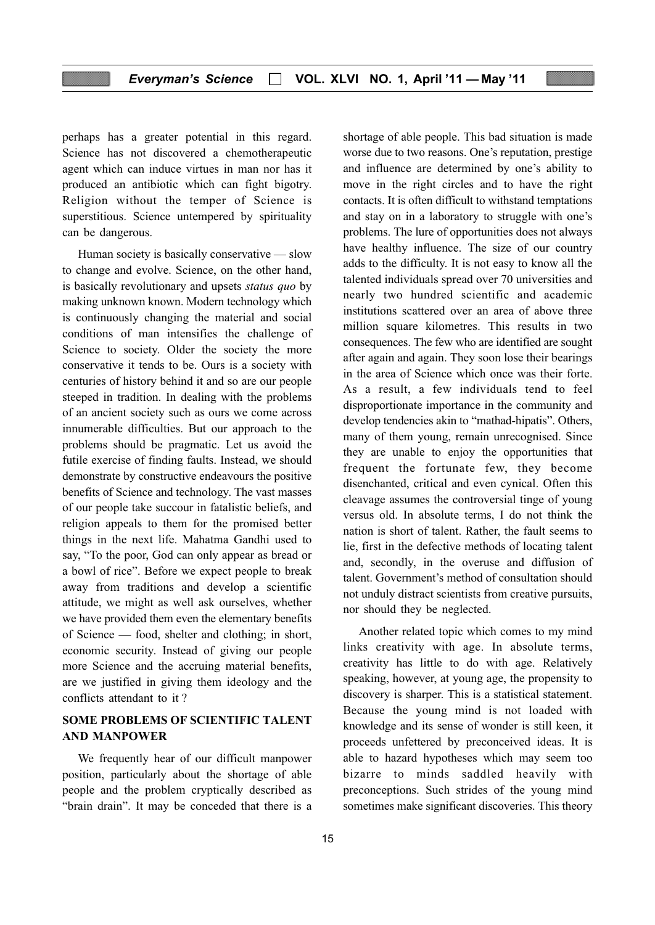perhaps has a greater potential in this regard. Science has not discovered a chemotherapeutic agent which can induce virtues in man nor has it produced an antibiotic which can fight bigotry. Religion without the temper of Science is superstitious. Science untempered by spirituality can be dangerous.

Human society is basically conservative — slow to change and evolve. Science, on the other hand, is basically revolutionary and upsets status quo by making unknown known. Modern technology which is continuously changing the material and social conditions of man intensifies the challenge of Science to society. Older the society the more conservative it tends to be. Ours is a society with centuries of history behind it and so are our people steeped in tradition. In dealing with the problems of an ancient society such as ours we come across innumerable difficulties. But our approach to the problems should be pragmatic. Let us avoid the futile exercise of finding faults. Instead, we should demonstrate by constructive endeavours the positive benefits of Science and technology. The vast masses of our people take succour in fatalistic beliefs, and religion appeals to them for the promised better things in the next life. Mahatma Gandhi used to say, "To the poor, God can only appear as bread or a bowl of rice". Before we expect people to break away from traditions and develop a scientific attitude, we might as well ask ourselves, whether we have provided them even the elementary benefits of Science — food, shelter and clothing; in short, economic security. Instead of giving our people more Science and the accruing material benefits, are we justified in giving them ideology and the conflicts attendant to it ?

# SOME PROBLEMS OF SCIENTIFIC TALENT AND MANPOWER

We frequently hear of our difficult manpower position, particularly about the shortage of able people and the problem cryptically described as "brain drain". It may be conceded that there is a

shortage of able people. This bad situation is made worse due to two reasons. One's reputation, prestige and influence are determined by one's ability to move in the right circles and to have the right contacts. It is often difficult to withstand temptations and stay on in a laboratory to struggle with one's problems. The lure of opportunities does not always have healthy influence. The size of our country adds to the difficulty. It is not easy to know all the talented individuals spread over 70 universities and nearly two hundred scientific and academic institutions scattered over an area of above three million square kilometres. This results in two consequences. The few who are identified are sought after again and again. They soon lose their bearings in the area of Science which once was their forte. As a result, a few individuals tend to feel disproportionate importance in the community and develop tendencies akin to "mathad-hipatis". Others, many of them young, remain unrecognised. Since they are unable to enjoy the opportunities that frequent the fortunate few, they become disenchanted, critical and even cynical. Often this cleavage assumes the controversial tinge of young versus old. In absolute terms, I do not think the nation is short of talent. Rather, the fault seems to lie, first in the defective methods of locating talent and, secondly, in the overuse and diffusion of talent. Government's method of consultation should not unduly distract scientists from creative pursuits, nor should they be neglected.

Another related topic which comes to my mind links creativity with age. In absolute terms, creativity has little to do with age. Relatively speaking, however, at young age, the propensity to discovery is sharper. This is a statistical statement. Because the young mind is not loaded with knowledge and its sense of wonder is still keen, it proceeds unfettered by preconceived ideas. It is able to hazard hypotheses which may seem too bizarre to minds saddled heavily with preconceptions. Such strides of the young mind sometimes make significant discoveries. This theory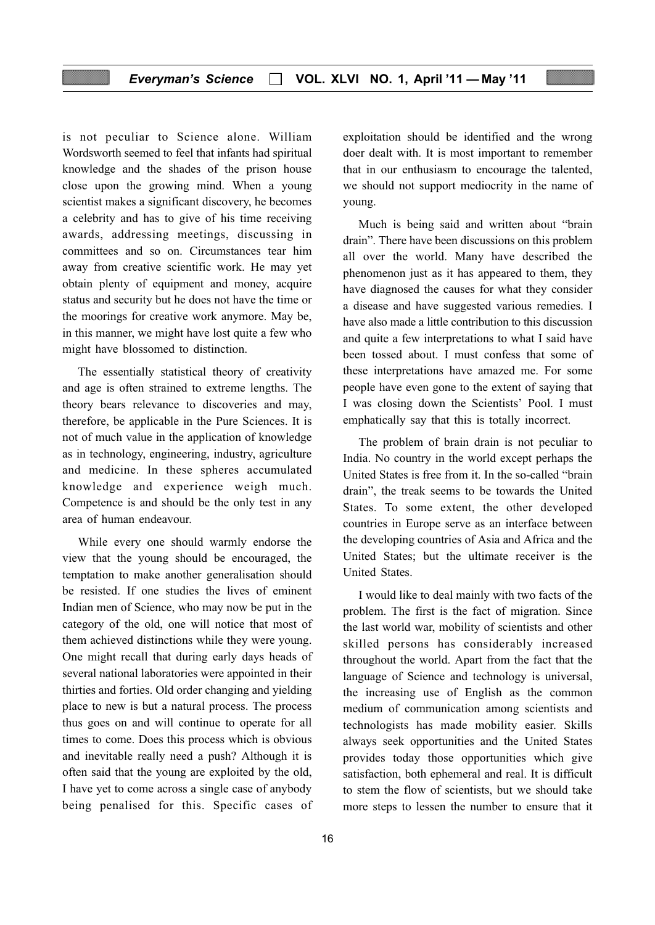### Everyman's Science  $\Box$  VOL. XLVI NO. 1, April '11 - May '11

young.

is not peculiar to Science alone. William Wordsworth seemed to feel that infants had spiritual knowledge and the shades of the prison house close upon the growing mind. When a young scientist makes a significant discovery, he becomes a celebrity and has to give of his time receiving awards, addressing meetings, discussing in committees and so on. Circumstances tear him away from creative scientific work. He may yet obtain plenty of equipment and money, acquire status and security but he does not have the time or the moorings for creative work anymore. May be, in this manner, we might have lost quite a few who might have blossomed to distinction.

The essentially statistical theory of creativity and age is often strained to extreme lengths. The theory bears relevance to discoveries and may, therefore, be applicable in the Pure Sciences. It is not of much value in the application of knowledge as in technology, engineering, industry, agriculture and medicine. In these spheres accumulated knowledge and experience weigh much. Competence is and should be the only test in any area of human endeavour.

While every one should warmly endorse the view that the young should be encouraged, the temptation to make another generalisation should be resisted. If one studies the lives of eminent Indian men of Science, who may now be put in the category of the old, one will notice that most of them achieved distinctions while they were young. One might recall that during early days heads of several national laboratories were appointed in their thirties and forties. Old order changing and yielding place to new is but a natural process. The process thus goes on and will continue to operate for all times to come. Does this process which is obvious and inevitable really need a push? Although it is often said that the young are exploited by the old, I have yet to come across a single case of anybody being penalised for this. Specific cases of

Much is being said and written about "brain drain". There have been discussions on this problem all over the world. Many have described the phenomenon just as it has appeared to them, they have diagnosed the causes for what they consider

exploitation should be identified and the wrong doer dealt with. It is most important to remember that in our enthusiasm to encourage the talented, we should not support mediocrity in the name of

a disease and have suggested various remedies. I have also made a little contribution to this discussion and quite a few interpretations to what I said have been tossed about. I must confess that some of these interpretations have amazed me. For some people have even gone to the extent of saying that I was closing down the Scientists' Pool. I must emphatically say that this is totally incorrect.

The problem of brain drain is not peculiar to India. No country in the world except perhaps the United States is free from it. In the so-called "brain drain", the treak seems to be towards the United States. To some extent, the other developed countries in Europe serve as an interface between the developing countries of Asia and Africa and the United States; but the ultimate receiver is the United States.

I would like to deal mainly with two facts of the problem. The first is the fact of migration. Since the last world war, mobility of scientists and other skilled persons has considerably increased throughout the world. Apart from the fact that the language of Science and technology is universal, the increasing use of English as the common medium of communication among scientists and technologists has made mobility easier. Skills always seek opportunities and the United States provides today those opportunities which give satisfaction, both ephemeral and real. It is difficult to stem the flow of scientists, but we should take more steps to lessen the number to ensure that it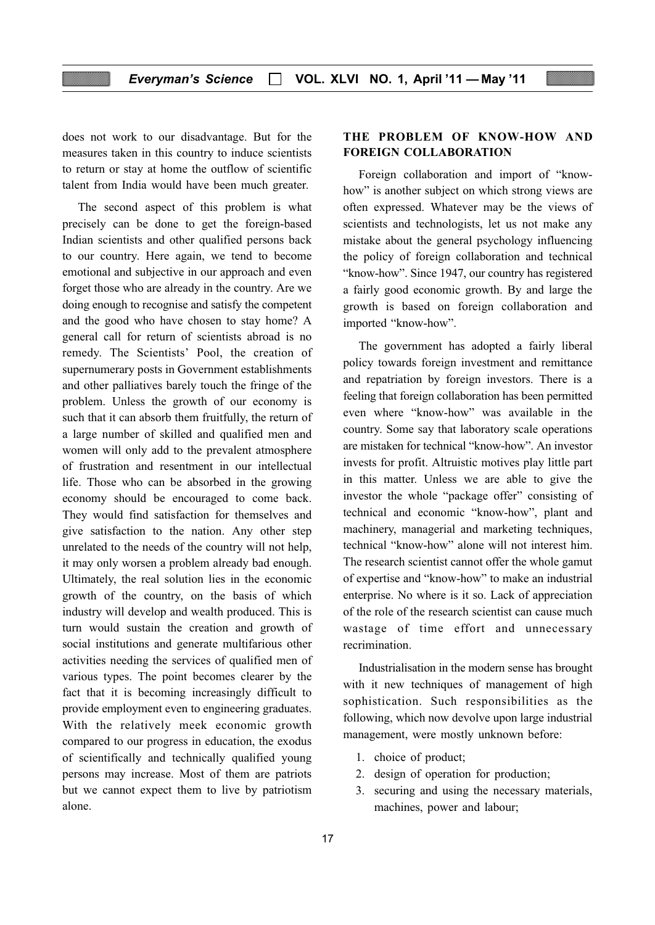does not work to our disadvantage. But for the measures taken in this country to induce scientists to return or stay at home the outflow of scientific talent from India would have been much greater.

The second aspect of this problem is what precisely can be done to get the foreign-based Indian scientists and other qualified persons back to our country. Here again, we tend to become emotional and subjective in our approach and even forget those who are already in the country. Are we doing enough to recognise and satisfy the competent and the good who have chosen to stay home? A general call for return of scientists abroad is no remedy. The Scientists' Pool, the creation of supernumerary posts in Government establishments and other palliatives barely touch the fringe of the problem. Unless the growth of our economy is such that it can absorb them fruitfully, the return of a large number of skilled and qualified men and women will only add to the prevalent atmosphere of frustration and resentment in our intellectual life. Those who can be absorbed in the growing economy should be encouraged to come back. They would find satisfaction for themselves and give satisfaction to the nation. Any other step unrelated to the needs of the country will not help, it may only worsen a problem already bad enough. Ultimately, the real solution lies in the economic growth of the country, on the basis of which industry will develop and wealth produced. This is turn would sustain the creation and growth of social institutions and generate multifarious other activities needing the services of qualified men of various types. The point becomes clearer by the fact that it is becoming increasingly difficult to provide employment even to engineering graduates. With the relatively meek economic growth compared to our progress in education, the exodus of scientifically and technically qualified young persons may increase. Most of them are patriots but we cannot expect them to live by patriotism alone.

# THE PROBLEM OF KNOW-HOW AND FOREIGN COLLABORATION

Foreign collaboration and import of "knowhow" is another subject on which strong views are often expressed. Whatever may be the views of scientists and technologists, let us not make any mistake about the general psychology influencing the policy of foreign collaboration and technical "know-how". Since 1947, our country has registered a fairly good economic growth. By and large the growth is based on foreign collaboration and imported "know-how".

The government has adopted a fairly liberal policy towards foreign investment and remittance and repatriation by foreign investors. There is a feeling that foreign collaboration has been permitted even where "know-how" was available in the country. Some say that laboratory scale operations are mistaken for technical "know-how". An investor invests for profit. Altruistic motives play little part in this matter. Unless we are able to give the investor the whole "package offer" consisting of technical and economic "know-how", plant and machinery, managerial and marketing techniques, technical "know-how" alone will not interest him. The research scientist cannot offer the whole gamut of expertise and "know-how" to make an industrial enterprise. No where is it so. Lack of appreciation of the role of the research scientist can cause much wastage of time effort and unnecessary recrimination.

Industrialisation in the modern sense has brought with it new techniques of management of high sophistication. Such responsibilities as the following, which now devolve upon large industrial management, were mostly unknown before:

- 1. choice of product;
- 2. design of operation for production;
- 3. securing and using the necessary materials, machines, power and labour;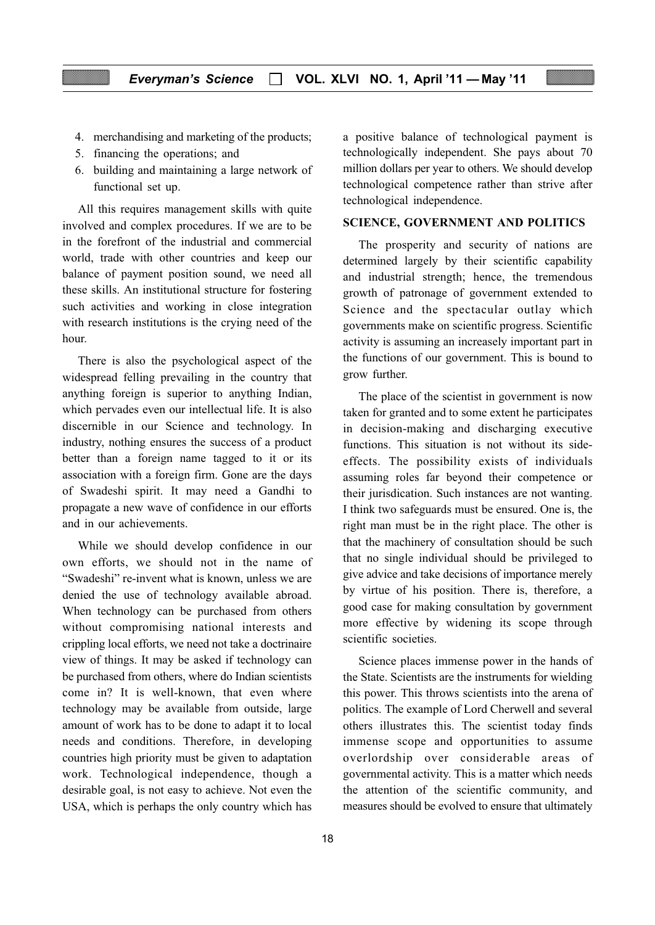- 4. merchandising and marketing of the products;
- 5. financing the operations; and
- 6. building and maintaining a large network of functional set up.

All this requires management skills with quite involved and complex procedures. If we are to be in the forefront of the industrial and commercial world, trade with other countries and keep our balance of payment position sound, we need all these skills. An institutional structure for fostering such activities and working in close integration with research institutions is the crying need of the hour.

There is also the psychological aspect of the widespread felling prevailing in the country that anything foreign is superior to anything Indian, which pervades even our intellectual life. It is also discernible in our Science and technology. In industry, nothing ensures the success of a product better than a foreign name tagged to it or its association with a foreign firm. Gone are the days of Swadeshi spirit. It may need a Gandhi to propagate a new wave of confidence in our efforts and in our achievements.

While we should develop confidence in our own efforts, we should not in the name of "Swadeshi" re-invent what is known, unless we are denied the use of technology available abroad. When technology can be purchased from others without compromising national interests and crippling local efforts, we need not take a doctrinaire view of things. It may be asked if technology can be purchased from others, where do Indian scientists come in? It is well-known, that even where technology may be available from outside, large amount of work has to be done to adapt it to local needs and conditions. Therefore, in developing countries high priority must be given to adaptation work. Technological independence, though a desirable goal, is not easy to achieve. Not even the USA, which is perhaps the only country which has a positive balance of technological payment is technologically independent. She pays about 70 million dollars per year to others. We should develop technological competence rather than strive after technological independence.

#### SCIENCE, GOVERNMENT AND POLITICS

The prosperity and security of nations are determined largely by their scientific capability and industrial strength; hence, the tremendous growth of patronage of government extended to Science and the spectacular outlay which governments make on scientific progress. Scientific activity is assuming an increasely important part in the functions of our government. This is bound to grow further.

The place of the scientist in government is now taken for granted and to some extent he participates in decision-making and discharging executive functions. This situation is not without its sideeffects. The possibility exists of individuals assuming roles far beyond their competence or their jurisdication. Such instances are not wanting. I think two safeguards must be ensured. One is, the right man must be in the right place. The other is that the machinery of consultation should be such that no single individual should be privileged to give advice and take decisions of importance merely by virtue of his position. There is, therefore, a good case for making consultation by government more effective by widening its scope through scientific societies.

Science places immense power in the hands of the State. Scientists are the instruments for wielding this power. This throws scientists into the arena of politics. The example of Lord Cherwell and several others illustrates this. The scientist today finds immense scope and opportunities to assume overlordship over considerable areas of governmental activity. This is a matter which needs the attention of the scientific community, and measures should be evolved to ensure that ultimately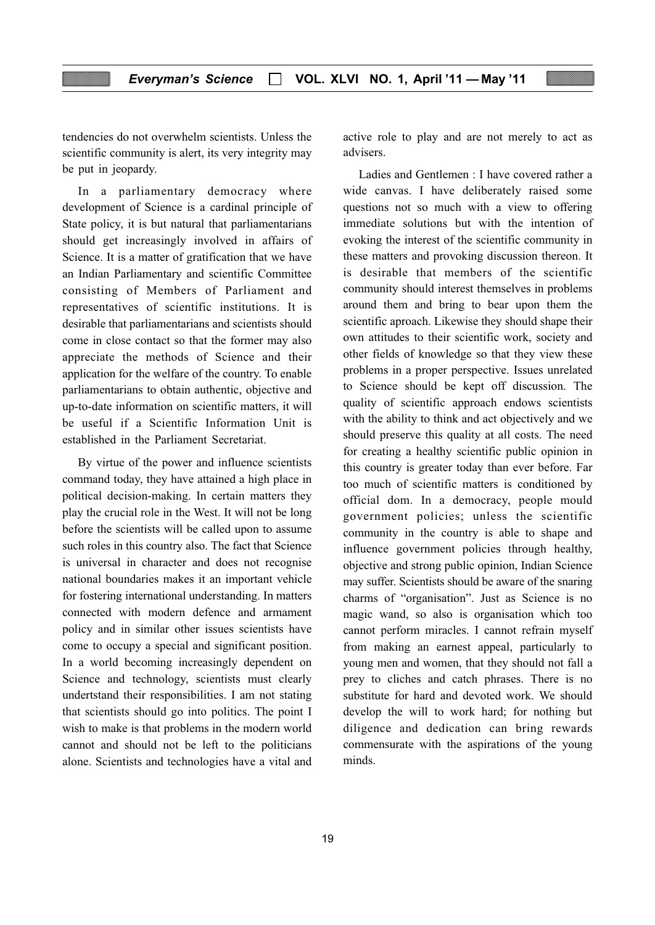tendencies do not overwhelm scientists. Unless the scientific community is alert, its very integrity may be put in jeopardy.

In a parliamentary democracy where development of Science is a cardinal principle of State policy, it is but natural that parliamentarians should get increasingly involved in affairs of Science. It is a matter of gratification that we have an Indian Parliamentary and scientific Committee consisting of Members of Parliament and representatives of scientific institutions. It is desirable that parliamentarians and scientists should come in close contact so that the former may also appreciate the methods of Science and their application for the welfare of the country. To enable parliamentarians to obtain authentic, objective and up-to-date information on scientific matters, it will be useful if a Scientific Information Unit is established in the Parliament Secretariat.

By virtue of the power and influence scientists command today, they have attained a high place in political decision-making. In certain matters they play the crucial role in the West. It will not be long before the scientists will be called upon to assume such roles in this country also. The fact that Science is universal in character and does not recognise national boundaries makes it an important vehicle for fostering international understanding. In matters connected with modern defence and armament policy and in similar other issues scientists have come to occupy a special and significant position. In a world becoming increasingly dependent on Science and technology, scientists must clearly undertstand their responsibilities. I am not stating that scientists should go into politics. The point I wish to make is that problems in the modern world cannot and should not be left to the politicians alone. Scientists and technologies have a vital and active role to play and are not merely to act as advisers.

Ladies and Gentlemen : I have covered rather a wide canvas. I have deliberately raised some questions not so much with a view to offering immediate solutions but with the intention of evoking the interest of the scientific community in these matters and provoking discussion thereon. It is desirable that members of the scientific community should interest themselves in problems around them and bring to bear upon them the scientific aproach. Likewise they should shape their own attitudes to their scientific work, society and other fields of knowledge so that they view these problems in a proper perspective. Issues unrelated to Science should be kept off discussion. The quality of scientific approach endows scientists with the ability to think and act objectively and we should preserve this quality at all costs. The need for creating a healthy scientific public opinion in this country is greater today than ever before. Far too much of scientific matters is conditioned by official dom. In a democracy, people mould government policies; unless the scientific community in the country is able to shape and influence government policies through healthy, objective and strong public opinion, Indian Science may suffer. Scientists should be aware of the snaring charms of "organisation". Just as Science is no magic wand, so also is organisation which too cannot perform miracles. I cannot refrain myself from making an earnest appeal, particularly to young men and women, that they should not fall a prey to cliches and catch phrases. There is no substitute for hard and devoted work. We should develop the will to work hard; for nothing but diligence and dedication can bring rewards commensurate with the aspirations of the young minds.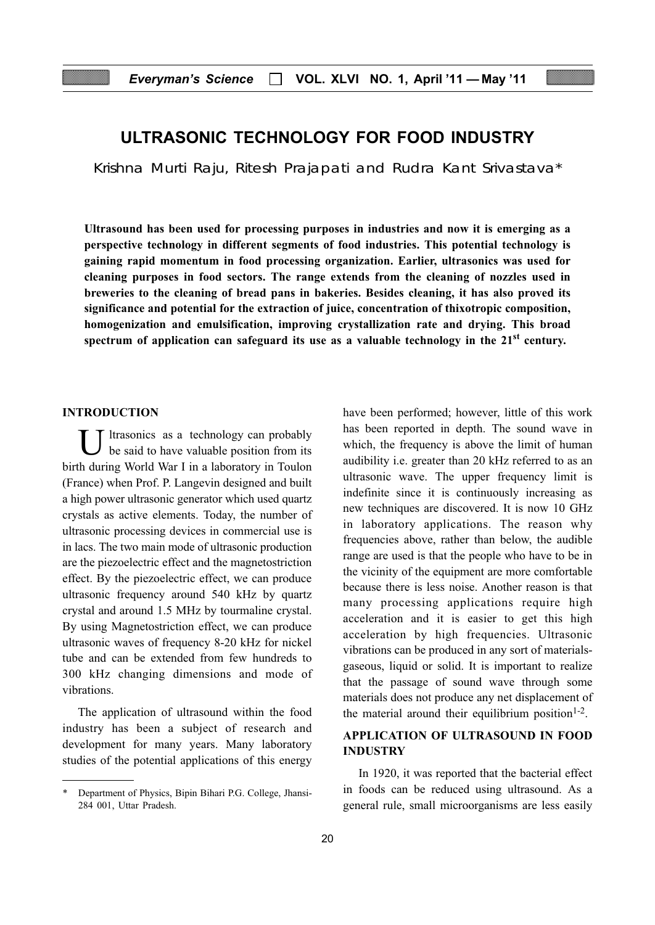# ULTRASONIC TECHNOLOGY FOR FOOD INDUSTRY

Krishna Murti Raju, Ritesh Prajapati and Rudra Kant Srivastava\*

Ultrasound has been used for processing purposes in industries and now it is emerging as a perspective technology in different segments of food industries. This potential technology is gaining rapid momentum in food processing organization. Earlier, ultrasonics was used for cleaning purposes in food sectors. The range extends from the cleaning of nozzles used in breweries to the cleaning of bread pans in bakeries. Besides cleaning, it has also proved its significance and potential for the extraction of juice, concentration of thixotropic composition, homogenization and emulsification, improving crystallization rate and drying. This broad spectrum of application can safeguard its use as a valuable technology in the  $21<sup>st</sup>$  century.

#### INTRODUCTION

 $\overline{I}$  ltrasonics as a technology can probably be said to have valuable position from its birth during World War I in a laboratory in Toulon (France) when Prof. P. Langevin designed and built a high power ultrasonic generator which used quartz crystals as active elements. Today, the number of ultrasonic processing devices in commercial use is in lacs. The two main mode of ultrasonic production are the piezoelectric effect and the magnetostriction effect. By the piezoelectric effect, we can produce ultrasonic frequency around 540 kHz by quartz crystal and around 1.5 MHz by tourmaline crystal. By using Magnetostriction effect, we can produce ultrasonic waves of frequency 8-20 kHz for nickel tube and can be extended from few hundreds to 300 kHz changing dimensions and mode of vibrations.

The application of ultrasound within the food industry has been a subject of research and development for many years. Many laboratory studies of the potential applications of this energy

have been performed; however, little of this work has been reported in depth. The sound wave in which, the frequency is above the limit of human audibility i.e. greater than 20 kHz referred to as an ultrasonic wave. The upper frequency limit is indefinite since it is continuously increasing as new techniques are discovered. It is now 10 GHz in laboratory applications. The reason why frequencies above, rather than below, the audible range are used is that the people who have to be in the vicinity of the equipment are more comfortable because there is less noise. Another reason is that many processing applications require high acceleration and it is easier to get this high acceleration by high frequencies. Ultrasonic vibrations can be produced in any sort of materialsgaseous, liquid or solid. It is important to realize that the passage of sound wave through some materials does not produce any net displacement of the material around their equilibrium position<sup> $1-2$ </sup>.

# APPLICATION OF ULTRASOUND IN FOOD INDUSTRY

In 1920, it was reported that the bacterial effect in foods can be reduced using ultrasound. As a general rule, small microorganisms are less easily

<sup>\*</sup> Department of Physics, Bipin Bihari P.G. College, Jhansi-284 001, Uttar Pradesh.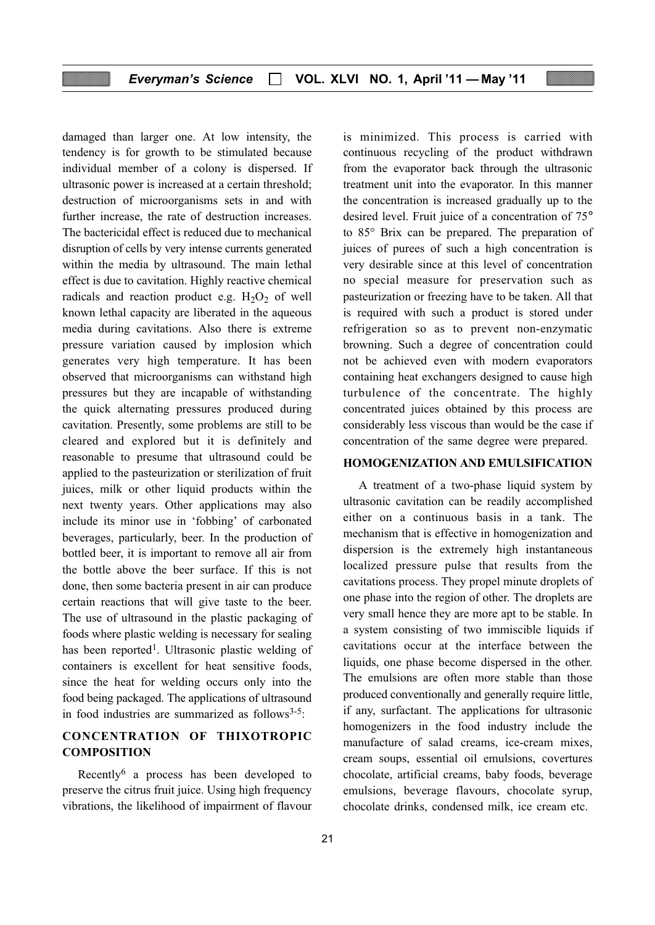damaged than larger one. At low intensity, the tendency is for growth to be stimulated because individual member of a colony is dispersed. If ultrasonic power is increased at a certain threshold; destruction of microorganisms sets in and with further increase, the rate of destruction increases. The bactericidal effect is reduced due to mechanical disruption of cells by very intense currents generated within the media by ultrasound. The main lethal effect is due to cavitation. Highly reactive chemical radicals and reaction product e.g.  $H_2O_2$  of well known lethal capacity are liberated in the aqueous media during cavitations. Also there is extreme pressure variation caused by implosion which generates very high temperature. It has been observed that microorganisms can withstand high pressures but they are incapable of withstanding the quick alternating pressures produced during cavitation. Presently, some problems are still to be cleared and explored but it is definitely and reasonable to presume that ultrasound could be applied to the pasteurization or sterilization of fruit juices, milk or other liquid products within the next twenty years. Other applications may also include its minor use in 'fobbing' of carbonated beverages, particularly, beer. In the production of bottled beer, it is important to remove all air from the bottle above the beer surface. If this is not done, then some bacteria present in air can produce certain reactions that will give taste to the beer. The use of ultrasound in the plastic packaging of foods where plastic welding is necessary for sealing has been reported<sup>1</sup>. Ultrasonic plastic welding of containers is excellent for heat sensitive foods, since the heat for welding occurs only into the food being packaged. The applications of ultrasound in food industries are summarized as follows $3-5$ :

# CONCENTRATION OF THIXOTROPIC **COMPOSITION**

Recently<sup>6</sup> a process has been developed to preserve the citrus fruit juice. Using high frequency vibrations, the likelihood of impairment of flavour is minimized. This process is carried with continuous recycling of the product withdrawn from the evaporator back through the ultrasonic treatment unit into the evaporator. In this manner the concentration is increased gradually up to the desired level. Fruit juice of a concentration of 75° to 85° Brix can be prepared. The preparation of juices of purees of such a high concentration is very desirable since at this level of concentration no special measure for preservation such as pasteurization or freezing have to be taken. All that is required with such a product is stored under refrigeration so as to prevent non-enzymatic browning. Such a degree of concentration could not be achieved even with modern evaporators containing heat exchangers designed to cause high turbulence of the concentrate. The highly concentrated juices obtained by this process are considerably less viscous than would be the case if concentration of the same degree were prepared.

### HOMOGENIZATION AND EMULSIFICATION

A treatment of a two-phase liquid system by ultrasonic cavitation can be readily accomplished either on a continuous basis in a tank. The mechanism that is effective in homogenization and dispersion is the extremely high instantaneous localized pressure pulse that results from the cavitations process. They propel minute droplets of one phase into the region of other. The droplets are very small hence they are more apt to be stable. In a system consisting of two immiscible liquids if cavitations occur at the interface between the liquids, one phase become dispersed in the other. The emulsions are often more stable than those produced conventionally and generally require little, if any, surfactant. The applications for ultrasonic homogenizers in the food industry include the manufacture of salad creams, ice-cream mixes, cream soups, essential oil emulsions, covertures chocolate, artificial creams, baby foods, beverage emulsions, beverage flavours, chocolate syrup, chocolate drinks, condensed milk, ice cream etc.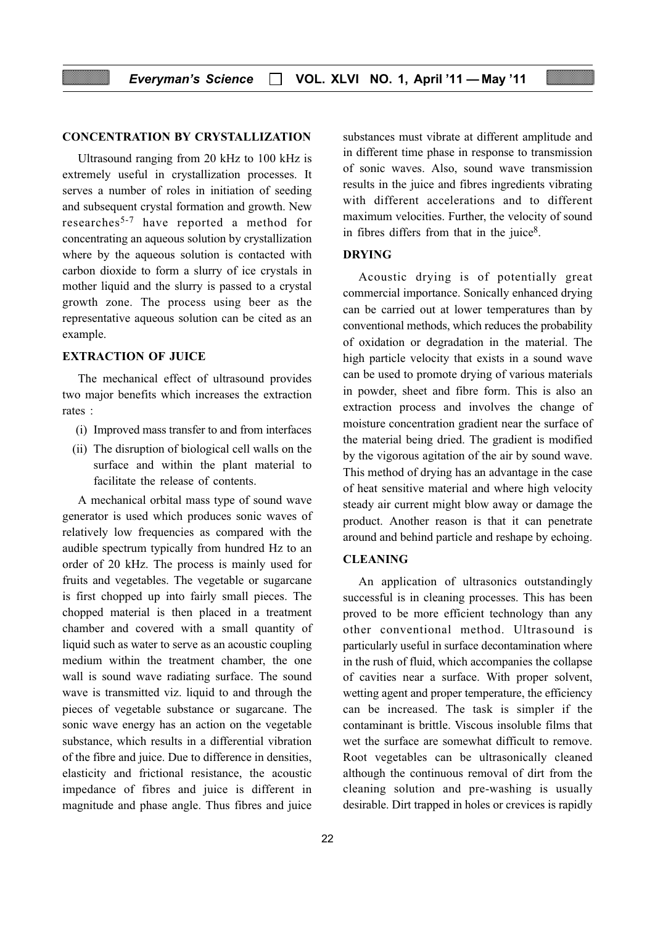#### CONCENTRATION BY CRYSTALLIZATION

Ultrasound ranging from 20 kHz to 100 kHz is extremely useful in crystallization processes. It serves a number of roles in initiation of seeding and subsequent crystal formation and growth. New researches5-7 have reported a method for concentrating an aqueous solution by crystallization where by the aqueous solution is contacted with carbon dioxide to form a slurry of ice crystals in mother liquid and the slurry is passed to a crystal growth zone. The process using beer as the representative aqueous solution can be cited as an example.

#### EXTRACTION OF JUICE

The mechanical effect of ultrasound provides two major benefits which increases the extraction rates :

- (i) Improved mass transfer to and from interfaces
- (ii) The disruption of biological cell walls on the surface and within the plant material to facilitate the release of contents.

A mechanical orbital mass type of sound wave generator is used which produces sonic waves of relatively low frequencies as compared with the audible spectrum typically from hundred Hz to an order of 20 kHz. The process is mainly used for fruits and vegetables. The vegetable or sugarcane is first chopped up into fairly small pieces. The chopped material is then placed in a treatment chamber and covered with a small quantity of liquid such as water to serve as an acoustic coupling medium within the treatment chamber, the one wall is sound wave radiating surface. The sound wave is transmitted viz. liquid to and through the pieces of vegetable substance or sugarcane. The sonic wave energy has an action on the vegetable substance, which results in a differential vibration of the fibre and juice. Due to difference in densities, elasticity and frictional resistance, the acoustic impedance of fibres and juice is different in magnitude and phase angle. Thus fibres and juice

substances must vibrate at different amplitude and in different time phase in response to transmission of sonic waves. Also, sound wave transmission results in the juice and fibres ingredients vibrating with different accelerations and to different maximum velocities. Further, the velocity of sound in fibres differs from that in the juice<sup>8</sup>.

### DRYING

Acoustic drying is of potentially great commercial importance. Sonically enhanced drying can be carried out at lower temperatures than by conventional methods, which reduces the probability of oxidation or degradation in the material. The high particle velocity that exists in a sound wave can be used to promote drying of various materials in powder, sheet and fibre form. This is also an extraction process and involves the change of moisture concentration gradient near the surface of the material being dried. The gradient is modified by the vigorous agitation of the air by sound wave. This method of drying has an advantage in the case of heat sensitive material and where high velocity steady air current might blow away or damage the product. Another reason is that it can penetrate around and behind particle and reshape by echoing.

#### CLEANING

An application of ultrasonics outstandingly successful is in cleaning processes. This has been proved to be more efficient technology than any other conventional method. Ultrasound is particularly useful in surface decontamination where in the rush of fluid, which accompanies the collapse of cavities near a surface. With proper solvent, wetting agent and proper temperature, the efficiency can be increased. The task is simpler if the contaminant is brittle. Viscous insoluble films that wet the surface are somewhat difficult to remove. Root vegetables can be ultrasonically cleaned although the continuous removal of dirt from the cleaning solution and pre-washing is usually desirable. Dirt trapped in holes or crevices is rapidly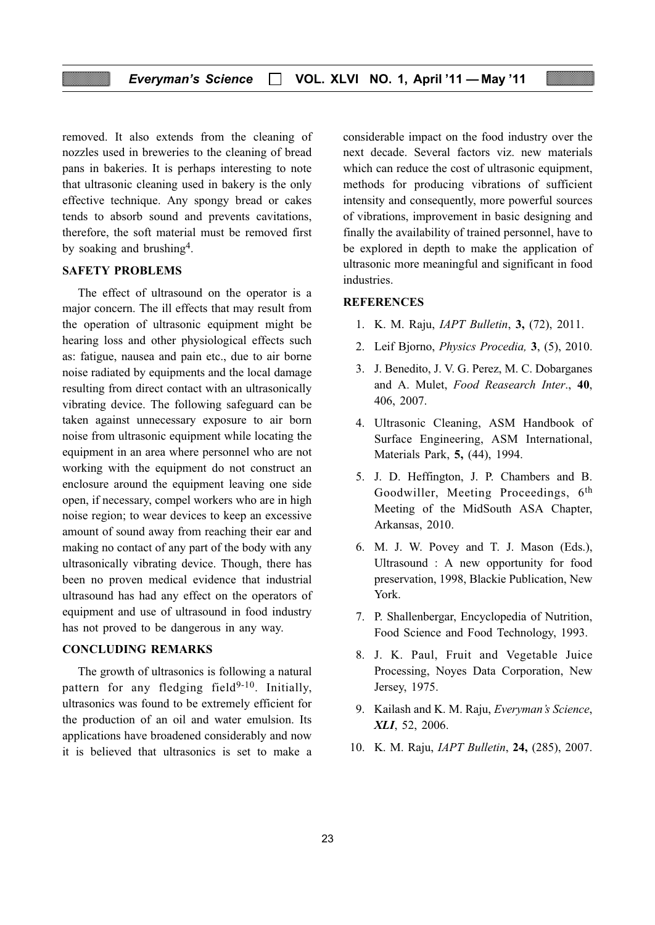removed. It also extends from the cleaning of nozzles used in breweries to the cleaning of bread pans in bakeries. It is perhaps interesting to note that ultrasonic cleaning used in bakery is the only effective technique. Any spongy bread or cakes tends to absorb sound and prevents cavitations, therefore, the soft material must be removed first by soaking and brushing4.

#### SAFETY PROBLEMS

The effect of ultrasound on the operator is a major concern. The ill effects that may result from the operation of ultrasonic equipment might be hearing loss and other physiological effects such as: fatigue, nausea and pain etc., due to air borne noise radiated by equipments and the local damage resulting from direct contact with an ultrasonically vibrating device. The following safeguard can be taken against unnecessary exposure to air born noise from ultrasonic equipment while locating the equipment in an area where personnel who are not working with the equipment do not construct an enclosure around the equipment leaving one side open, if necessary, compel workers who are in high noise region; to wear devices to keep an excessive amount of sound away from reaching their ear and making no contact of any part of the body with any ultrasonically vibrating device. Though, there has been no proven medical evidence that industrial ultrasound has had any effect on the operators of equipment and use of ultrasound in food industry has not proved to be dangerous in any way.

#### CONCLUDING REMARKS

The growth of ultrasonics is following a natural pattern for any fledging field $9-10$ . Initially, ultrasonics was found to be extremely efficient for the production of an oil and water emulsion. Its applications have broadened considerably and now it is believed that ultrasonics is set to make a considerable impact on the food industry over the next decade. Several factors viz. new materials which can reduce the cost of ultrasonic equipment, methods for producing vibrations of sufficient intensity and consequently, more powerful sources of vibrations, improvement in basic designing and finally the availability of trained personnel, have to be explored in depth to make the application of ultrasonic more meaningful and significant in food industries.

#### **REFERENCES**

- 1. K. M. Raju, IAPT Bulletin, 3, (72), 2011.
- 2. Leif Bjorno, Physics Procedia, 3, (5), 2010.
- 3. J. Benedito, J. V. G. Perez, M. C. Dobarganes and A. Mulet, Food Reasearch Inter., 40, 406, 2007.
- 4. Ultrasonic Cleaning, ASM Handbook of Surface Engineering, ASM International, Materials Park, 5, (44), 1994.
- 5. J. D. Heffington, J. P. Chambers and B. Goodwiller, Meeting Proceedings, 6<sup>th</sup> Meeting of the MidSouth ASA Chapter, Arkansas, 2010.
- 6. M. J. W. Povey and T. J. Mason (Eds.), Ultrasound : A new opportunity for food preservation, 1998, Blackie Publication, New York.
- 7. P. Shallenbergar, Encyclopedia of Nutrition, Food Science and Food Technology, 1993.
- 8. J. K. Paul, Fruit and Vegetable Juice Processing, Noyes Data Corporation, New Jersey, 1975.
- 9. Kailash and K. M. Raju, Everyman's Science, XLI, 52, 2006.
- 10. K. M. Raju, IAPT Bulletin, 24, (285), 2007.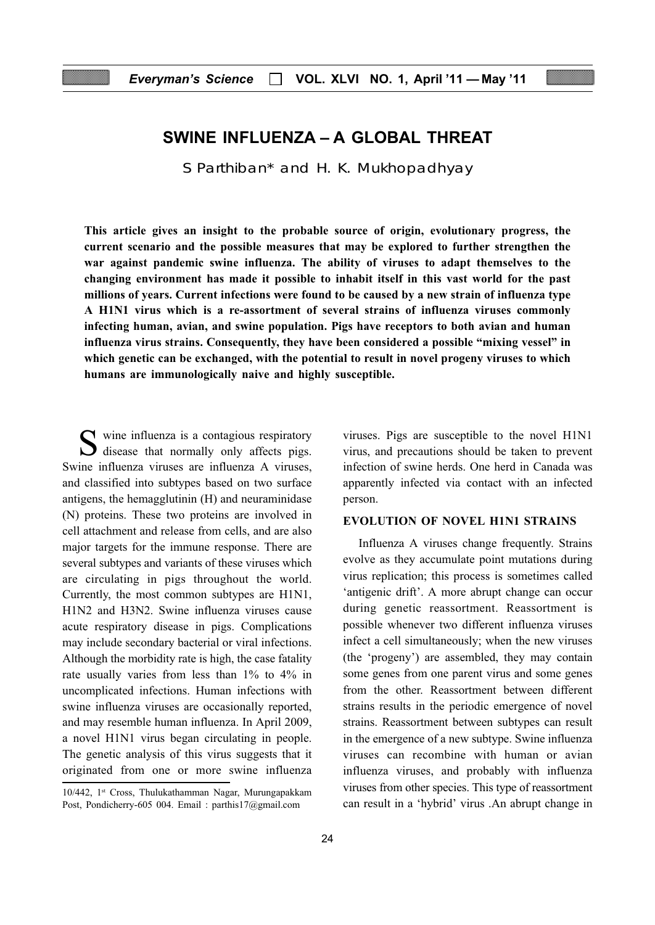# SWINE INFLUENZA – A GLOBAL THREAT

S Parthiban\* and H. K. Mukhopadhyay

This article gives an insight to the probable source of origin, evolutionary progress, the current scenario and the possible measures that may be explored to further strengthen the war against pandemic swine influenza. The ability of viruses to adapt themselves to the changing environment has made it possible to inhabit itself in this vast world for the past millions of years. Current infections were found to be caused by a new strain of influenza type A H1N1 virus which is a re-assortment of several strains of influenza viruses commonly infecting human, avian, and swine population. Pigs have receptors to both avian and human influenza virus strains. Consequently, they have been considered a possible "mixing vessel" in which genetic can be exchanged, with the potential to result in novel progeny viruses to which humans are immunologically naive and highly susceptible.

S wine influenza is a contagious respiratory disease that normally only affects pigs. Swine influenza viruses are influenza A viruses, and classified into subtypes based on two surface antigens, the hemagglutinin (H) and neuraminidase (N) proteins. These two proteins are involved in cell attachment and release from cells, and are also major targets for the immune response. There are several subtypes and variants of these viruses which are circulating in pigs throughout the world. Currently, the most common subtypes are H1N1, H1N2 and H3N2. Swine influenza viruses cause acute respiratory disease in pigs. Complications may include secondary bacterial or viral infections. Although the morbidity rate is high, the case fatality rate usually varies from less than 1% to 4% in uncomplicated infections. Human infections with swine influenza viruses are occasionally reported, and may resemble human influenza. In April 2009, a novel H1N1 virus began circulating in people. The genetic analysis of this virus suggests that it originated from one or more swine influenza

viruses. Pigs are susceptible to the novel H1N1 virus, and precautions should be taken to prevent infection of swine herds. One herd in Canada was apparently infected via contact with an infected person.

#### EVOLUTION OF NOVEL H1N1 STRAINS

Influenza A viruses change frequently. Strains evolve as they accumulate point mutations during virus replication; this process is sometimes called 'antigenic drift'. A more abrupt change can occur during genetic reassortment. Reassortment is possible whenever two different influenza viruses infect a cell simultaneously; when the new viruses (the 'progeny') are assembled, they may contain some genes from one parent virus and some genes from the other. Reassortment between different strains results in the periodic emergence of novel strains. Reassortment between subtypes can result in the emergence of a new subtype. Swine influenza viruses can recombine with human or avian influenza viruses, and probably with influenza viruses from other species. This type of reassortment can result in a 'hybrid' virus .An abrupt change in

<sup>10/442, 1</sup>st Cross, Thulukathamman Nagar, Murungapakkam Post, Pondicherry-605 004. Email : parthis17@gmail.com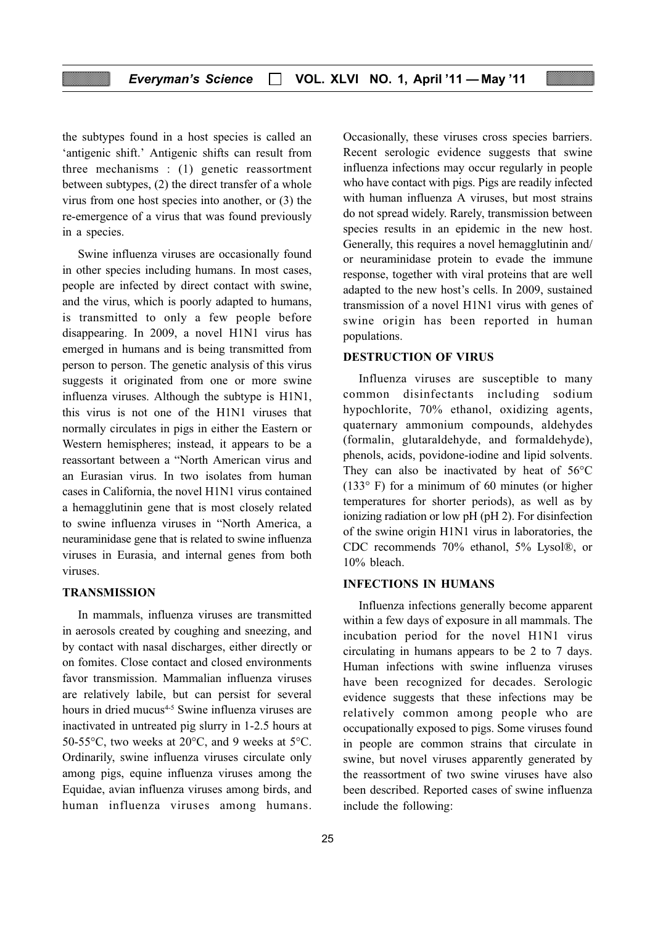the subtypes found in a host species is called an 'antigenic shift.' Antigenic shifts can result from three mechanisms : (1) genetic reassortment between subtypes, (2) the direct transfer of a whole virus from one host species into another, or (3) the re-emergence of a virus that was found previously in a species.

Swine influenza viruses are occasionally found in other species including humans. In most cases, people are infected by direct contact with swine, and the virus, which is poorly adapted to humans, is transmitted to only a few people before disappearing. In 2009, a novel H1N1 virus has emerged in humans and is being transmitted from person to person. The genetic analysis of this virus suggests it originated from one or more swine influenza viruses. Although the subtype is H1N1, this virus is not one of the H1N1 viruses that normally circulates in pigs in either the Eastern or Western hemispheres; instead, it appears to be a reassortant between a "North American virus and an Eurasian virus. In two isolates from human cases in California, the novel H1N1 virus contained a hemagglutinin gene that is most closely related to swine influenza viruses in "North America, a neuraminidase gene that is related to swine influenza viruses in Eurasia, and internal genes from both viruses.

#### **TRANSMISSION**

In mammals, influenza viruses are transmitted in aerosols created by coughing and sneezing, and by contact with nasal discharges, either directly or on fomites. Close contact and closed environments favor transmission. Mammalian influenza viruses are relatively labile, but can persist for several hours in dried mucus<sup>4-5</sup> Swine influenza viruses are inactivated in untreated pig slurry in 1-2.5 hours at 50-55°C, two weeks at 20°C, and 9 weeks at 5°C. Ordinarily, swine influenza viruses circulate only among pigs, equine influenza viruses among the Equidae, avian influenza viruses among birds, and human influenza viruses among humans.

Occasionally, these viruses cross species barriers. Recent serologic evidence suggests that swine influenza infections may occur regularly in people who have contact with pigs. Pigs are readily infected with human influenza A viruses, but most strains do not spread widely. Rarely, transmission between species results in an epidemic in the new host. Generally, this requires a novel hemagglutinin and/ or neuraminidase protein to evade the immune response, together with viral proteins that are well adapted to the new host's cells. In 2009, sustained transmission of a novel H1N1 virus with genes of swine origin has been reported in human populations.

#### DESTRUCTION OF VIRUS

Influenza viruses are susceptible to many common disinfectants including sodium hypochlorite, 70% ethanol, oxidizing agents, quaternary ammonium compounds, aldehydes (formalin, glutaraldehyde, and formaldehyde), phenols, acids, povidone-iodine and lipid solvents. They can also be inactivated by heat of 56°C  $(133°)$  F) for a minimum of 60 minutes (or higher temperatures for shorter periods), as well as by ionizing radiation or low pH (pH 2). For disinfection of the swine origin H1N1 virus in laboratories, the CDC recommends 70% ethanol, 5% Lysol®, or 10% bleach.

#### INFECTIONS IN HUMANS

Influenza infections generally become apparent within a few days of exposure in all mammals. The incubation period for the novel H1N1 virus circulating in humans appears to be 2 to 7 days. Human infections with swine influenza viruses have been recognized for decades. Serologic evidence suggests that these infections may be relatively common among people who are occupationally exposed to pigs. Some viruses found in people are common strains that circulate in swine, but novel viruses apparently generated by the reassortment of two swine viruses have also been described. Reported cases of swine influenza include the following: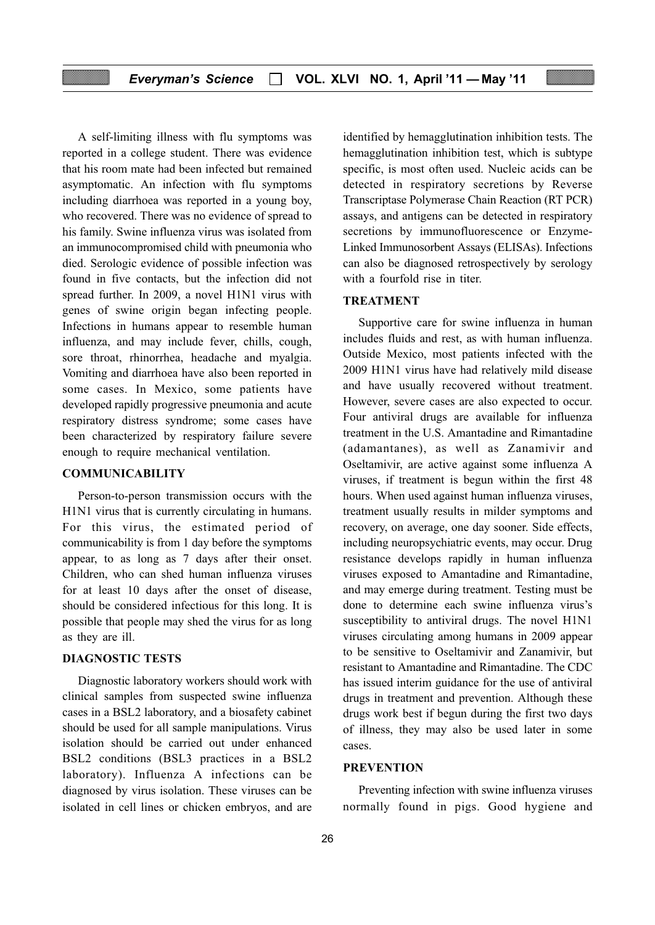A self-limiting illness with flu symptoms was reported in a college student. There was evidence that his room mate had been infected but remained asymptomatic. An infection with flu symptoms including diarrhoea was reported in a young boy, who recovered. There was no evidence of spread to his family. Swine influenza virus was isolated from an immunocompromised child with pneumonia who died. Serologic evidence of possible infection was found in five contacts, but the infection did not spread further. In 2009, a novel H1N1 virus with genes of swine origin began infecting people. Infections in humans appear to resemble human influenza, and may include fever, chills, cough, sore throat, rhinorrhea, headache and myalgia. Vomiting and diarrhoea have also been reported in some cases. In Mexico, some patients have developed rapidly progressive pneumonia and acute respiratory distress syndrome; some cases have been characterized by respiratory failure severe enough to require mechanical ventilation.

#### COMMUNICABILITY

Person-to-person transmission occurs with the H1N1 virus that is currently circulating in humans. For this virus, the estimated period of communicability is from 1 day before the symptoms appear, to as long as 7 days after their onset. Children, who can shed human influenza viruses for at least 10 days after the onset of disease, should be considered infectious for this long. It is possible that people may shed the virus for as long as they are ill.

#### DIAGNOSTIC TESTS

Diagnostic laboratory workers should work with clinical samples from suspected swine influenza cases in a BSL2 laboratory, and a biosafety cabinet should be used for all sample manipulations. Virus isolation should be carried out under enhanced BSL2 conditions (BSL3 practices in a BSL2 laboratory). Influenza A infections can be diagnosed by virus isolation. These viruses can be isolated in cell lines or chicken embryos, and are

identified by hemagglutination inhibition tests. The hemagglutination inhibition test, which is subtype specific, is most often used. Nucleic acids can be detected in respiratory secretions by Reverse Transcriptase Polymerase Chain Reaction (RT PCR) assays, and antigens can be detected in respiratory secretions by immunofluorescence or Enzyme-Linked Immunosorbent Assays (ELISAs). Infections can also be diagnosed retrospectively by serology with a fourfold rise in titer.

#### TREATMENT

Supportive care for swine influenza in human includes fluids and rest, as with human influenza. Outside Mexico, most patients infected with the 2009 H1N1 virus have had relatively mild disease and have usually recovered without treatment. However, severe cases are also expected to occur. Four antiviral drugs are available for influenza treatment in the U.S. Amantadine and Rimantadine (adamantanes), as well as Zanamivir and Oseltamivir, are active against some influenza A viruses, if treatment is begun within the first 48 hours. When used against human influenza viruses, treatment usually results in milder symptoms and recovery, on average, one day sooner. Side effects, including neuropsychiatric events, may occur. Drug resistance develops rapidly in human influenza viruses exposed to Amantadine and Rimantadine, and may emerge during treatment. Testing must be done to determine each swine influenza virus's susceptibility to antiviral drugs. The novel H1N1 viruses circulating among humans in 2009 appear to be sensitive to Oseltamivir and Zanamivir, but resistant to Amantadine and Rimantadine. The CDC has issued interim guidance for the use of antiviral drugs in treatment and prevention. Although these drugs work best if begun during the first two days of illness, they may also be used later in some cases.

#### PREVENTION

Preventing infection with swine influenza viruses normally found in pigs. Good hygiene and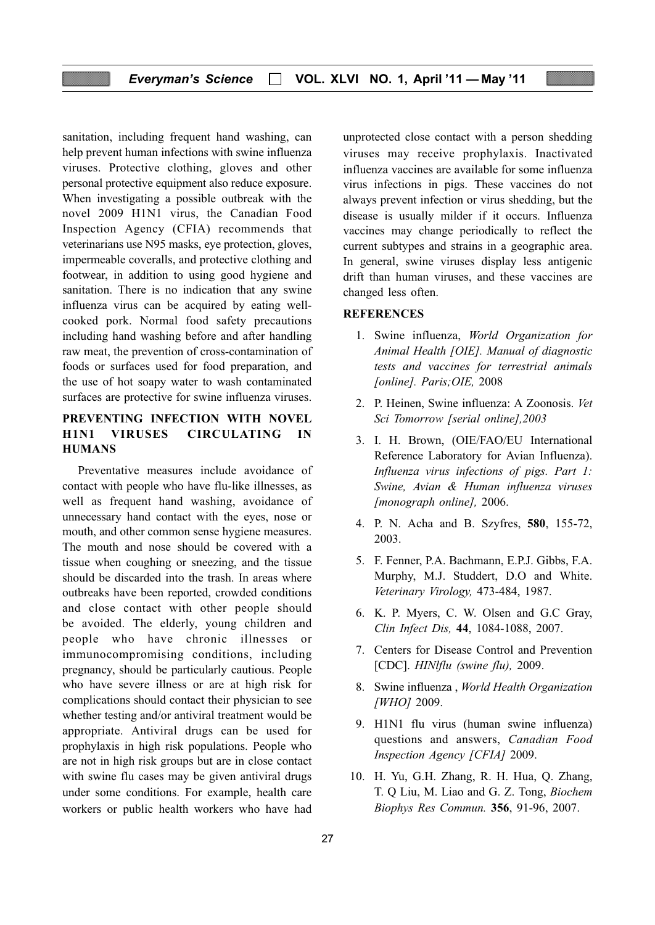sanitation, including frequent hand washing, can help prevent human infections with swine influenza viruses. Protective clothing, gloves and other personal protective equipment also reduce exposure. When investigating a possible outbreak with the novel 2009 H1N1 virus, the Canadian Food Inspection Agency (CFIA) recommends that veterinarians use N95 masks, eye protection, gloves, impermeable coveralls, and protective clothing and footwear, in addition to using good hygiene and sanitation. There is no indication that any swine influenza virus can be acquired by eating wellcooked pork. Normal food safety precautions including hand washing before and after handling raw meat, the prevention of cross-contamination of foods or surfaces used for food preparation, and the use of hot soapy water to wash contaminated surfaces are protective for swine influenza viruses.

# PREVENTING INFECTION WITH NOVEL H1N1 VIRUSES CIRCULATING IN **HUMANS**

Preventative measures include avoidance of contact with people who have flu-like illnesses, as well as frequent hand washing, avoidance of unnecessary hand contact with the eyes, nose or mouth, and other common sense hygiene measures. The mouth and nose should be covered with a tissue when coughing or sneezing, and the tissue should be discarded into the trash. In areas where outbreaks have been reported, crowded conditions and close contact with other people should be avoided. The elderly, young children and people who have chronic illnesses or immunocompromising conditions, including pregnancy, should be particularly cautious. People who have severe illness or are at high risk for complications should contact their physician to see whether testing and/or antiviral treatment would be appropriate. Antiviral drugs can be used for prophylaxis in high risk populations. People who are not in high risk groups but are in close contact with swine flu cases may be given antiviral drugs under some conditions. For example, health care workers or public health workers who have had

unprotected close contact with a person shedding viruses may receive prophylaxis. Inactivated influenza vaccines are available for some influenza virus infections in pigs. These vaccines do not always prevent infection or virus shedding, but the disease is usually milder if it occurs. Influenza vaccines may change periodically to reflect the current subtypes and strains in a geographic area. In general, swine viruses display less antigenic drift than human viruses, and these vaccines are changed less often.

#### **REFERENCES**

- 1. Swine influenza, World Organization for Animal Health [OIE]. Manual of diagnostic tests and vaccines for terrestrial animals [online]. Paris; OIE, 2008
- 2. P. Heinen, Swine influenza: A Zoonosis. Vet Sci Tomorrow [serial online],2003
- 3. I. H. Brown, (OIE/FAO/EU International Reference Laboratory for Avian Influenza). Influenza virus infections of pigs. Part 1: Swine, Avian & Human influenza viruses [monograph online], 2006.
- 4. P. N. Acha and B. Szyfres, 580, 155-72, 2003.
- 5. F. Fenner, P.A. Bachmann, E.P.J. Gibbs, F.A. Murphy, M.J. Studdert, D.O and White. Veterinary Virology, 473-484, 1987.
- 6. K. P. Myers, C. W. Olsen and G.C Gray, Clin Infect Dis, 44, 1084-1088, 2007.
- 7. Centers for Disease Control and Prevention [CDC]. *HINlflu (swine flu)*, 2009.
- 8. Swine influenza , World Health Organization  $[WHO]$  2009.
- 9. H1N1 flu virus (human swine influenza) questions and answers, Canadian Food Inspection Agency [CFIA] 2009.
- 10. H. Yu, G.H. Zhang, R. H. Hua, Q. Zhang, T. Q Liu, M. Liao and G. Z. Tong, Biochem Biophys Res Commun. 356, 91-96, 2007.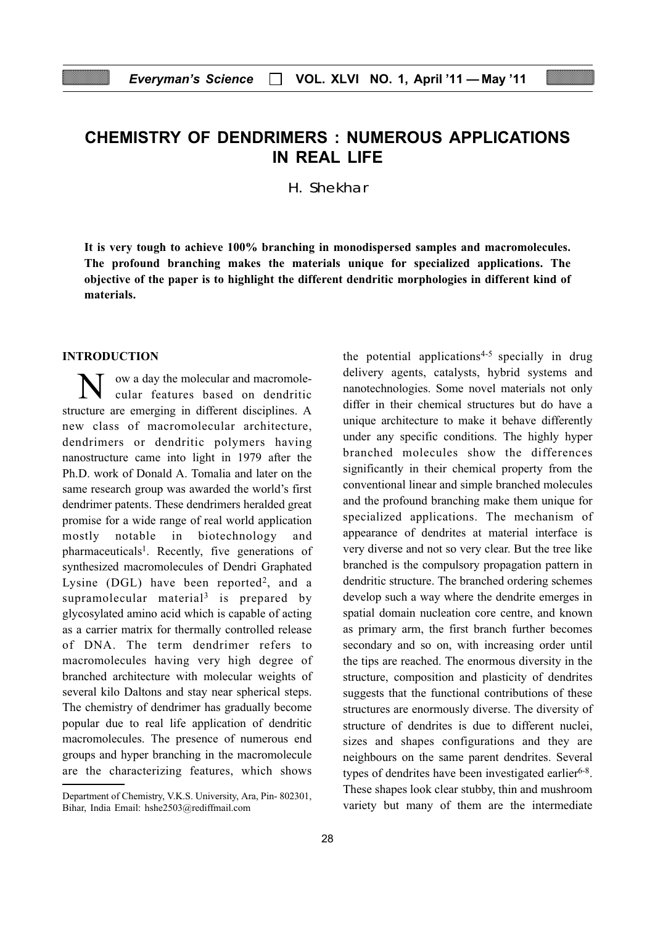# CHEMISTRY OF DENDRIMERS : NUMEROUS APPLICATIONS IN REAL LIFE

H. Shekhar

It is very tough to achieve 100% branching in monodispersed samples and macromolecules. The profound branching makes the materials unique for specialized applications. The objective of the paper is to highlight the different dendritic morphologies in different kind of materials.

#### INTRODUCTION

ow a day the molecular and macromolecular features based on dendritic structure are emerging in different disciplines. A new class of macromolecular architecture, dendrimers or dendritic polymers having nanostructure came into light in 1979 after the Ph.D. work of Donald A. Tomalia and later on the same research group was awarded the world's first dendrimer patents. These dendrimers heralded great promise for a wide range of real world application mostly notable in biotechnology and pharmaceuticals<sup>1</sup>. Recently, five generations of synthesized macromolecules of Dendri Graphated Lysine (DGL) have been reported<sup>2</sup>, and a supramolecular material<sup>3</sup> is prepared by glycosylated amino acid which is capable of acting as a carrier matrix for thermally controlled release of DNA. The term dendrimer refers to macromolecules having very high degree of branched architecture with molecular weights of several kilo Daltons and stay near spherical steps. The chemistry of dendrimer has gradually become popular due to real life application of dendritic macromolecules. The presence of numerous end groups and hyper branching in the macromolecule are the characterizing features, which shows

the potential applications<sup>4-5</sup> specially in drug delivery agents, catalysts, hybrid systems and nanotechnologies. Some novel materials not only differ in their chemical structures but do have a unique architecture to make it behave differently under any specific conditions. The highly hyper branched molecules show the differences significantly in their chemical property from the conventional linear and simple branched molecules and the profound branching make them unique for specialized applications. The mechanism of appearance of dendrites at material interface is very diverse and not so very clear. But the tree like branched is the compulsory propagation pattern in dendritic structure. The branched ordering schemes develop such a way where the dendrite emerges in spatial domain nucleation core centre, and known as primary arm, the first branch further becomes secondary and so on, with increasing order until the tips are reached. The enormous diversity in the structure, composition and plasticity of dendrites suggests that the functional contributions of these structures are enormously diverse. The diversity of structure of dendrites is due to different nuclei, sizes and shapes configurations and they are neighbours on the same parent dendrites. Several types of dendrites have been investigated earlier $6-8$ . These shapes look clear stubby, thin and mushroom Department of Chemistry, V.K.S. University, Ara, Pin- 802301,<br>Bihar, India Email: hshe2503@rediffmail.com variety but many of them are the intermediate

Bihar, India Email: hshe2503@rediffmail.com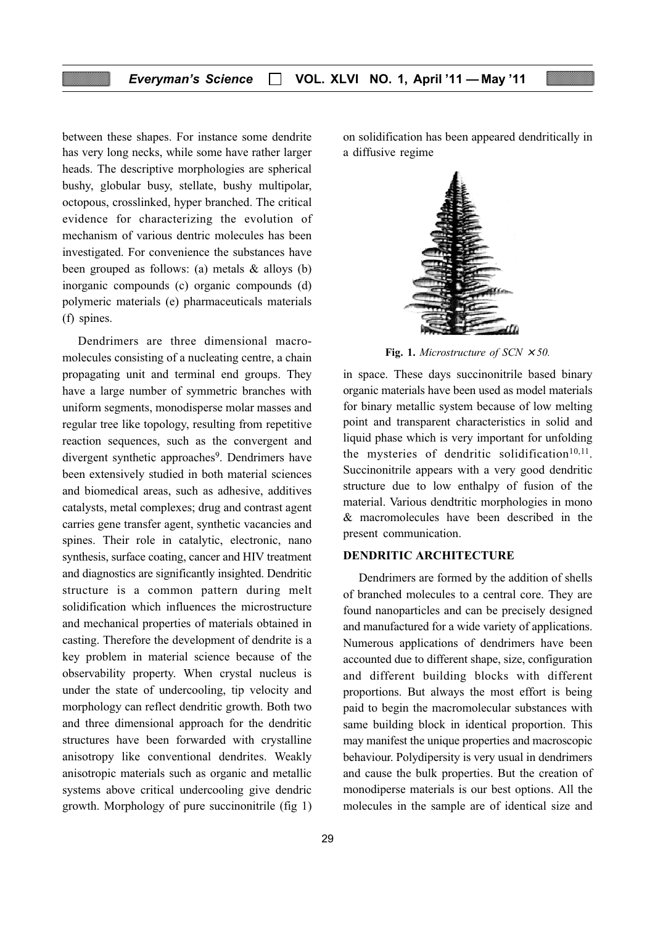between these shapes. For instance some dendrite has very long necks, while some have rather larger heads. The descriptive morphologies are spherical bushy, globular busy, stellate, bushy multipolar, octopous, crosslinked, hyper branched. The critical evidence for characterizing the evolution of mechanism of various dentric molecules has been investigated. For convenience the substances have been grouped as follows: (a) metals & alloys (b) inorganic compounds (c) organic compounds (d) polymeric materials (e) pharmaceuticals materials (f) spines.

Dendrimers are three dimensional macromolecules consisting of a nucleating centre, a chain propagating unit and terminal end groups. They have a large number of symmetric branches with uniform segments, monodisperse molar masses and regular tree like topology, resulting from repetitive reaction sequences, such as the convergent and divergent synthetic approaches<sup>9</sup>. Dendrimers have been extensively studied in both material sciences and biomedical areas, such as adhesive, additives catalysts, metal complexes; drug and contrast agent carries gene transfer agent, synthetic vacancies and spines. Their role in catalytic, electronic, nano synthesis, surface coating, cancer and HIV treatment and diagnostics are significantly insighted. Dendritic structure is a common pattern during melt solidification which influences the microstructure and mechanical properties of materials obtained in casting. Therefore the development of dendrite is a key problem in material science because of the observability property. When crystal nucleus is under the state of undercooling, tip velocity and morphology can reflect dendritic growth. Both two and three dimensional approach for the dendritic structures have been forwarded with crystalline anisotropy like conventional dendrites. Weakly anisotropic materials such as organic and metallic systems above critical undercooling give dendric growth. Morphology of pure succinonitrile (fig 1) on solidification has been appeared dendritically in a diffusive regime



Fig. 1. Microstructure of  $SCN \times 50$ .

in space. These days succinonitrile based binary organic materials have been used as model materials for binary metallic system because of low melting point and transparent characteristics in solid and liquid phase which is very important for unfolding the mysteries of dendritic solidification $10,11$ . Succinonitrile appears with a very good dendritic structure due to low enthalpy of fusion of the material. Various dendtritic morphologies in mono & macromolecules have been described in the present communication.

#### DENDRITIC ARCHITECTURE

Dendrimers are formed by the addition of shells of branched molecules to a central core. They are found nanoparticles and can be precisely designed and manufactured for a wide variety of applications. Numerous applications of dendrimers have been accounted due to different shape, size, configuration and different building blocks with different proportions. But always the most effort is being paid to begin the macromolecular substances with same building block in identical proportion. This may manifest the unique properties and macroscopic behaviour. Polydipersity is very usual in dendrimers and cause the bulk properties. But the creation of monodiperse materials is our best options. All the molecules in the sample are of identical size and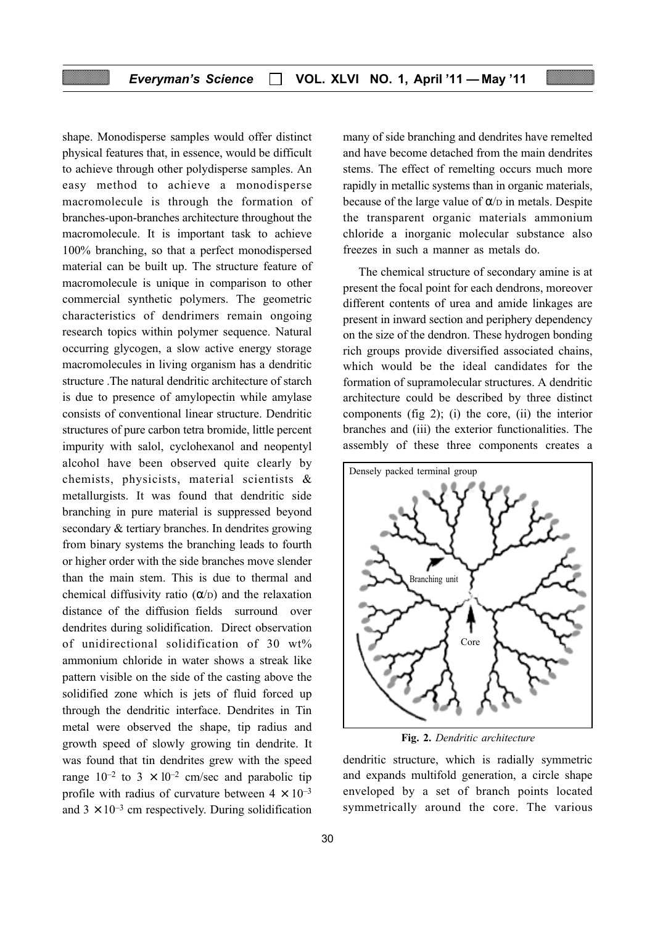shape. Monodisperse samples would offer distinct physical features that, in essence, would be difficult to achieve through other polydisperse samples. An easy method to achieve a monodisperse macromolecule is through the formation of branches-upon-branches architecture throughout the macromolecule. It is important task to achieve 100% branching, so that a perfect monodispersed material can be built up. The structure feature of macromolecule is unique in comparison to other commercial synthetic polymers. The geometric characteristics of dendrimers remain ongoing research topics within polymer sequence. Natural occurring glycogen, a slow active energy storage macromolecules in living organism has a dendritic structure .The natural dendritic architecture of starch is due to presence of amylopectin while amylase consists of conventional linear structure. Dendritic structures of pure carbon tetra bromide, little percent impurity with salol, cyclohexanol and neopentyl alcohol have been observed quite clearly by chemists, physicists, material scientists & metallurgists. It was found that dendritic side branching in pure material is suppressed beyond secondary & tertiary branches. In dendrites growing from binary systems the branching leads to fourth or higher order with the side branches move slender than the main stem. This is due to thermal and chemical diffusivity ratio  $(\alpha/\alpha)$  and the relaxation distance of the diffusion fields surround over dendrites during solidification. Direct observation of unidirectional solidification of 30 wt% ammonium chloride in water shows a streak like pattern visible on the side of the casting above the solidified zone which is jets of fluid forced up through the dendritic interface. Dendrites in Tin metal were observed the shape, tip radius and growth speed of slowly growing tin dendrite. It was found that tin dendrites grew with the speed range  $10^{-2}$  to  $3 \times 10^{-2}$  cm/sec and parabolic tip profile with radius of curvature between  $4 \times 10^{-3}$ and  $3 \times 10^{-3}$  cm respectively. During solidification

many of side branching and dendrites have remelted and have become detached from the main dendrites stems. The effect of remelting occurs much more rapidly in metallic systems than in organic materials, because of the large value of  $\alpha$ / $\beta$  in metals. Despite the transparent organic materials ammonium chloride a inorganic molecular substance also freezes in such a manner as metals do.

The chemical structure of secondary amine is at present the focal point for each dendrons, moreover different contents of urea and amide linkages are present in inward section and periphery dependency on the size of the dendron. These hydrogen bonding rich groups provide diversified associated chains, which would be the ideal candidates for the formation of supramolecular structures. A dendritic architecture could be described by three distinct components (fig 2); (i) the core, (ii) the interior branches and (iii) the exterior functionalities. The assembly of these three components creates a



Fig. 2. Dendritic architecture

dendritic structure, which is radially symmetric and expands multifold generation, a circle shape enveloped by a set of branch points located symmetrically around the core. The various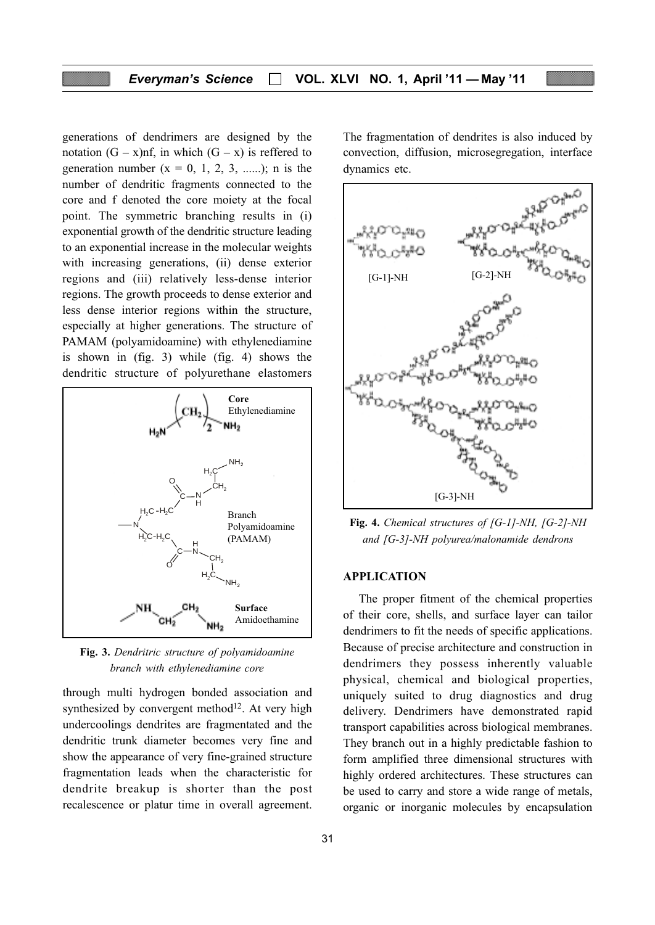generations of dendrimers are designed by the notation  $(G - x)$ nf, in which  $(G - x)$  is reffered to generation number  $(x = 0, 1, 2, 3, \ldots)$ ; n is the number of dendritic fragments connected to the core and f denoted the core moiety at the focal point. The symmetric branching results in (i) exponential growth of the dendritic structure leading to an exponential increase in the molecular weights with increasing generations, (ii) dense exterior regions and (iii) relatively less-dense interior regions. The growth proceeds to dense exterior and less dense interior regions within the structure, especially at higher generations. The structure of PAMAM (polyamidoamine) with ethylenediamine is shown in (fig. 3) while (fig. 4) shows the dendritic structure of polyurethane elastomers



Fig. 3. Dendritric structure of polyamidoamine branch with ethylenediamine core

through multi hydrogen bonded association and synthesized by convergent method<sup>12</sup>. At very high undercoolings dendrites are fragmentated and the dendritic trunk diameter becomes very fine and show the appearance of very fine-grained structure fragmentation leads when the characteristic for dendrite breakup is shorter than the post recalescence or platur time in overall agreement.

31

The fragmentation of dendrites is also induced by convection, diffusion, microsegregation, interface dynamics etc.



Fig. 4. Chemical structures of [G-1]-NH, [G-2]-NH and [G-3]-NH polyurea/malonamide dendrons

#### APPLICATION

The proper fitment of the chemical properties of their core, shells, and surface layer can tailor dendrimers to fit the needs of specific applications. Because of precise architecture and construction in dendrimers they possess inherently valuable physical, chemical and biological properties, uniquely suited to drug diagnostics and drug delivery. Dendrimers have demonstrated rapid transport capabilities across biological membranes. They branch out in a highly predictable fashion to form amplified three dimensional structures with highly ordered architectures. These structures can be used to carry and store a wide range of metals, organic or inorganic molecules by encapsulation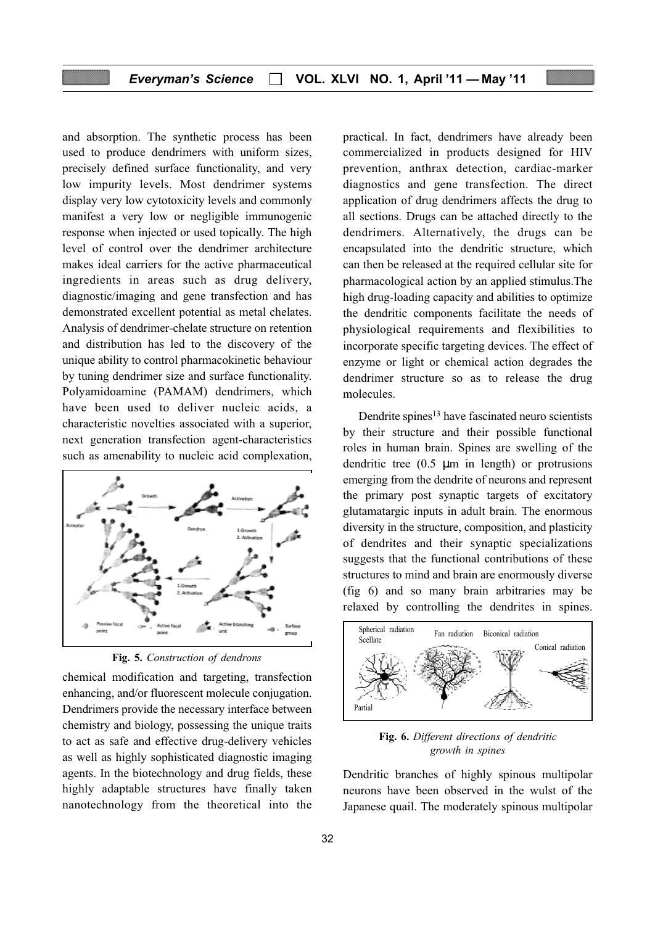and absorption. The synthetic process has been used to produce dendrimers with uniform sizes, precisely defined surface functionality, and very low impurity levels. Most dendrimer systems display very low cytotoxicity levels and commonly manifest a very low or negligible immunogenic response when injected or used topically. The high level of control over the dendrimer architecture makes ideal carriers for the active pharmaceutical ingredients in areas such as drug delivery, diagnostic/imaging and gene transfection and has demonstrated excellent potential as metal chelates. Analysis of dendrimer-chelate structure on retention and distribution has led to the discovery of the unique ability to control pharmacokinetic behaviour by tuning dendrimer size and surface functionality. Polyamidoamine (PAMAM) dendrimers, which have been used to deliver nucleic acids, a characteristic novelties associated with a superior, next generation transfection agent-characteristics such as amenability to nucleic acid complexation,



Fig. 5. Construction of dendrons

chemical modification and targeting, transfection enhancing, and/or fluorescent molecule conjugation. Dendrimers provide the necessary interface between chemistry and biology, possessing the unique traits to act as safe and effective drug-delivery vehicles as well as highly sophisticated diagnostic imaging agents. In the biotechnology and drug fields, these highly adaptable structures have finally taken nanotechnology from the theoretical into the practical. In fact, dendrimers have already been commercialized in products designed for HIV prevention, anthrax detection, cardiac-marker diagnostics and gene transfection. The direct application of drug dendrimers affects the drug to all sections. Drugs can be attached directly to the dendrimers. Alternatively, the drugs can be encapsulated into the dendritic structure, which can then be released at the required cellular site for pharmacological action by an applied stimulus.The high drug-loading capacity and abilities to optimize the dendritic components facilitate the needs of physiological requirements and flexibilities to incorporate specific targeting devices. The effect of enzyme or light or chemical action degrades the dendrimer structure so as to release the drug molecules.

Dendrite spines<sup>13</sup> have fascinated neuro scientists by their structure and their possible functional roles in human brain. Spines are swelling of the dendritic tree (0.5 µm in length) or protrusions emerging from the dendrite of neurons and represent the primary post synaptic targets of excitatory glutamatargic inputs in adult brain. The enormous diversity in the structure, composition, and plasticity of dendrites and their synaptic specializations suggests that the functional contributions of these structures to mind and brain are enormously diverse (fig 6) and so many brain arbitraries may be relaxed by controlling the dendrites in spines.



Fig. 6. Different directions of dendritic growth in spines

Dendritic branches of highly spinous multipolar neurons have been observed in the wulst of the Japanese quail. The moderately spinous multipolar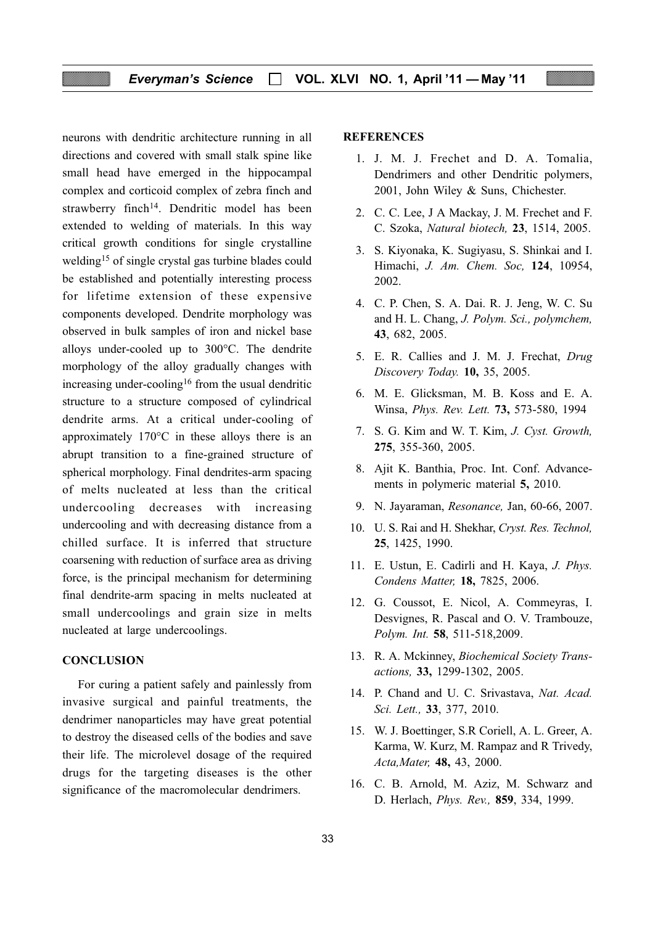neurons with dendritic architecture running in all directions and covered with small stalk spine like small head have emerged in the hippocampal complex and corticoid complex of zebra finch and strawberry finch<sup>14</sup>. Dendritic model has been extended to welding of materials. In this way critical growth conditions for single crystalline welding15 of single crystal gas turbine blades could be established and potentially interesting process for lifetime extension of these expensive components developed. Dendrite morphology was observed in bulk samples of iron and nickel base alloys under-cooled up to 300°C. The dendrite morphology of the alloy gradually changes with increasing under-cooling<sup>16</sup> from the usual dendritic structure to a structure composed of cylindrical dendrite arms. At a critical under-cooling of approximately 170°C in these alloys there is an abrupt transition to a fine-grained structure of spherical morphology. Final dendrites-arm spacing of melts nucleated at less than the critical undercooling decreases with increasing undercooling and with decreasing distance from a chilled surface. It is inferred that structure coarsening with reduction of surface area as driving force, is the principal mechanism for determining final dendrite-arm spacing in melts nucleated at small undercoolings and grain size in melts nucleated at large undercoolings.

# **CONCLUSION**

For curing a patient safely and painlessly from invasive surgical and painful treatments, the dendrimer nanoparticles may have great potential to destroy the diseased cells of the bodies and save their life. The microlevel dosage of the required drugs for the targeting diseases is the other significance of the macromolecular dendrimers.

#### **REFERENCES**

- 1. J. M. J. Frechet and D. A. Tomalia, Dendrimers and other Dendritic polymers, 2001, John Wiley & Suns, Chichester.
- 2. C. C. Lee, J A Mackay, J. M. Frechet and F. C. Szoka, Natural biotech, 23, 1514, 2005.
- 3. S. Kiyonaka, K. Sugiyasu, S. Shinkai and I. Himachi, J. Am. Chem. Soc, 124, 10954, 2002.
- 4. C. P. Chen, S. A. Dai. R. J. Jeng, W. C. Su and H. L. Chang, J. Polym. Sci., polymchem, 43, 682, 2005.
- 5. E. R. Callies and J. M. J. Frechat, Drug Discovery Today. 10, 35, 2005.
- 6. M. E. Glicksman, M. B. Koss and E. A. Winsa, Phys. Rev. Lett. 73, 573-580, 1994
- 7. S. G. Kim and W. T. Kim, J. Cyst. Growth, 275, 355-360, 2005.
- 8. Ajit K. Banthia, Proc. Int. Conf. Advancements in polymeric material 5, 2010.
- 9. N. Jayaraman, Resonance, Jan, 60-66, 2007.
- 10. U. S. Rai and H. Shekhar, Cryst. Res. Technol, 25, 1425, 1990.
- 11. E. Ustun, E. Cadirli and H. Kaya, J. Phys. Condens Matter, 18, 7825, 2006.
- 12. G. Coussot, E. Nicol, A. Commeyras, I. Desvignes, R. Pascal and O. V. Trambouze, Polym. Int. 58, 511-518,2009.
- 13. R. A. Mckinney, Biochemical Society Transactions, 33, 1299-1302, 2005.
- 14. P. Chand and U. C. Srivastava, Nat. Acad. Sci. Lett., 33, 377, 2010.
- 15. W. J. Boettinger, S.R Coriell, A. L. Greer, A. Karma, W. Kurz, M. Rampaz and R Trivedy, Acta,Mater, 48, 43, 2000.
- 16. C. B. Arnold, M. Aziz, M. Schwarz and D. Herlach, Phys. Rev., 859, 334, 1999.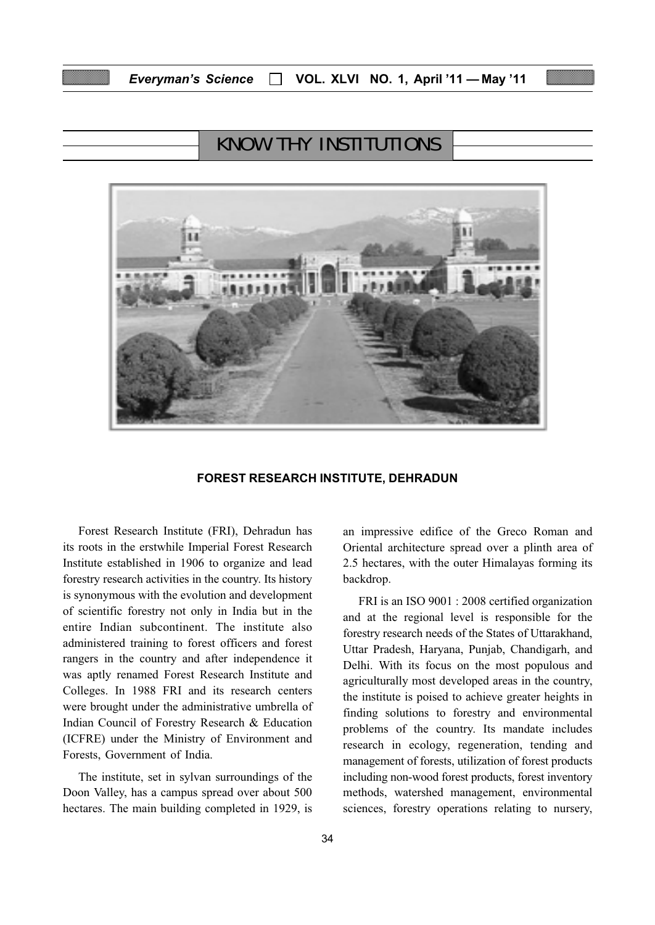# KNOW THY INSTITUTIONS



#### FOREST RESEARCH INSTITUTE, DEHRADUN

Forest Research Institute (FRI), Dehradun has its roots in the erstwhile Imperial Forest Research Institute established in 1906 to organize and lead forestry research activities in the country. Its history is synonymous with the evolution and development of scientific forestry not only in India but in the entire Indian subcontinent. The institute also administered training to forest officers and forest rangers in the country and after independence it was aptly renamed Forest Research Institute and Colleges. In 1988 FRI and its research centers were brought under the administrative umbrella of Indian Council of Forestry Research & Education (ICFRE) under the Ministry of Environment and Forests, Government of India.

The institute, set in sylvan surroundings of the Doon Valley, has a campus spread over about 500 hectares. The main building completed in 1929, is

34

an impressive edifice of the Greco Roman and Oriental architecture spread over a plinth area of 2.5 hectares, with the outer Himalayas forming its backdrop.

FRI is an ISO 9001 : 2008 certified organization and at the regional level is responsible for the forestry research needs of the States of Uttarakhand, Uttar Pradesh, Haryana, Punjab, Chandigarh, and Delhi. With its focus on the most populous and agriculturally most developed areas in the country, the institute is poised to achieve greater heights in finding solutions to forestry and environmental problems of the country. Its mandate includes research in ecology, regeneration, tending and management of forests, utilization of forest products including non-wood forest products, forest inventory methods, watershed management, environmental sciences, forestry operations relating to nursery,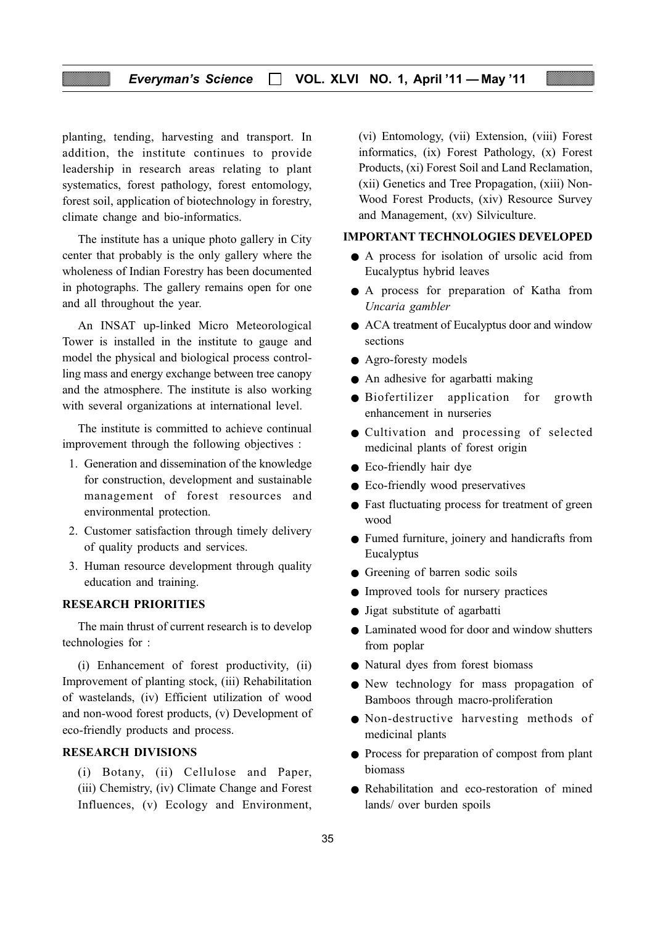# Everyman's Science □ VOL. XLVI NO. 1, April '11 — May '11

planting, tending, harvesting and transport. In addition, the institute continues to provide leadership in research areas relating to plant systematics, forest pathology, forest entomology, forest soil, application of biotechnology in forestry, climate change and bio-informatics.

The institute has a unique photo gallery in City center that probably is the only gallery where the wholeness of Indian Forestry has been documented in photographs. The gallery remains open for one and all throughout the year.

An INSAT up-linked Micro Meteorological Tower is installed in the institute to gauge and model the physical and biological process controlling mass and energy exchange between tree canopy and the atmosphere. The institute is also working with several organizations at international level.

The institute is committed to achieve continual improvement through the following objectives :

- 1. Generation and dissemination of the knowledge for construction, development and sustainable management of forest resources and environmental protection.
- 2. Customer satisfaction through timely delivery of quality products and services.
- 3. Human resource development through quality education and training.

#### RESEARCH PRIORITIES

The main thrust of current research is to develop technologies for :

(i) Enhancement of forest productivity, (ii) Improvement of planting stock, (iii) Rehabilitation of wastelands, (iv) Efficient utilization of wood and non-wood forest products, (v) Development of eco-friendly products and process.

### RESEARCH DIVISIONS

(i) Botany, (ii) Cellulose and Paper, (iii) Chemistry, (iv) Climate Change and Forest Influences, (v) Ecology and Environment,

(vi) Entomology, (vii) Extension, (viii) Forest informatics, (ix) Forest Pathology, (x) Forest Products, (xi) Forest Soil and Land Reclamation, (xii) Genetics and Tree Propagation, (xiii) Non-Wood Forest Products, (xiv) Resource Survey and Management, (xv) Silviculture.

#### IMPORTANT TECHNOLOGIES DEVELOPED

- A process for isolation of ursolic acid from Eucalyptus hybrid leaves
- A process for preparation of Katha from Uncaria gambler
- ACA treatment of Eucalyptus door and window sections
- Agro-foresty models
- An adhesive for agarbatti making
- Biofertilizer application for growth enhancement in nurseries
- Cultivation and processing of selected medicinal plants of forest origin
- Eco-friendly hair dye
- Eco-friendly wood preservatives
- Fast fluctuating process for treatment of green wood
- Fumed furniture, joinery and handicrafts from Eucalyptus
- Greening of barren sodic soils
- Improved tools for nursery practices
- Jigat substitute of agarbatti
- Laminated wood for door and window shutters from poplar
- Natural dyes from forest biomass
- New technology for mass propagation of Bamboos through macro-proliferation
- Non-destructive harvesting methods of medicinal plants
- Process for preparation of compost from plant biomass
- Rehabilitation and eco-restoration of mined lands/ over burden spoils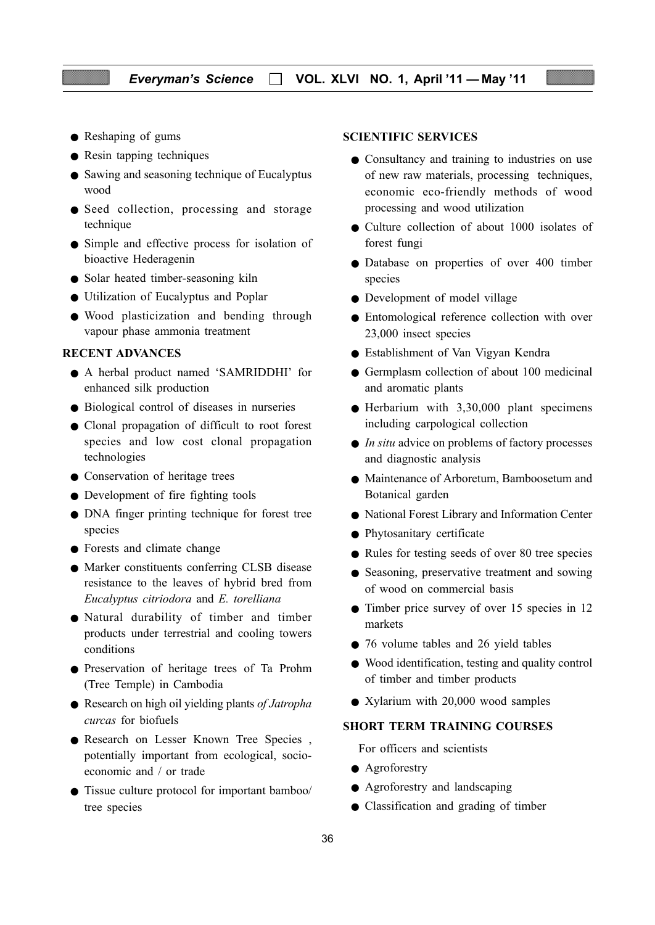- Reshaping of gums
- Resin tapping techniques
- Sawing and seasoning technique of Eucalyptus wood
- Seed collection, processing and storage technique
- Simple and effective process for isolation of bioactive Hederagenin
- Solar heated timber-seasoning kiln
- Utilization of Eucalyptus and Poplar
- Wood plasticization and bending through vapour phase ammonia treatment

#### RECENT ADVANCES

- A herbal product named 'SAMRIDDHI' for enhanced silk production
- Biological control of diseases in nurseries
- Clonal propagation of difficult to root forest species and low cost clonal propagation technologies
- Conservation of heritage trees
- Development of fire fighting tools
- DNA finger printing technique for forest tree species
- Forests and climate change
- Marker constituents conferring CLSB disease resistance to the leaves of hybrid bred from Eucalyptus citriodora and E. torelliana
- Natural durability of timber and timber products under terrestrial and cooling towers conditions
- Preservation of heritage trees of Ta Prohm (Tree Temple) in Cambodia
- Research on high oil yielding plants of Jatropha curcas for biofuels
- Research on Lesser Known Tree Species , potentially important from ecological, socioeconomic and / or trade
- Tissue culture protocol for important bamboo/ tree species

#### SCIENTIFIC SERVICES

- Consultancy and training to industries on use of new raw materials, processing techniques, economic eco-friendly methods of wood processing and wood utilization
- Culture collection of about 1000 isolates of forest fungi
- Database on properties of over 400 timber species
- Development of model village
- Entomological reference collection with over 23,000 insect species
- Establishment of Van Vigyan Kendra
- Germplasm collection of about 100 medicinal and aromatic plants
- Herbarium with 3,30,000 plant specimens including carpological collection
- $\bullet$  *In situ* advice on problems of factory processes and diagnostic analysis
- Maintenance of Arboretum, Bamboosetum and Botanical garden
- National Forest Library and Information Center
- Phytosanitary certificate
- Rules for testing seeds of over 80 tree species
- Seasoning, preservative treatment and sowing of wood on commercial basis
- Timber price survey of over 15 species in 12 markets
- 76 volume tables and 26 yield tables
- Wood identification, testing and quality control of timber and timber products
- Xylarium with 20,000 wood samples

# SHORT TERM TRAINING COURSES

For officers and scientists

- Agroforestry
- Agroforestry and landscaping
- Classification and grading of timber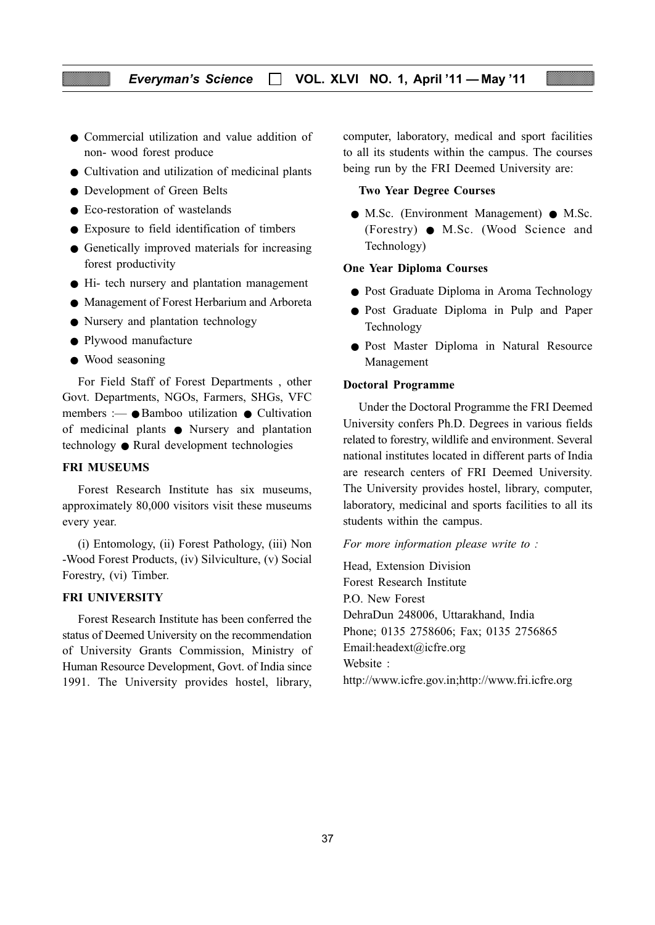- Commercial utilization and value addition of non- wood forest produce
- Cultivation and utilization of medicinal plants
- Development of Green Belts
- Eco-restoration of wastelands
- Exposure to field identification of timbers
- Genetically improved materials for increasing forest productivity
- Hi- tech nursery and plantation management
- Management of Forest Herbarium and Arboreta
- Nursery and plantation technology
- Plywood manufacture
- Wood seasoning

For Field Staff of Forest Departments , other Govt. Departments, NGOs, Farmers, SHGs, VFC members :— ● Bamboo utilization ● Cultivation of medicinal plants ● Nursery and plantation technology ● Rural development technologies

#### FRI MUSEUMS

Forest Research Institute has six museums, approximately 80,000 visitors visit these museums every year.

(i) Entomology, (ii) Forest Pathology, (iii) Non -Wood Forest Products, (iv) Silviculture, (v) Social Forestry, (vi) Timber.

#### FRI UNIVERSITY

Forest Research Institute has been conferred the status of Deemed University on the recommendation of University Grants Commission, Ministry of Human Resource Development, Govt. of India since 1991. The University provides hostel, library, computer, laboratory, medical and sport facilities to all its students within the campus. The courses being run by the FRI Deemed University are:

#### Two Year Degree Courses

● M.Sc. (Environment Management) ● M.Sc. (Forestry) ● M.Sc. (Wood Science and Technology)

#### One Year Diploma Courses

- Post Graduate Diploma in Aroma Technology
- Post Graduate Diploma in Pulp and Paper Technology
- Post Master Diploma in Natural Resource Management

#### Doctoral Programme

Under the Doctoral Programme the FRI Deemed University confers Ph.D. Degrees in various fields related to forestry, wildlife and environment. Several national institutes located in different parts of India are research centers of FRI Deemed University. The University provides hostel, library, computer, laboratory, medicinal and sports facilities to all its students within the campus.

#### For more information please write to :

Head, Extension Division Forest Research Institute P.O. New Forest DehraDun 248006, Uttarakhand, India Phone; 0135 2758606; Fax; 0135 2756865 Email:headext@icfre.org Website : http://www.icfre.gov.in;http://www.fri.icfre.org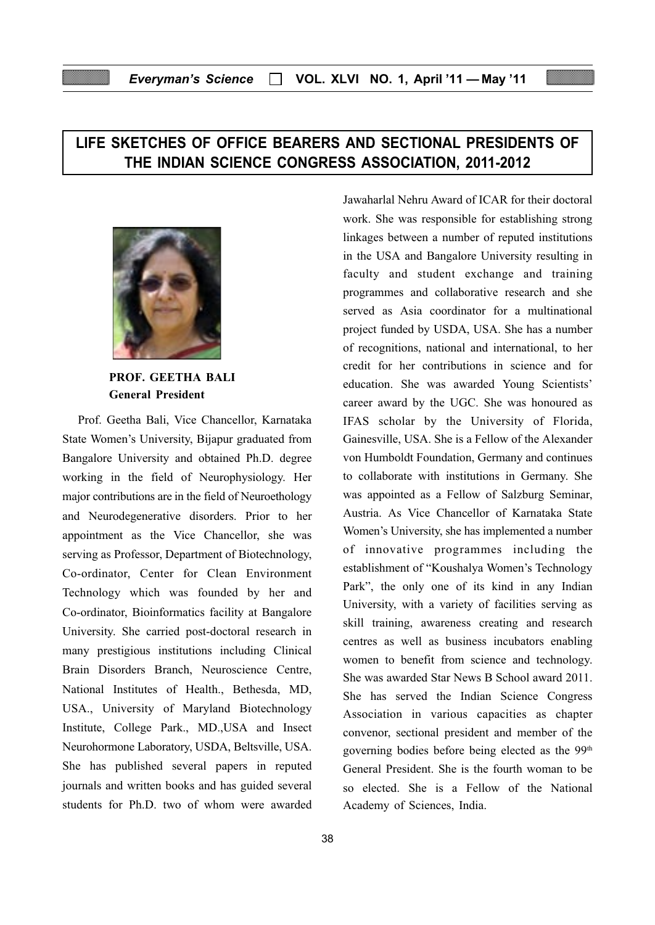# Everyman's Science  $\Box$  VOL. XLVI NO. 1, April '11 — May '11

# LIFE SKETCHES OF OFFICE BEARERS AND SECTIONAL PRESIDENTS OF THE INDIAN SCIENCE CONGRESS ASSOCIATION, 2011-2012



PROF. GEETHA BALI General President

Prof. Geetha Bali, Vice Chancellor, Karnataka State Women's University, Bijapur graduated from Bangalore University and obtained Ph.D. degree working in the field of Neurophysiology. Her major contributions are in the field of Neuroethology and Neurodegenerative disorders. Prior to her appointment as the Vice Chancellor, she was serving as Professor, Department of Biotechnology, Co-ordinator, Center for Clean Environment Technology which was founded by her and Co-ordinator, Bioinformatics facility at Bangalore University. She carried post-doctoral research in many prestigious institutions including Clinical Brain Disorders Branch, Neuroscience Centre, National Institutes of Health., Bethesda, MD, USA., University of Maryland Biotechnology Institute, College Park., MD.,USA and Insect Neurohormone Laboratory, USDA, Beltsville, USA. She has published several papers in reputed journals and written books and has guided several students for Ph.D. two of whom were awarded

Jawaharlal Nehru Award of ICAR for their doctoral work. She was responsible for establishing strong linkages between a number of reputed institutions in the USA and Bangalore University resulting in faculty and student exchange and training programmes and collaborative research and she served as Asia coordinator for a multinational project funded by USDA, USA. She has a number of recognitions, national and international, to her credit for her contributions in science and for education. She was awarded Young Scientists' career award by the UGC. She was honoured as IFAS scholar by the University of Florida, Gainesville, USA. She is a Fellow of the Alexander von Humboldt Foundation, Germany and continues to collaborate with institutions in Germany. She was appointed as a Fellow of Salzburg Seminar, Austria. As Vice Chancellor of Karnataka State Women's University, she has implemented a number of innovative programmes including the establishment of "Koushalya Women's Technology Park", the only one of its kind in any Indian University, with a variety of facilities serving as skill training, awareness creating and research centres as well as business incubators enabling women to benefit from science and technology. She was awarded Star News B School award 2011. She has served the Indian Science Congress Association in various capacities as chapter convenor, sectional president and member of the governing bodies before being elected as the 99th General President. She is the fourth woman to be so elected. She is a Fellow of the National Academy of Sciences, India.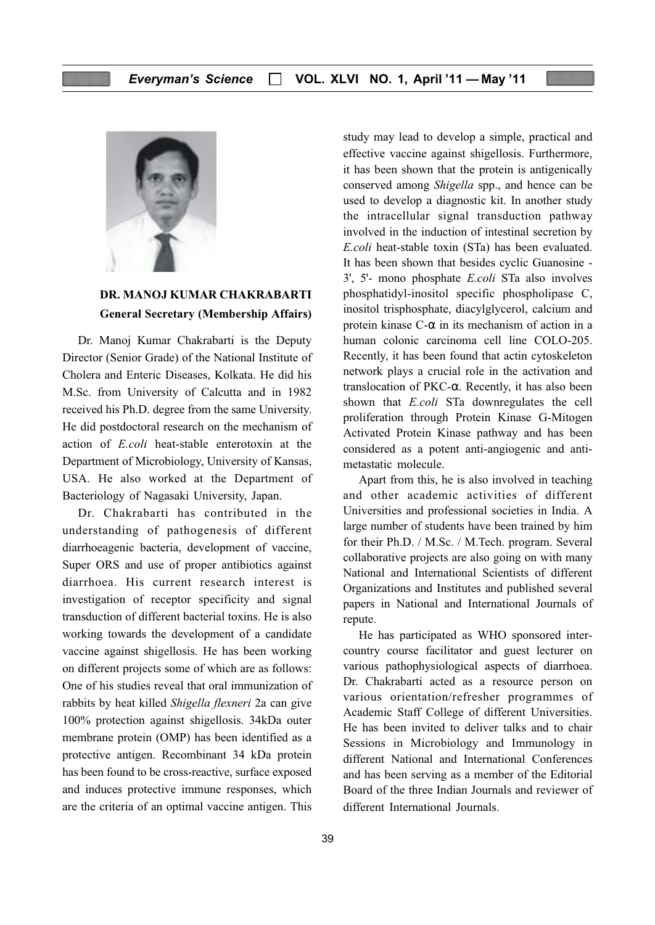

# DR. MANOJ KUMAR CHAKRABARTI General Secretary (Membership Affairs)

Dr. Manoj Kumar Chakrabarti is the Deputy Director (Senior Grade) of the National Institute of Cholera and Enteric Diseases, Kolkata. He did his M.Sc. from University of Calcutta and in 1982 received his Ph.D. degree from the same University. He did postdoctoral research on the mechanism of action of E.coli heat-stable enterotoxin at the Department of Microbiology, University of Kansas, USA. He also worked at the Department of Bacteriology of Nagasaki University, Japan.

Dr. Chakrabarti has contributed in the understanding of pathogenesis of different diarrhoeagenic bacteria, development of vaccine, Super ORS and use of proper antibiotics against diarrhoea. His current research interest is investigation of receptor specificity and signal transduction of different bacterial toxins. He is also working towards the development of a candidate vaccine against shigellosis. He has been working on different projects some of which are as follows: One of his studies reveal that oral immunization of rabbits by heat killed Shigella flexneri 2a can give 100% protection against shigellosis. 34kDa outer membrane protein (OMP) has been identified as a protective antigen. Recombinant 34 kDa protein has been found to be cross-reactive, surface exposed and induces protective immune responses, which are the criteria of an optimal vaccine antigen. This

study may lead to develop a simple, practical and effective vaccine against shigellosis. Furthermore, it has been shown that the protein is antigenically conserved among Shigella spp., and hence can be used to develop a diagnostic kit. In another study the intracellular signal transduction pathway involved in the induction of intestinal secretion by E.coli heat-stable toxin (STa) has been evaluated. It has been shown that besides cyclic Guanosine - 3', 5'- mono phosphate E.coli STa also involves phosphatidyl-inositol specific phospholipase C, inositol trisphosphate, diacylglycerol, calcium and protein kinase  $C$ - $\alpha$  in its mechanism of action in a human colonic carcinoma cell line COLO-205. Recently, it has been found that actin cytoskeleton network plays a crucial role in the activation and translocation of PKC-α. Recently, it has also been shown that E.coli STa downregulates the cell proliferation through Protein Kinase G-Mitogen Activated Protein Kinase pathway and has been considered as a potent anti-angiogenic and antimetastatic molecule.

Apart from this, he is also involved in teaching and other academic activities of different Universities and professional societies in India. A large number of students have been trained by him for their Ph.D. / M.Sc. / M.Tech. program. Several collaborative projects are also going on with many National and International Scientists of different Organizations and Institutes and published several papers in National and International Journals of repute.

He has participated as WHO sponsored intercountry course facilitator and guest lecturer on various pathophysiological aspects of diarrhoea. Dr. Chakrabarti acted as a resource person on various orientation/refresher programmes of Academic Staff College of different Universities. He has been invited to deliver talks and to chair Sessions in Microbiology and Immunology in different National and International Conferences and has been serving as a member of the Editorial Board of the three Indian Journals and reviewer of different International Journals.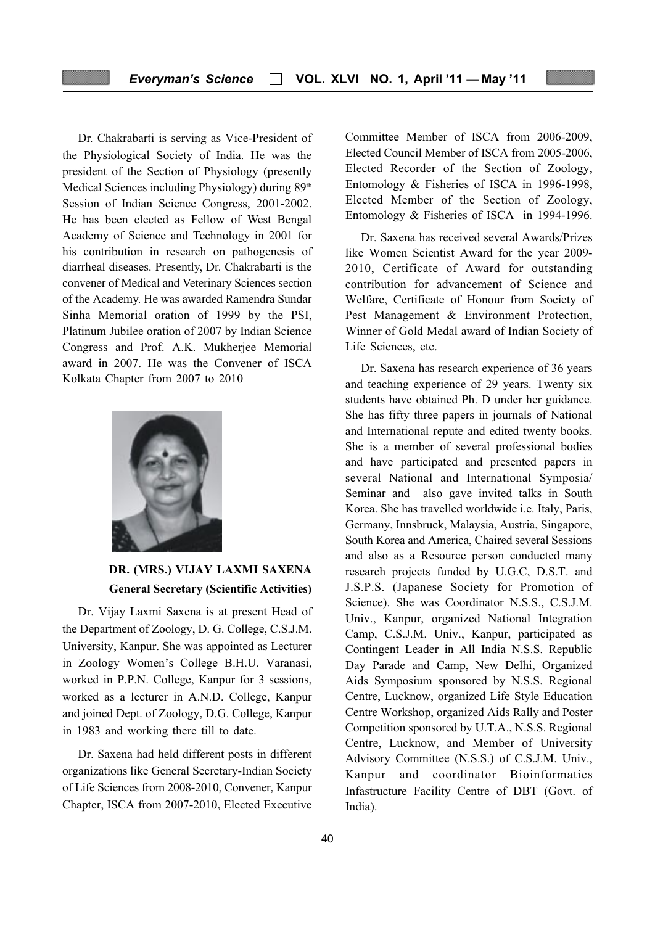#### Everyman's Science  $\Box$  VOL. XLVI NO. 1, April '11 — May '11

Dr. Chakrabarti is serving as Vice-President of the Physiological Society of India. He was the president of the Section of Physiology (presently Medical Sciences including Physiology) during 89<sup>th</sup> Session of Indian Science Congress, 2001-2002. He has been elected as Fellow of West Bengal Academy of Science and Technology in 2001 for his contribution in research on pathogenesis of diarrheal diseases. Presently, Dr. Chakrabarti is the convener of Medical and Veterinary Sciences section of the Academy. He was awarded Ramendra Sundar Sinha Memorial oration of 1999 by the PSI, Platinum Jubilee oration of 2007 by Indian Science Congress and Prof. A.K. Mukherjee Memorial award in 2007. He was the Convener of ISCA Kolkata Chapter from 2007 to 2010



# DR. (MRS.) VIJAY LAXMI SAXENA General Secretary (Scientific Activities)

Dr. Vijay Laxmi Saxena is at present Head of the Department of Zoology, D. G. College, C.S.J.M. University, Kanpur. She was appointed as Lecturer in Zoology Women's College B.H.U. Varanasi, worked in P.P.N. College, Kanpur for 3 sessions, worked as a lecturer in A.N.D. College, Kanpur and joined Dept. of Zoology, D.G. College, Kanpur in 1983 and working there till to date.

Dr. Saxena had held different posts in different organizations like General Secretary-Indian Society of Life Sciences from 2008-2010, Convener, Kanpur Chapter, ISCA from 2007-2010, Elected Executive Committee Member of ISCA from 2006-2009, Elected Council Member of ISCA from 2005-2006, Elected Recorder of the Section of Zoology, Entomology & Fisheries of ISCA in 1996-1998, Elected Member of the Section of Zoology, Entomology & Fisheries of ISCA in 1994-1996.

Dr. Saxena has received several Awards/Prizes like Women Scientist Award for the year 2009- 2010, Certificate of Award for outstanding contribution for advancement of Science and Welfare, Certificate of Honour from Society of Pest Management & Environment Protection, Winner of Gold Medal award of Indian Society of Life Sciences, etc.

Dr. Saxena has research experience of 36 years and teaching experience of 29 years. Twenty six students have obtained Ph. D under her guidance. She has fifty three papers in journals of National and International repute and edited twenty books. She is a member of several professional bodies and have participated and presented papers in several National and International Symposia/ Seminar and also gave invited talks in South Korea. She has travelled worldwide i.e. Italy, Paris, Germany, Innsbruck, Malaysia, Austria, Singapore, South Korea and America, Chaired several Sessions and also as a Resource person conducted many research projects funded by U.G.C, D.S.T. and J.S.P.S. (Japanese Society for Promotion of Science). She was Coordinator N.S.S., C.S.J.M. Univ., Kanpur, organized National Integration Camp, C.S.J.M. Univ., Kanpur, participated as Contingent Leader in All India N.S.S. Republic Day Parade and Camp, New Delhi, Organized Aids Symposium sponsored by N.S.S. Regional Centre, Lucknow, organized Life Style Education Centre Workshop, organized Aids Rally and Poster Competition sponsored by U.T.A., N.S.S. Regional Centre, Lucknow, and Member of University Advisory Committee (N.S.S.) of C.S.J.M. Univ., Kanpur and coordinator Bioinformatics Infastructure Facility Centre of DBT (Govt. of India).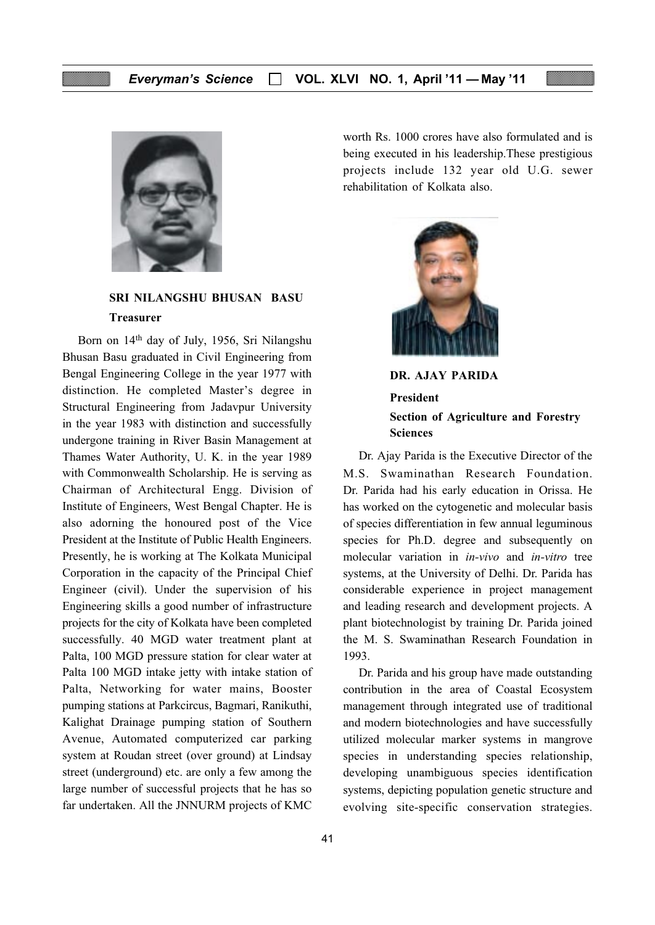

SRI NILANGSHU BHUSAN BASU Treasurer

Born on 14th day of July, 1956, Sri Nilangshu Bhusan Basu graduated in Civil Engineering from Bengal Engineering College in the year 1977 with distinction. He completed Master's degree in Structural Engineering from Jadavpur University in the year 1983 with distinction and successfully undergone training in River Basin Management at Thames Water Authority, U. K. in the year 1989 with Commonwealth Scholarship. He is serving as Chairman of Architectural Engg. Division of Institute of Engineers, West Bengal Chapter. He is also adorning the honoured post of the Vice President at the Institute of Public Health Engineers. Presently, he is working at The Kolkata Municipal Corporation in the capacity of the Principal Chief Engineer (civil). Under the supervision of his Engineering skills a good number of infrastructure projects for the city of Kolkata have been completed successfully. 40 MGD water treatment plant at Palta, 100 MGD pressure station for clear water at Palta 100 MGD intake jetty with intake station of Palta, Networking for water mains, Booster pumping stations at Parkcircus, Bagmari, Ranikuthi, Kalighat Drainage pumping station of Southern Avenue, Automated computerized car parking system at Roudan street (over ground) at Lindsay street (underground) etc. are only a few among the large number of successful projects that he has so far undertaken. All the JNNURM projects of KMC

worth Rs. 1000 crores have also formulated and is being executed in his leadership.These prestigious projects include 132 year old U.G. sewer rehabilitation of Kolkata also.



DR. AJAY PARIDA President Section of Agriculture and Forestry Sciences

Dr. Ajay Parida is the Executive Director of the M.S. Swaminathan Research Foundation. Dr. Parida had his early education in Orissa. He has worked on the cytogenetic and molecular basis of species differentiation in few annual leguminous species for Ph.D. degree and subsequently on molecular variation in in-vivo and in-vitro tree systems, at the University of Delhi. Dr. Parida has considerable experience in project management and leading research and development projects. A plant biotechnologist by training Dr. Parida joined the M. S. Swaminathan Research Foundation in 1993.

Dr. Parida and his group have made outstanding contribution in the area of Coastal Ecosystem management through integrated use of traditional and modern biotechnologies and have successfully utilized molecular marker systems in mangrove species in understanding species relationship, developing unambiguous species identification systems, depicting population genetic structure and evolving site-specific conservation strategies.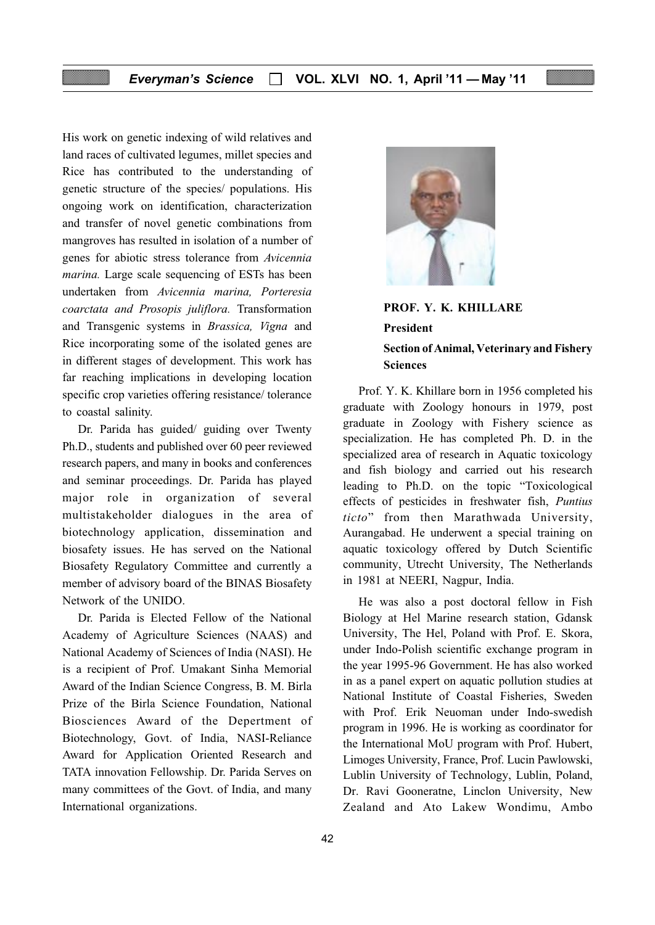His work on genetic indexing of wild relatives and land races of cultivated legumes, millet species and Rice has contributed to the understanding of genetic structure of the species/ populations. His ongoing work on identification, characterization and transfer of novel genetic combinations from mangroves has resulted in isolation of a number of genes for abiotic stress tolerance from Avicennia marina. Large scale sequencing of ESTs has been undertaken from Avicennia marina, Porteresia coarctata and Prosopis juliflora. Transformation and Transgenic systems in Brassica, Vigna and Rice incorporating some of the isolated genes are in different stages of development. This work has far reaching implications in developing location specific crop varieties offering resistance/ tolerance to coastal salinity.

Dr. Parida has guided/ guiding over Twenty Ph.D., students and published over 60 peer reviewed research papers, and many in books and conferences and seminar proceedings. Dr. Parida has played major role in organization of several multistakeholder dialogues in the area of biotechnology application, dissemination and biosafety issues. He has served on the National Biosafety Regulatory Committee and currently a member of advisory board of the BINAS Biosafety Network of the UNIDO.

Dr. Parida is Elected Fellow of the National Academy of Agriculture Sciences (NAAS) and National Academy of Sciences of India (NASI). He is a recipient of Prof. Umakant Sinha Memorial Award of the Indian Science Congress, B. M. Birla Prize of the Birla Science Foundation, National Biosciences Award of the Depertment of Biotechnology, Govt. of India, NASI-Reliance Award for Application Oriented Research and TATA innovation Fellowship. Dr. Parida Serves on many committees of the Govt. of India, and many International organizations.



PROF. Y. K. KHILLARE President Section of Animal, Veterinary and Fishery Sciences

Prof. Y. K. Khillare born in 1956 completed his graduate with Zoology honours in 1979, post graduate in Zoology with Fishery science as specialization. He has completed Ph. D. in the specialized area of research in Aquatic toxicology and fish biology and carried out his research leading to Ph.D. on the topic "Toxicological effects of pesticides in freshwater fish, Puntius ticto" from then Marathwada University, Aurangabad. He underwent a special training on aquatic toxicology offered by Dutch Scientific community, Utrecht University, The Netherlands in 1981 at NEERI, Nagpur, India.

He was also a post doctoral fellow in Fish Biology at Hel Marine research station, Gdansk University, The Hel, Poland with Prof. E. Skora, under Indo-Polish scientific exchange program in the year 1995-96 Government. He has also worked in as a panel expert on aquatic pollution studies at National Institute of Coastal Fisheries, Sweden with Prof. Erik Neuoman under Indo-swedish program in 1996. He is working as coordinator for the International MoU program with Prof. Hubert, Limoges University, France, Prof. Lucin Pawlowski, Lublin University of Technology, Lublin, Poland, Dr. Ravi Gooneratne, Linclon University, New Zealand and Ato Lakew Wondimu, Ambo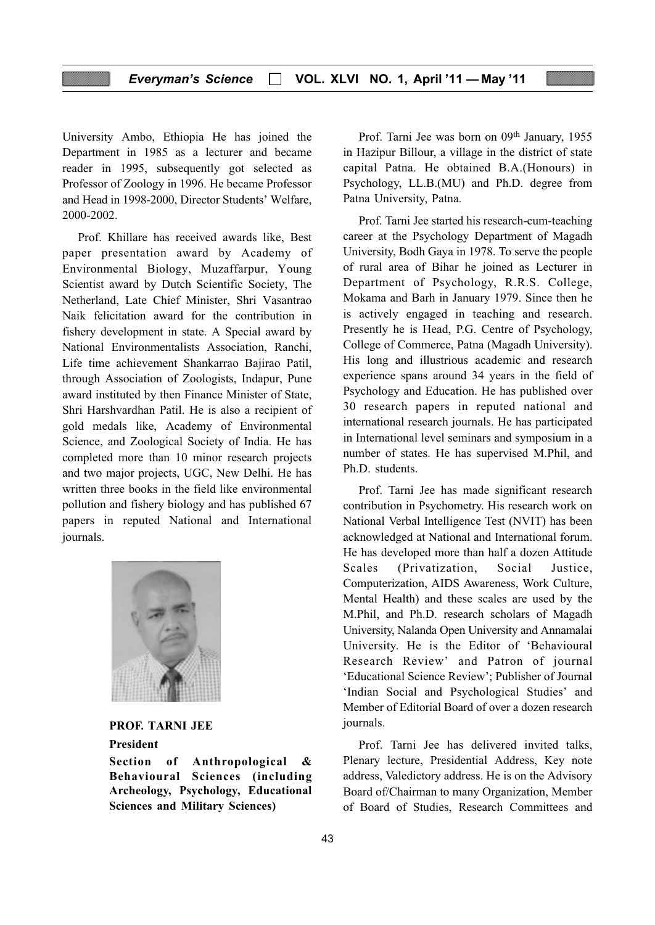University Ambo, Ethiopia He has joined the Department in 1985 as a lecturer and became reader in 1995, subsequently got selected as Professor of Zoology in 1996. He became Professor and Head in 1998-2000, Director Students' Welfare, 2000-2002.

Prof. Khillare has received awards like, Best paper presentation award by Academy of Environmental Biology, Muzaffarpur, Young Scientist award by Dutch Scientific Society, The Netherland, Late Chief Minister, Shri Vasantrao Naik felicitation award for the contribution in fishery development in state. A Special award by National Environmentalists Association, Ranchi, Life time achievement Shankarrao Bajirao Patil, through Association of Zoologists, Indapur, Pune award instituted by then Finance Minister of State, Shri Harshvardhan Patil. He is also a recipient of gold medals like, Academy of Environmental Science, and Zoological Society of India. He has completed more than 10 minor research projects and two major projects, UGC, New Delhi. He has written three books in the field like environmental pollution and fishery biology and has published 67 papers in reputed National and International journals.



# PROF. TARNI JEE President

Section of Anthropological & Behavioural Sciences (including Archeology, Psychology, Educational Sciences and Military Sciences)

Prof. Tarni Jee was born on 09th January, 1955 in Hazipur Billour, a village in the district of state capital Patna. He obtained B.A.(Honours) in Psychology, LL.B.(MU) and Ph.D. degree from Patna University, Patna.

Prof. Tarni Jee started his research-cum-teaching career at the Psychology Department of Magadh University, Bodh Gaya in 1978. To serve the people of rural area of Bihar he joined as Lecturer in Department of Psychology, R.R.S. College, Mokama and Barh in January 1979. Since then he is actively engaged in teaching and research. Presently he is Head, P.G. Centre of Psychology, College of Commerce, Patna (Magadh University). His long and illustrious academic and research experience spans around 34 years in the field of Psychology and Education. He has published over 30 research papers in reputed national and international research journals. He has participated in International level seminars and symposium in a number of states. He has supervised M.Phil, and Ph.D. students.

Prof. Tarni Jee has made significant research contribution in Psychometry. His research work on National Verbal Intelligence Test (NVIT) has been acknowledged at National and International forum. He has developed more than half a dozen Attitude Scales (Privatization, Social Justice, Computerization, AIDS Awareness, Work Culture, Mental Health) and these scales are used by the M.Phil, and Ph.D. research scholars of Magadh University, Nalanda Open University and Annamalai University. He is the Editor of 'Behavioural Research Review' and Patron of journal 'Educational Science Review'; Publisher of Journal 'Indian Social and Psychological Studies' and Member of Editorial Board of over a dozen research journals.

Prof. Tarni Jee has delivered invited talks, Plenary lecture, Presidential Address, Key note address, Valedictory address. He is on the Advisory Board of/Chairman to many Organization, Member of Board of Studies, Research Committees and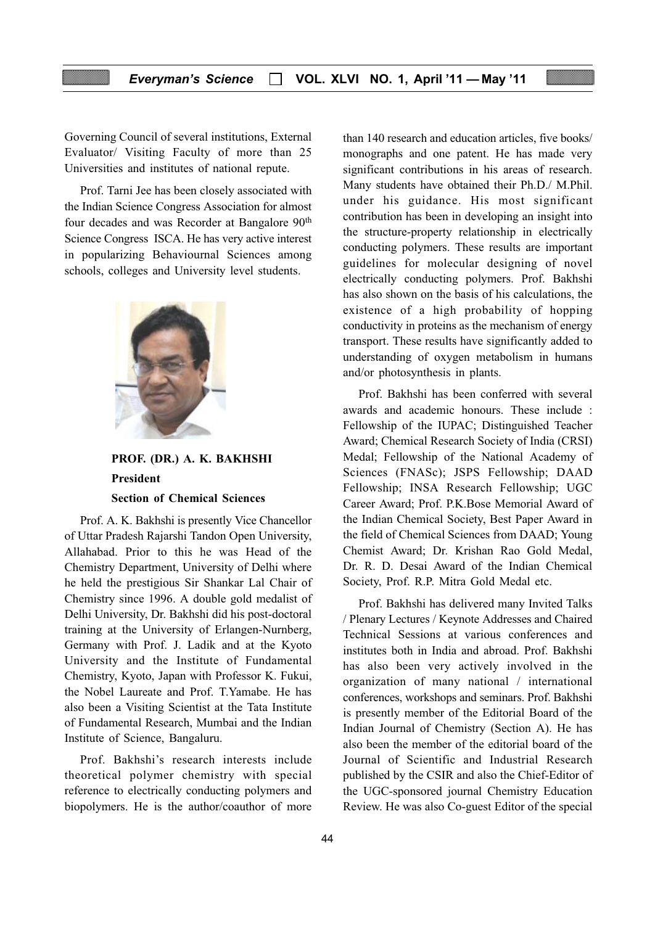Governing Council of several institutions, External Evaluator/ Visiting Faculty of more than 25 Universities and institutes of national repute.

Prof. Tarni Jee has been closely associated with the Indian Science Congress Association for almost four decades and was Recorder at Bangalore 90th Science Congress ISCA. He has very active interest in popularizing Behaviournal Sciences among schools, colleges and University level students.



# PROF. (DR.) A. K. BAKHSHI President Section of Chemical Sciences

Prof. A. K. Bakhshi is presently Vice Chancellor of Uttar Pradesh Rajarshi Tandon Open University, Allahabad. Prior to this he was Head of the Chemistry Department, University of Delhi where he held the prestigious Sir Shankar Lal Chair of Chemistry since 1996. A double gold medalist of Delhi University, Dr. Bakhshi did his post-doctoral training at the University of Erlangen-Nurnberg, Germany with Prof. J. Ladik and at the Kyoto University and the Institute of Fundamental Chemistry, Kyoto, Japan with Professor K. Fukui, the Nobel Laureate and Prof. T.Yamabe. He has also been a Visiting Scientist at the Tata Institute of Fundamental Research, Mumbai and the Indian Institute of Science, Bangaluru.

Prof. Bakhshi's research interests include theoretical polymer chemistry with special reference to electrically conducting polymers and biopolymers. He is the author/coauthor of more than 140 research and education articles, five books/ monographs and one patent. He has made very significant contributions in his areas of research. Many students have obtained their Ph.D./ M.Phil. under his guidance. His most significant contribution has been in developing an insight into the structure-property relationship in electrically conducting polymers. These results are important guidelines for molecular designing of novel electrically conducting polymers. Prof. Bakhshi has also shown on the basis of his calculations, the existence of a high probability of hopping conductivity in proteins as the mechanism of energy transport. These results have significantly added to understanding of oxygen metabolism in humans and/or photosynthesis in plants.

Prof. Bakhshi has been conferred with several awards and academic honours. These include : Fellowship of the IUPAC; Distinguished Teacher Award; Chemical Research Society of India (CRSI) Medal; Fellowship of the National Academy of Sciences (FNASc); JSPS Fellowship; DAAD Fellowship; INSA Research Fellowship; UGC Career Award; Prof. P.K.Bose Memorial Award of the Indian Chemical Society, Best Paper Award in the field of Chemical Sciences from DAAD; Young Chemist Award; Dr. Krishan Rao Gold Medal, Dr. R. D. Desai Award of the Indian Chemical Society, Prof. R.P. Mitra Gold Medal etc.

Prof. Bakhshi has delivered many Invited Talks / Plenary Lectures / Keynote Addresses and Chaired Technical Sessions at various conferences and institutes both in India and abroad. Prof. Bakhshi has also been very actively involved in the organization of many national / international conferences, workshops and seminars. Prof. Bakhshi is presently member of the Editorial Board of the Indian Journal of Chemistry (Section A). He has also been the member of the editorial board of the Journal of Scientific and Industrial Research published by the CSIR and also the Chief-Editor of the UGC-sponsored journal Chemistry Education Review. He was also Co-guest Editor of the special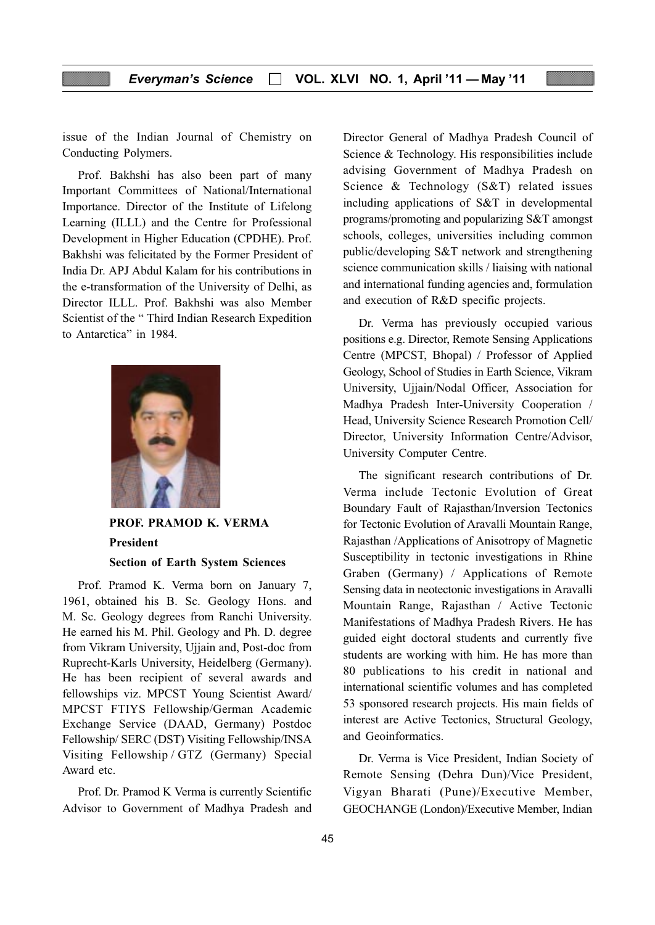issue of the Indian Journal of Chemistry on Conducting Polymers.

Prof. Bakhshi has also been part of many Important Committees of National/International Importance. Director of the Institute of Lifelong Learning (ILLL) and the Centre for Professional Development in Higher Education (CPDHE). Prof. Bakhshi was felicitated by the Former President of India Dr. APJ Abdul Kalam for his contributions in the e-transformation of the University of Delhi, as Director ILLL. Prof. Bakhshi was also Member Scientist of the " Third Indian Research Expedition to Antarctica" in 1984.



PROF. PRAMOD K. VERMA President Section of Earth System Sciences

Prof. Pramod K. Verma born on January 7, 1961, obtained his B. Sc. Geology Hons. and M. Sc. Geology degrees from Ranchi University. He earned his M. Phil. Geology and Ph. D. degree from Vikram University, Ujjain and, Post-doc from Ruprecht-Karls University, Heidelberg (Germany). He has been recipient of several awards and fellowships viz. MPCST Young Scientist Award/ MPCST FTIYS Fellowship/German Academic Exchange Service (DAAD, Germany) Postdoc Fellowship/ SERC (DST) Visiting Fellowship/INSA Visiting Fellowship / GTZ (Germany) Special Award etc.

Prof. Dr. Pramod K Verma is currently Scientific Advisor to Government of Madhya Pradesh and Director General of Madhya Pradesh Council of Science & Technology. His responsibilities include advising Government of Madhya Pradesh on Science & Technology (S&T) related issues including applications of S&T in developmental programs/promoting and popularizing S&T amongst schools, colleges, universities including common public/developing S&T network and strengthening science communication skills / liaising with national and international funding agencies and, formulation and execution of R&D specific projects.

Dr. Verma has previously occupied various positions e.g. Director, Remote Sensing Applications Centre (MPCST, Bhopal) / Professor of Applied Geology, School of Studies in Earth Science, Vikram University, Ujjain/Nodal Officer, Association for Madhya Pradesh Inter-University Cooperation / Head, University Science Research Promotion Cell/ Director, University Information Centre/Advisor, University Computer Centre.

The significant research contributions of Dr. Verma include Tectonic Evolution of Great Boundary Fault of Rajasthan/Inversion Tectonics for Tectonic Evolution of Aravalli Mountain Range, Rajasthan /Applications of Anisotropy of Magnetic Susceptibility in tectonic investigations in Rhine Graben (Germany) / Applications of Remote Sensing data in neotectonic investigations in Aravalli Mountain Range, Rajasthan / Active Tectonic Manifestations of Madhya Pradesh Rivers. He has guided eight doctoral students and currently five students are working with him. He has more than 80 publications to his credit in national and international scientific volumes and has completed 53 sponsored research projects. His main fields of interest are Active Tectonics, Structural Geology, and Geoinformatics.

Dr. Verma is Vice President, Indian Society of Remote Sensing (Dehra Dun)/Vice President, Vigyan Bharati (Pune)/Executive Member, GEOCHANGE (London)/Executive Member, Indian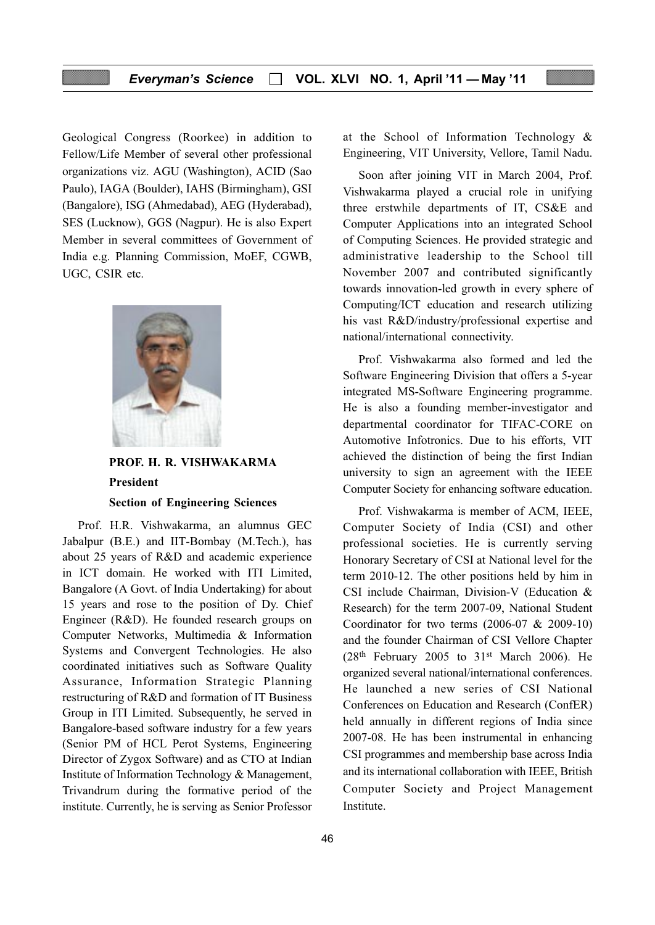Geological Congress (Roorkee) in addition to Fellow/Life Member of several other professional organizations viz. AGU (Washington), ACID (Sao Paulo), IAGA (Boulder), IAHS (Birmingham), GSI (Bangalore), ISG (Ahmedabad), AEG (Hyderabad), SES (Lucknow), GGS (Nagpur). He is also Expert Member in several committees of Government of India e.g. Planning Commission, MoEF, CGWB, UGC, CSIR etc.



PROF. H. R. VISHWAKARMA President Section of Engineering Sciences

Prof. H.R. Vishwakarma, an alumnus GEC Jabalpur (B.E.) and IIT-Bombay (M.Tech.), has about 25 years of R&D and academic experience in ICT domain. He worked with ITI Limited, Bangalore (A Govt. of India Undertaking) for about 15 years and rose to the position of Dy. Chief Engineer (R&D). He founded research groups on Computer Networks, Multimedia & Information Systems and Convergent Technologies. He also coordinated initiatives such as Software Quality Assurance, Information Strategic Planning restructuring of R&D and formation of IT Business Group in ITI Limited. Subsequently, he served in Bangalore-based software industry for a few years (Senior PM of HCL Perot Systems, Engineering Director of Zygox Software) and as CTO at Indian Institute of Information Technology & Management, Trivandrum during the formative period of the institute. Currently, he is serving as Senior Professor at the School of Information Technology & Engineering, VIT University, Vellore, Tamil Nadu.

Soon after joining VIT in March 2004, Prof. Vishwakarma played a crucial role in unifying three erstwhile departments of IT, CS&E and Computer Applications into an integrated School of Computing Sciences. He provided strategic and administrative leadership to the School till November 2007 and contributed significantly towards innovation-led growth in every sphere of Computing/ICT education and research utilizing his vast R&D/industry/professional expertise and national/international connectivity.

Prof. Vishwakarma also formed and led the Software Engineering Division that offers a 5-year integrated MS-Software Engineering programme. He is also a founding member-investigator and departmental coordinator for TIFAC-CORE on Automotive Infotronics. Due to his efforts, VIT achieved the distinction of being the first Indian university to sign an agreement with the IEEE Computer Society for enhancing software education.

Prof. Vishwakarma is member of ACM, IEEE, Computer Society of India (CSI) and other professional societies. He is currently serving Honorary Secretary of CSI at National level for the term 2010-12. The other positions held by him in CSI include Chairman, Division-V (Education & Research) for the term 2007-09, National Student Coordinator for two terms (2006-07 & 2009-10) and the founder Chairman of CSI Vellore Chapter  $(28<sup>th</sup>$  February 2005 to 31<sup>st</sup> March 2006). He organized several national/international conferences. He launched a new series of CSI National Conferences on Education and Research (ConfER) held annually in different regions of India since 2007-08. He has been instrumental in enhancing CSI programmes and membership base across India and its international collaboration with IEEE, British Computer Society and Project Management Institute.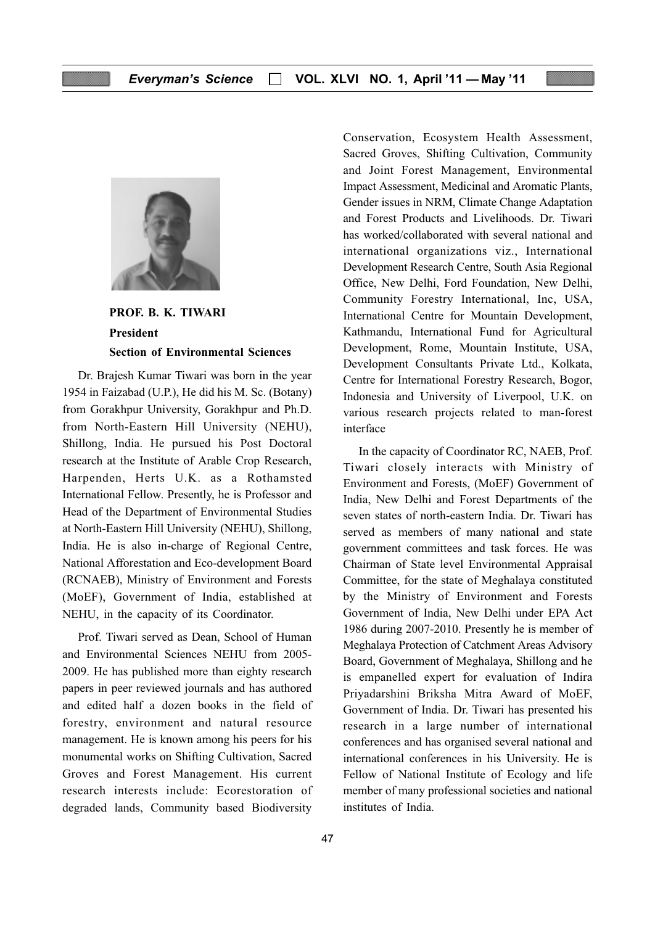

PROF. B. K. TIWARI President Section of Environmental Sciences

Dr. Brajesh Kumar Tiwari was born in the year 1954 in Faizabad (U.P.), He did his M. Sc. (Botany) from Gorakhpur University, Gorakhpur and Ph.D. from North-Eastern Hill University (NEHU), Shillong, India. He pursued his Post Doctoral research at the Institute of Arable Crop Research, Harpenden, Herts U.K. as a Rothamsted International Fellow. Presently, he is Professor and Head of the Department of Environmental Studies at North-Eastern Hill University (NEHU), Shillong, India. He is also in-charge of Regional Centre, National Afforestation and Eco-development Board (RCNAEB), Ministry of Environment and Forests (MoEF), Government of India, established at NEHU, in the capacity of its Coordinator.

Prof. Tiwari served as Dean, School of Human and Environmental Sciences NEHU from 2005- 2009. He has published more than eighty research papers in peer reviewed journals and has authored and edited half a dozen books in the field of forestry, environment and natural resource management. He is known among his peers for his monumental works on Shifting Cultivation, Sacred Groves and Forest Management. His current research interests include: Ecorestoration of degraded lands, Community based Biodiversity

Conservation, Ecosystem Health Assessment, Sacred Groves, Shifting Cultivation, Community and Joint Forest Management, Environmental Impact Assessment, Medicinal and Aromatic Plants, Gender issues in NRM, Climate Change Adaptation and Forest Products and Livelihoods. Dr. Tiwari has worked/collaborated with several national and international organizations viz., International Development Research Centre, South Asia Regional Office, New Delhi, Ford Foundation, New Delhi, Community Forestry International, Inc, USA, International Centre for Mountain Development, Kathmandu, International Fund for Agricultural Development, Rome, Mountain Institute, USA, Development Consultants Private Ltd., Kolkata, Centre for International Forestry Research, Bogor, Indonesia and University of Liverpool, U.K. on various research projects related to man-forest interface

In the capacity of Coordinator RC, NAEB, Prof. Tiwari closely interacts with Ministry of Environment and Forests, (MoEF) Government of India, New Delhi and Forest Departments of the seven states of north-eastern India. Dr. Tiwari has served as members of many national and state government committees and task forces. He was Chairman of State level Environmental Appraisal Committee, for the state of Meghalaya constituted by the Ministry of Environment and Forests Government of India, New Delhi under EPA Act 1986 during 2007-2010. Presently he is member of Meghalaya Protection of Catchment Areas Advisory Board, Government of Meghalaya, Shillong and he is empanelled expert for evaluation of Indira Priyadarshini Briksha Mitra Award of MoEF, Government of India. Dr. Tiwari has presented his research in a large number of international conferences and has organised several national and international conferences in his University. He is Fellow of National Institute of Ecology and life member of many professional societies and national institutes of India.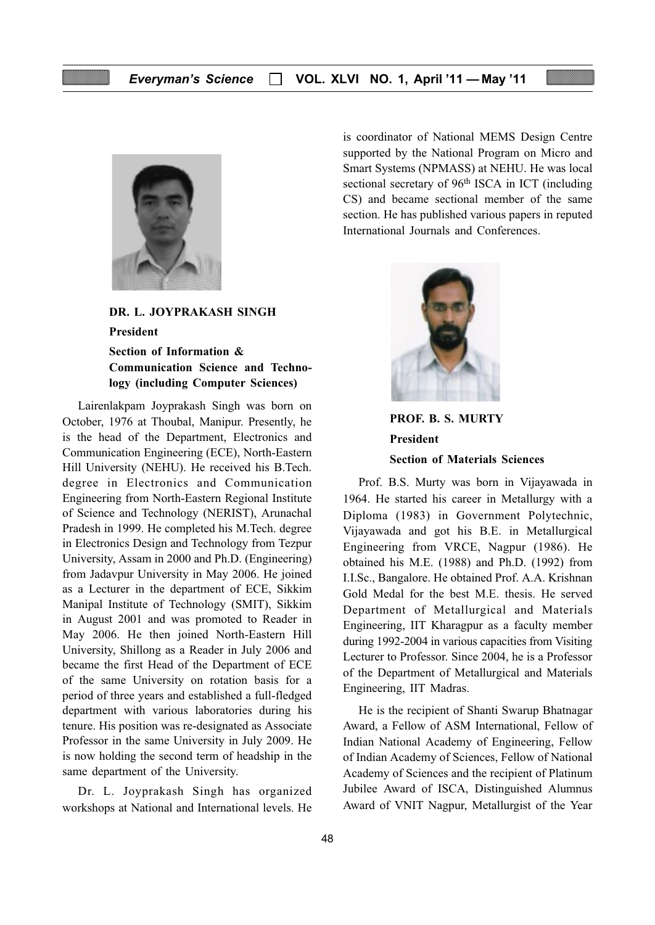

DR. L. JOYPRAKASH SINGH

President

Section of Information & Communication Science and Technology (including Computer Sciences)

Lairenlakpam Joyprakash Singh was born on October, 1976 at Thoubal, Manipur. Presently, he is the head of the Department, Electronics and Communication Engineering (ECE), North-Eastern Hill University (NEHU). He received his B.Tech. degree in Electronics and Communication Engineering from North-Eastern Regional Institute of Science and Technology (NERIST), Arunachal Pradesh in 1999. He completed his M.Tech. degree in Electronics Design and Technology from Tezpur University, Assam in 2000 and Ph.D. (Engineering) from Jadavpur University in May 2006. He joined as a Lecturer in the department of ECE, Sikkim Manipal Institute of Technology (SMIT), Sikkim in August 2001 and was promoted to Reader in May 2006. He then joined North-Eastern Hill University, Shillong as a Reader in July 2006 and became the first Head of the Department of ECE of the same University on rotation basis for a period of three years and established a full-fledged department with various laboratories during his tenure. His position was re-designated as Associate Professor in the same University in July 2009. He is now holding the second term of headship in the same department of the University.

Dr. L. Joyprakash Singh has organized workshops at National and International levels. He is coordinator of National MEMS Design Centre supported by the National Program on Micro and Smart Systems (NPMASS) at NEHU. He was local sectional secretary of 96<sup>th</sup> ISCA in ICT (including CS) and became sectional member of the same section. He has published various papers in reputed International Journals and Conferences.



PROF. B. S. MURTY President Section of Materials Sciences

Prof. B.S. Murty was born in Vijayawada in 1964. He started his career in Metallurgy with a Diploma (1983) in Government Polytechnic, Vijayawada and got his B.E. in Metallurgical Engineering from VRCE, Nagpur (1986). He obtained his M.E. (1988) and Ph.D. (1992) from I.I.Sc., Bangalore. He obtained Prof. A.A. Krishnan Gold Medal for the best M.E. thesis. He served Department of Metallurgical and Materials Engineering, IIT Kharagpur as a faculty member during 1992-2004 in various capacities from Visiting Lecturer to Professor. Since 2004, he is a Professor of the Department of Metallurgical and Materials Engineering, IIT Madras.

He is the recipient of Shanti Swarup Bhatnagar Award, a Fellow of ASM International, Fellow of Indian National Academy of Engineering, Fellow of Indian Academy of Sciences, Fellow of National Academy of Sciences and the recipient of Platinum Jubilee Award of ISCA, Distinguished Alumnus Award of VNIT Nagpur, Metallurgist of the Year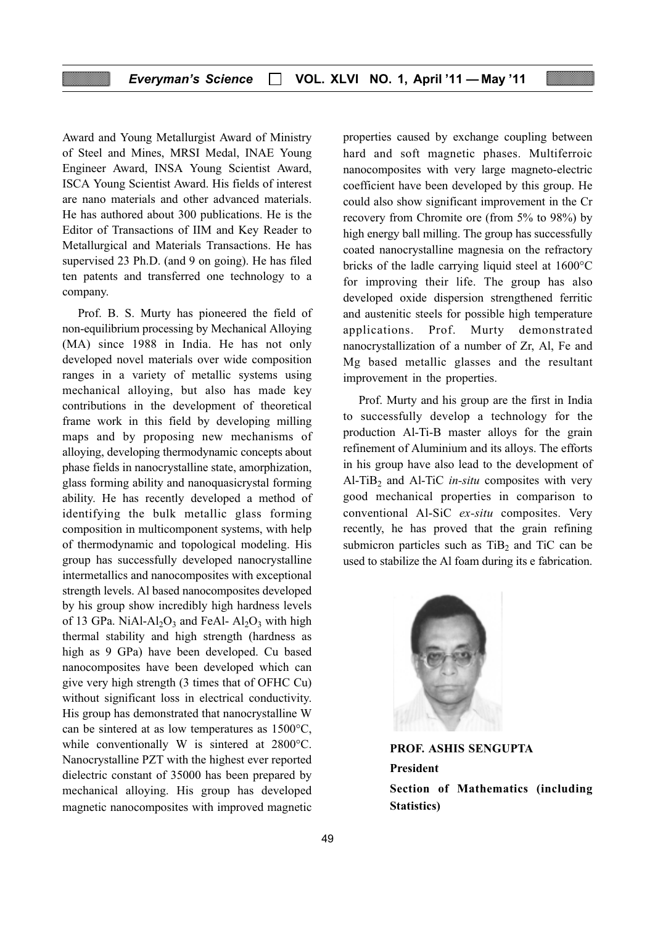Award and Young Metallurgist Award of Ministry of Steel and Mines, MRSI Medal, INAE Young Engineer Award, INSA Young Scientist Award, ISCA Young Scientist Award. His fields of interest are nano materials and other advanced materials. He has authored about 300 publications. He is the Editor of Transactions of IIM and Key Reader to Metallurgical and Materials Transactions. He has supervised 23 Ph.D. (and 9 on going). He has filed ten patents and transferred one technology to a company.

Prof. B. S. Murty has pioneered the field of non-equilibrium processing by Mechanical Alloying (MA) since 1988 in India. He has not only developed novel materials over wide composition ranges in a variety of metallic systems using mechanical alloying, but also has made key contributions in the development of theoretical frame work in this field by developing milling maps and by proposing new mechanisms of alloying, developing thermodynamic concepts about phase fields in nanocrystalline state, amorphization, glass forming ability and nanoquasicrystal forming ability. He has recently developed a method of identifying the bulk metallic glass forming composition in multicomponent systems, with help of thermodynamic and topological modeling. His group has successfully developed nanocrystalline intermetallics and nanocomposites with exceptional strength levels. Al based nanocomposites developed by his group show incredibly high hardness levels of 13 GPa. NiAl-Al<sub>2</sub>O<sub>3</sub> and FeAl-  $Al_2O_3$  with high thermal stability and high strength (hardness as high as 9 GPa) have been developed. Cu based nanocomposites have been developed which can give very high strength (3 times that of OFHC Cu) without significant loss in electrical conductivity. His group has demonstrated that nanocrystalline W can be sintered at as low temperatures as 1500°C, while conventionally W is sintered at 2800°C. Nanocrystalline PZT with the highest ever reported dielectric constant of 35000 has been prepared by mechanical alloying. His group has developed magnetic nanocomposites with improved magnetic properties caused by exchange coupling between hard and soft magnetic phases. Multiferroic nanocomposites with very large magneto-electric coefficient have been developed by this group. He could also show significant improvement in the Cr recovery from Chromite ore (from 5% to 98%) by high energy ball milling. The group has successfully coated nanocrystalline magnesia on the refractory bricks of the ladle carrying liquid steel at 1600°C for improving their life. The group has also developed oxide dispersion strengthened ferritic and austenitic steels for possible high temperature applications. Prof. Murty demonstrated nanocrystallization of a number of Zr, Al, Fe and Mg based metallic glasses and the resultant improvement in the properties.

Prof. Murty and his group are the first in India to successfully develop a technology for the production Al-Ti-B master alloys for the grain refinement of Aluminium and its alloys. The efforts in his group have also lead to the development of Al-TiB<sub>2</sub> and Al-TiC *in-situ* composites with very good mechanical properties in comparison to conventional Al-SiC ex-situ composites. Very recently, he has proved that the grain refining submicron particles such as  $TiB<sub>2</sub>$  and TiC can be used to stabilize the Al foam during its e fabrication.



Statistics)

PROF. ASHIS SENGUPTA President Section of Mathematics (including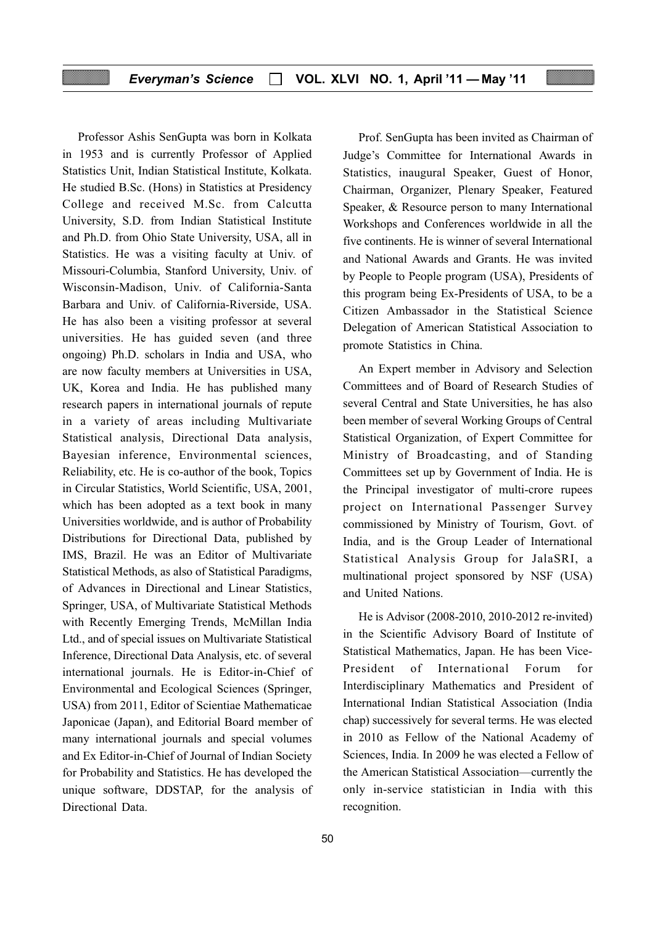#### Everyman's Science  $\Box$  VOL. XLVI NO. 1, April '11 - May '11

Professor Ashis SenGupta was born in Kolkata in 1953 and is currently Professor of Applied Statistics Unit, Indian Statistical Institute, Kolkata. He studied B.Sc. (Hons) in Statistics at Presidency College and received M.Sc. from Calcutta University, S.D. from Indian Statistical Institute and Ph.D. from Ohio State University, USA, all in Statistics. He was a visiting faculty at Univ. of Missouri-Columbia, Stanford University, Univ. of Wisconsin-Madison, Univ. of California-Santa Barbara and Univ. of California-Riverside, USA. He has also been a visiting professor at several universities. He has guided seven (and three ongoing) Ph.D. scholars in India and USA, who are now faculty members at Universities in USA, UK, Korea and India. He has published many research papers in international journals of repute in a variety of areas including Multivariate Statistical analysis, Directional Data analysis, Bayesian inference, Environmental sciences, Reliability, etc. He is co-author of the book, Topics in Circular Statistics, World Scientific, USA, 2001, which has been adopted as a text book in many Universities worldwide, and is author of Probability Distributions for Directional Data, published by IMS, Brazil. He was an Editor of Multivariate Statistical Methods, as also of Statistical Paradigms, of Advances in Directional and Linear Statistics, Springer, USA, of Multivariate Statistical Methods with Recently Emerging Trends, McMillan India Ltd., and of special issues on Multivariate Statistical Inference, Directional Data Analysis, etc. of several international journals. He is Editor-in-Chief of Environmental and Ecological Sciences (Springer, USA) from 2011, Editor of Scientiae Mathematicae Japonicae (Japan), and Editorial Board member of many international journals and special volumes and Ex Editor-in-Chief of Journal of Indian Society for Probability and Statistics. He has developed the unique software, DDSTAP, for the analysis of Directional Data.

Prof. SenGupta has been invited as Chairman of Judge's Committee for International Awards in Statistics, inaugural Speaker, Guest of Honor, Chairman, Organizer, Plenary Speaker, Featured Speaker, & Resource person to many International Workshops and Conferences worldwide in all the five continents. He is winner of several International and National Awards and Grants. He was invited by People to People program (USA), Presidents of this program being Ex-Presidents of USA, to be a Citizen Ambassador in the Statistical Science Delegation of American Statistical Association to promote Statistics in China.

An Expert member in Advisory and Selection Committees and of Board of Research Studies of several Central and State Universities, he has also been member of several Working Groups of Central Statistical Organization, of Expert Committee for Ministry of Broadcasting, and of Standing Committees set up by Government of India. He is the Principal investigator of multi-crore rupees project on International Passenger Survey commissioned by Ministry of Tourism, Govt. of India, and is the Group Leader of International Statistical Analysis Group for JalaSRI, a multinational project sponsored by NSF (USA) and United Nations.

He is Advisor (2008-2010, 2010-2012 re-invited) in the Scientific Advisory Board of Institute of Statistical Mathematics, Japan. He has been Vice-President of International Forum for Interdisciplinary Mathematics and President of International Indian Statistical Association (India chap) successively for several terms. He was elected in 2010 as Fellow of the National Academy of Sciences, India. In 2009 he was elected a Fellow of the American Statistical Association—currently the only in-service statistician in India with this recognition.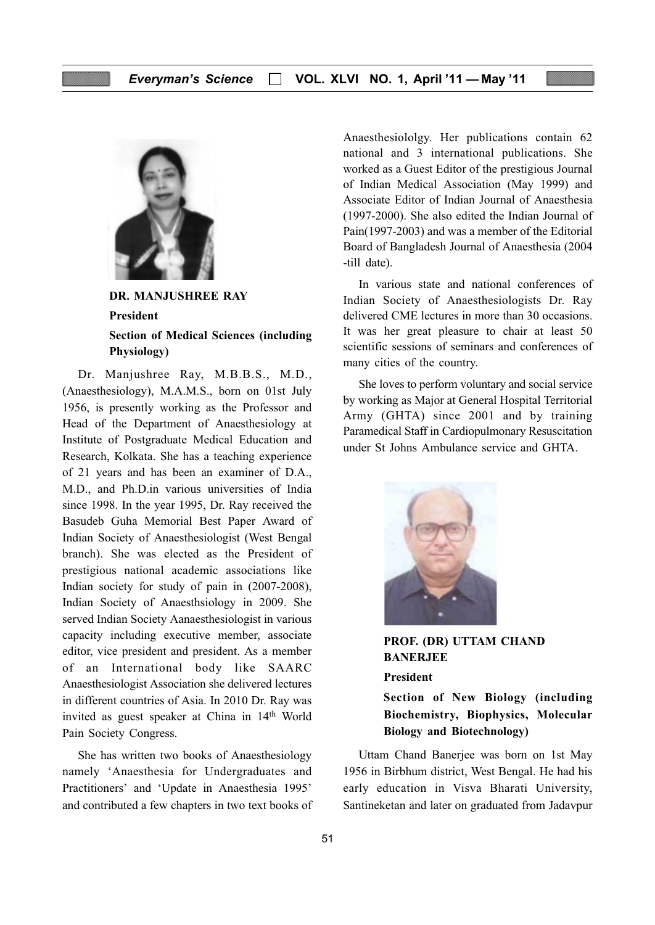

DR. MANJUSHREE RAY President Section of Medical Sciences (including Physiology)

Dr. Manjushree Ray, M.B.B.S., M.D., (Anaesthesiology), M.A.M.S., born on 01st July 1956, is presently working as the Professor and Head of the Department of Anaesthesiology at Institute of Postgraduate Medical Education and Research, Kolkata. She has a teaching experience of 21 years and has been an examiner of D.A., M.D., and Ph.D.in various universities of India since 1998. In the year 1995, Dr. Ray received the Basudeb Guha Memorial Best Paper Award of Indian Society of Anaesthesiologist (West Bengal branch). She was elected as the President of prestigious national academic associations like Indian society for study of pain in (2007-2008), Indian Society of Anaesthsiology in 2009. She served Indian Society Aanaesthesiologist in various capacity including executive member, associate editor, vice president and president. As a member of an International body like SAARC Anaesthesiologist Association she delivered lectures in different countries of Asia. In 2010 Dr. Ray was invited as guest speaker at China in 14<sup>th</sup> World Pain Society Congress.

She has written two books of Anaesthesiology namely 'Anaesthesia for Undergraduates and Practitioners' and 'Update in Anaesthesia 1995' and contributed a few chapters in two text books of Anaesthesiololgy. Her publications contain 62 national and 3 international publications. She worked as a Guest Editor of the prestigious Journal of Indian Medical Association (May 1999) and Associate Editor of Indian Journal of Anaesthesia (1997-2000). She also edited the Indian Journal of Pain(1997-2003) and was a member of the Editorial Board of Bangladesh Journal of Anaesthesia (2004 -till date).

In various state and national conferences of Indian Society of Anaesthesiologists Dr. Ray delivered CME lectures in more than 30 occasions. It was her great pleasure to chair at least 50 scientific sessions of seminars and conferences of many cities of the country.

She loves to perform voluntary and social service by working as Major at General Hospital Territorial Army (GHTA) since 2001 and by training Paramedical Staff in Cardiopulmonary Resuscitation under St Johns Ambulance service and GHTA.



PROF. (DR) UTTAM CHAND BANERJEE

#### President

Section of New Biology (including Biochemistry, Biophysics, Molecular Biology and Biotechnology)

Uttam Chand Banerjee was born on 1st May 1956 in Birbhum district, West Bengal. He had his early education in Visva Bharati University, Santineketan and later on graduated from Jadavpur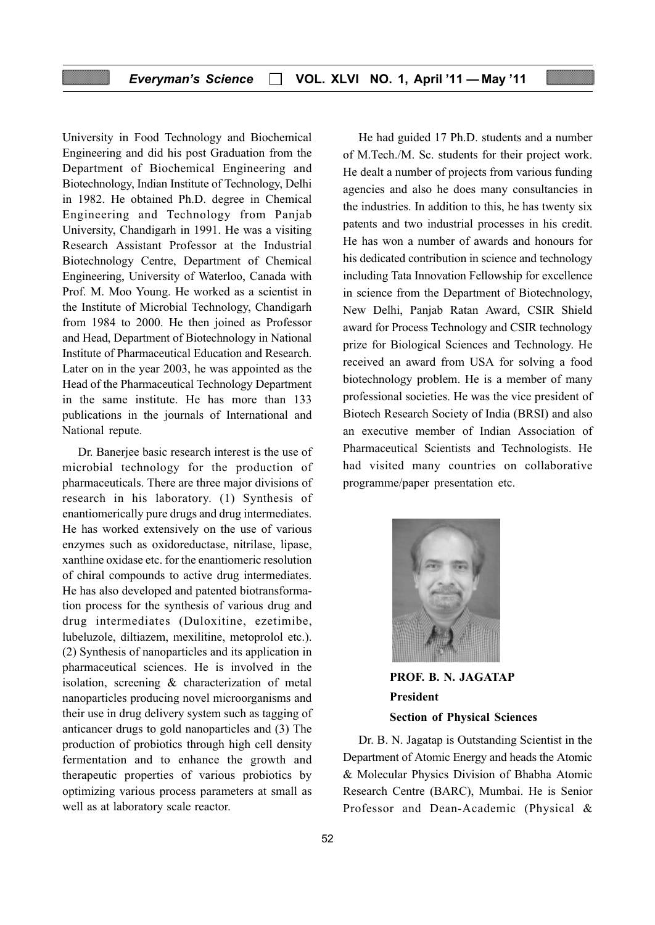### Everyman's Science  $\Box$  VOL. XLVI NO. 1, April '11 - May '11

University in Food Technology and Biochemical Engineering and did his post Graduation from the Department of Biochemical Engineering and Biotechnology, Indian Institute of Technology, Delhi in 1982. He obtained Ph.D. degree in Chemical Engineering and Technology from Panjab University, Chandigarh in 1991. He was a visiting Research Assistant Professor at the Industrial Biotechnology Centre, Department of Chemical Engineering, University of Waterloo, Canada with Prof. M. Moo Young. He worked as a scientist in the Institute of Microbial Technology, Chandigarh from 1984 to 2000. He then joined as Professor and Head, Department of Biotechnology in National Institute of Pharmaceutical Education and Research. Later on in the year 2003, he was appointed as the Head of the Pharmaceutical Technology Department in the same institute. He has more than 133 publications in the journals of International and National repute.

Dr. Banerjee basic research interest is the use of microbial technology for the production of pharmaceuticals. There are three major divisions of research in his laboratory. (1) Synthesis of enantiomerically pure drugs and drug intermediates. He has worked extensively on the use of various enzymes such as oxidoreductase, nitrilase, lipase, xanthine oxidase etc. for the enantiomeric resolution of chiral compounds to active drug intermediates. He has also developed and patented biotransformation process for the synthesis of various drug and drug intermediates (Duloxitine, ezetimibe, lubeluzole, diltiazem, mexilitine, metoprolol etc.). (2) Synthesis of nanoparticles and its application in pharmaceutical sciences. He is involved in the isolation, screening & characterization of metal nanoparticles producing novel microorganisms and their use in drug delivery system such as tagging of anticancer drugs to gold nanoparticles and (3) The production of probiotics through high cell density fermentation and to enhance the growth and therapeutic properties of various probiotics by optimizing various process parameters at small as well as at laboratory scale reactor.

He had guided 17 Ph.D. students and a number of M.Tech./M. Sc. students for their project work. He dealt a number of projects from various funding agencies and also he does many consultancies in the industries. In addition to this, he has twenty six patents and two industrial processes in his credit. He has won a number of awards and honours for his dedicated contribution in science and technology including Tata Innovation Fellowship for excellence in science from the Department of Biotechnology, New Delhi, Panjab Ratan Award, CSIR Shield award for Process Technology and CSIR technology prize for Biological Sciences and Technology. He received an award from USA for solving a food biotechnology problem. He is a member of many professional societies. He was the vice president of Biotech Research Society of India (BRSI) and also an executive member of Indian Association of Pharmaceutical Scientists and Technologists. He had visited many countries on collaborative programme/paper presentation etc.



PROF. B. N. JAGATAP President Section of Physical Sciences

Dr. B. N. Jagatap is Outstanding Scientist in the Department of Atomic Energy and heads the Atomic & Molecular Physics Division of Bhabha Atomic Research Centre (BARC), Mumbai. He is Senior Professor and Dean-Academic (Physical &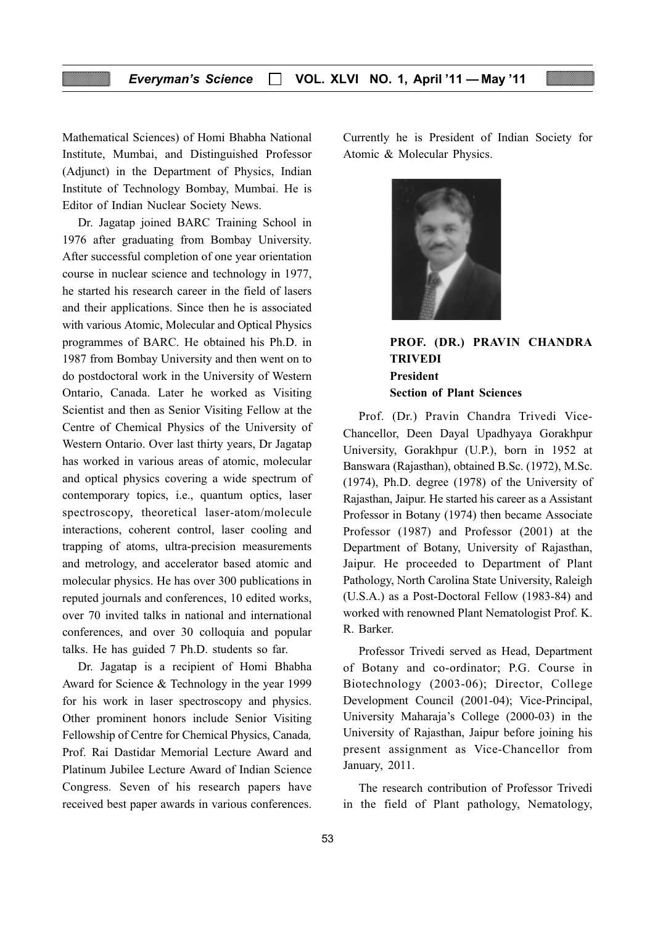Mathematical Sciences) of Homi Bhabha National Institute, Mumbai, and Distinguished Professor (Adjunct) in the Department of Physics, Indian Institute of Technology Bombay, Mumbai. He is Editor of Indian Nuclear Society News.

Dr. Jagatap joined BARC Training School in 1976 after graduating from Bombay University. After successful completion of one year orientation course in nuclear science and technology in 1977, he started his research career in the field of lasers and their applications. Since then he is associated with various Atomic, Molecular and Optical Physics programmes of BARC. He obtained his Ph.D. in 1987 from Bombay University and then went on to do postdoctoral work in the University of Western Ontario, Canada. Later he worked as Visiting Scientist and then as Senior Visiting Fellow at the Centre of Chemical Physics of the University of Western Ontario. Over last thirty years, Dr Jagatap has worked in various areas of atomic, molecular and optical physics covering a wide spectrum of contemporary topics, i.e., quantum optics, laser spectroscopy, theoretical laser-atom/molecule interactions, coherent control, laser cooling and trapping of atoms, ultra-precision measurements and metrology, and accelerator based atomic and molecular physics. He has over 300 publications in reputed journals and conferences, 10 edited works, over 70 invited talks in national and international conferences, and over 30 colloquia and popular talks. He has guided 7 Ph.D. students so far.

Dr. Jagatap is a recipient of Homi Bhabha Award for Science & Technology in the year 1999 for his work in laser spectroscopy and physics. Other prominent honors include Senior Visiting Fellowship of Centre for Chemical Physics, Canada, Prof. Rai Dastidar Memorial Lecture Award and Platinum Jubilee Lecture Award of Indian Science Congress. Seven of his research papers have received best paper awards in various conferences. Currently he is President of Indian Society for Atomic & Molecular Physics.



# PROF. (DR.) PRAVIN CHANDRA TRIVEDI President Section of Plant Sciences

Prof. (Dr.) Pravin Chandra Trivedi Vice-Chancellor, Deen Dayal Upadhyaya Gorakhpur University, Gorakhpur (U.P.), born in 1952 at Banswara (Rajasthan), obtained B.Sc. (1972), M.Sc. (1974), Ph.D. degree (1978) of the University of Rajasthan, Jaipur. He started his career as a Assistant Professor in Botany (1974) then became Associate Professor (1987) and Professor (2001) at the Department of Botany, University of Rajasthan, Jaipur. He proceeded to Department of Plant Pathology, North Carolina State University, Raleigh (U.S.A.) as a Post-Doctoral Fellow (1983-84) and worked with renowned Plant Nematologist Prof. K. R. Barker.

Professor Trivedi served as Head, Department of Botany and co-ordinator; P.G. Course in Biotechnology (2003-06); Director, College Development Council (2001-04); Vice-Principal, University Maharaja's College (2000-03) in the University of Rajasthan, Jaipur before joining his present assignment as Vice-Chancellor from January, 2011.

The research contribution of Professor Trivedi in the field of Plant pathology, Nematology,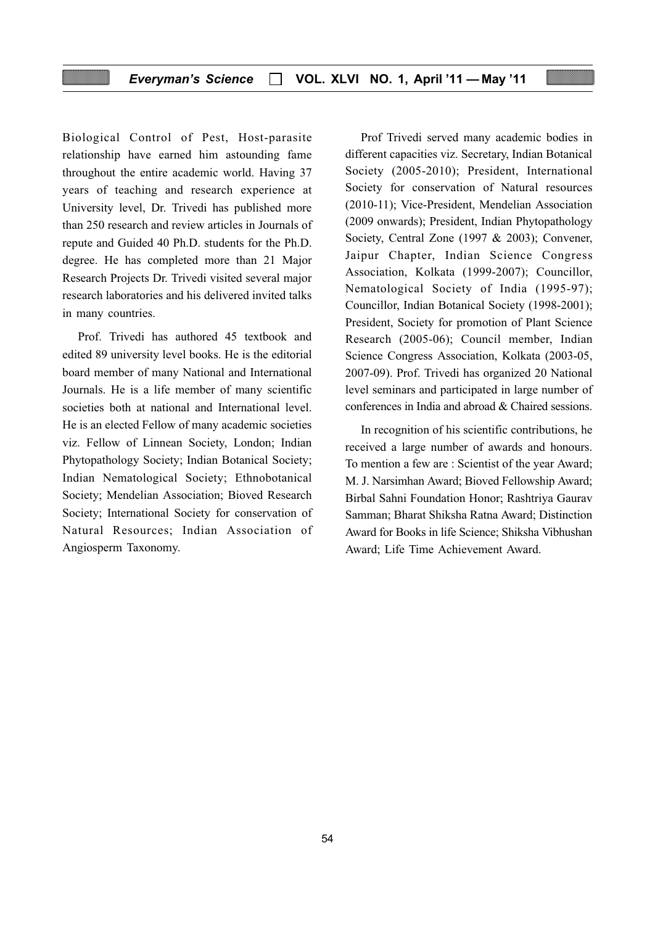#### Everyman's Science  $\Box$  VOL. XLVI NO. 1, April '11 — May '11

Biological Control of Pest, Host-parasite relationship have earned him astounding fame throughout the entire academic world. Having 37 years of teaching and research experience at University level, Dr. Trivedi has published more than 250 research and review articles in Journals of repute and Guided 40 Ph.D. students for the Ph.D. degree. He has completed more than 21 Major Research Projects Dr. Trivedi visited several major research laboratories and his delivered invited talks in many countries.

Prof. Trivedi has authored 45 textbook and edited 89 university level books. He is the editorial board member of many National and International Journals. He is a life member of many scientific societies both at national and International level. He is an elected Fellow of many academic societies viz. Fellow of Linnean Society, London; Indian Phytopathology Society; Indian Botanical Society; Indian Nematological Society; Ethnobotanical Society; Mendelian Association; Bioved Research Society; International Society for conservation of Natural Resources; Indian Association of Angiosperm Taxonomy.

Prof Trivedi served many academic bodies in different capacities viz. Secretary, Indian Botanical Society (2005-2010); President, International Society for conservation of Natural resources (2010-11); Vice-President, Mendelian Association (2009 onwards); President, Indian Phytopathology Society, Central Zone (1997 & 2003); Convener, Jaipur Chapter, Indian Science Congress Association, Kolkata (1999-2007); Councillor, Nematological Society of India (1995-97); Councillor, Indian Botanical Society (1998-2001); President, Society for promotion of Plant Science Research (2005-06); Council member, Indian Science Congress Association, Kolkata (2003-05, 2007-09). Prof. Trivedi has organized 20 National level seminars and participated in large number of conferences in India and abroad & Chaired sessions.

In recognition of his scientific contributions, he received a large number of awards and honours. To mention a few are : Scientist of the year Award; M. J. Narsimhan Award; Bioved Fellowship Award; Birbal Sahni Foundation Honor; Rashtriya Gaurav Samman; Bharat Shiksha Ratna Award; Distinction Award for Books in life Science; Shiksha Vibhushan Award; Life Time Achievement Award.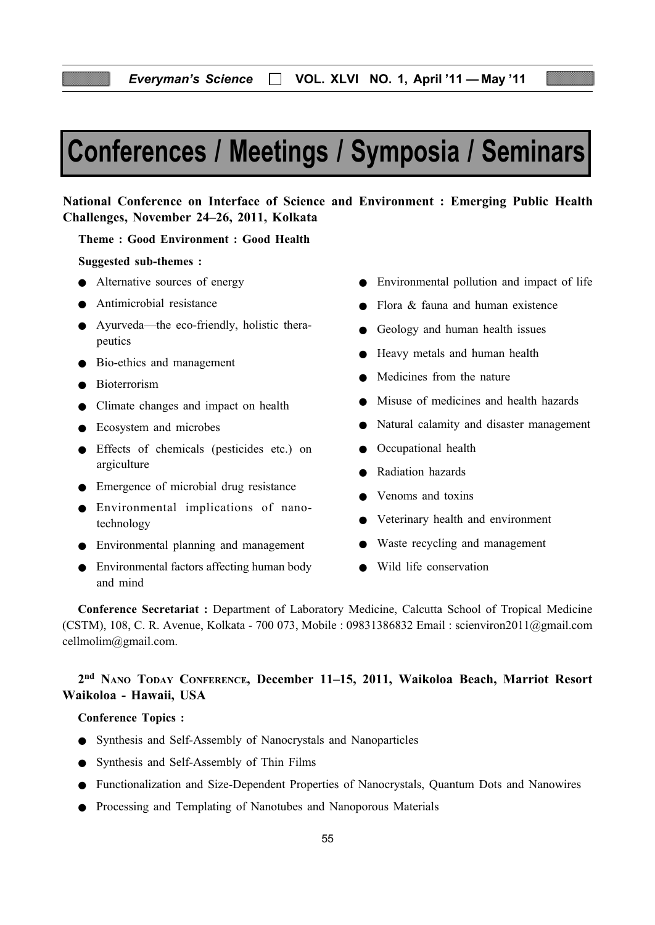# Conferences / Meetings / Symposia / Seminars

# National Conference on Interface of Science and Environment : Emerging Public Health Challenges, November 24–26, 2011, Kolkata

Theme : Good Environment : Good Health

#### Suggested sub-themes :

- Alternative sources of energy
- Antimicrobial resistance
- Ayurveda—the eco-friendly, holistic therapeutics
- Bio-ethics and management
- Bioterrorism
- Climate changes and impact on health
- Ecosystem and microbes
- Effects of chemicals (pesticides etc.) on argiculture
- Emergence of microbial drug resistance
- Environmental implications of nanotechnology
- Environmental planning and management
- Environmental factors affecting human body and mind
- Environmental pollution and impact of life
- $\bullet$  Flora  $\&$  fauna and human existence
- Geology and human health issues
- Heavy metals and human health
- Medicines from the nature
- Misuse of medicines and health hazards
- Natural calamity and disaster management
- Occupational health
- Radiation hazards
- Venoms and toxins
- Veterinary health and environment
- Waste recycling and management
- Wild life conservation

Conference Secretariat : Department of Laboratory Medicine, Calcutta School of Tropical Medicine (CSTM), 108, C. R. Avenue, Kolkata - 700 073, Mobile : 09831386832 Email : scienviron2011@gmail.com cellmolim@gmail.com.

# 2nd NANO TODAY CONFERENCE, December 11–15, 2011, Waikoloa Beach, Marriot Resort Waikoloa - Hawaii, USA

#### Conference Topics :

- Synthesis and Self-Assembly of Nanocrystals and Nanoparticles
- Synthesis and Self-Assembly of Thin Films
- Functionalization and Size-Dependent Properties of Nanocrystals, Quantum Dots and Nanowires
- Processing and Templating of Nanotubes and Nanoporous Materials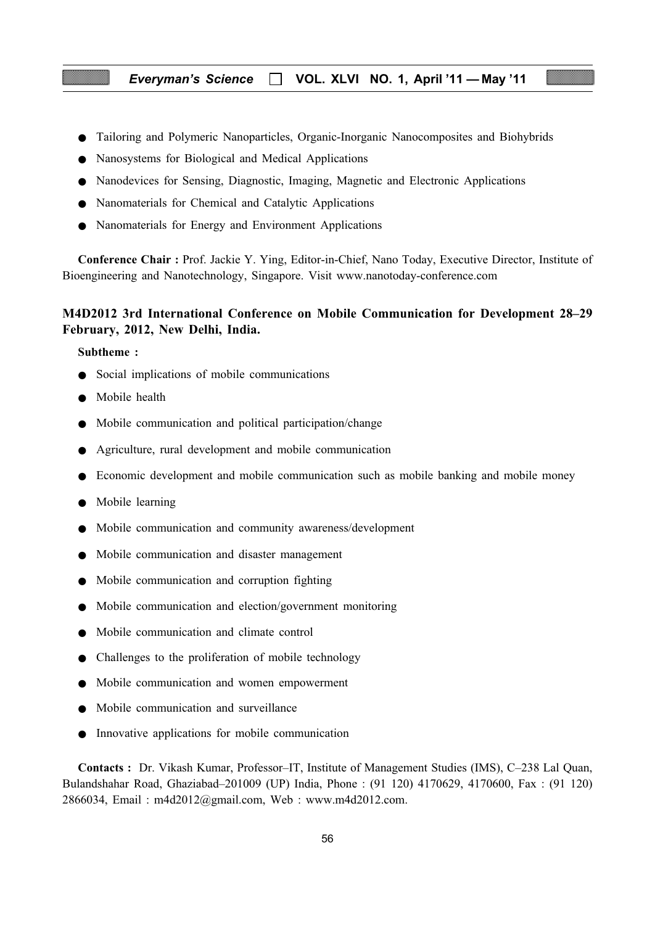#### Everyman's Science  $\Box$  VOL. XLVI NO. 1, April '11 — May '11

- Tailoring and Polymeric Nanoparticles, Organic-Inorganic Nanocomposites and Biohybrids
- Nanosystems for Biological and Medical Applications
- Nanodevices for Sensing, Diagnostic, Imaging, Magnetic and Electronic Applications
- Nanomaterials for Chemical and Catalytic Applications
- Nanomaterials for Energy and Environment Applications

Conference Chair : Prof. Jackie Y. Ying, Editor-in-Chief, Nano Today, Executive Director, Institute of Bioengineering and Nanotechnology, Singapore. Visit www.nanotoday-conference.com

# M4D2012 3rd International Conference on Mobile Communication for Development 28–29 February, 2012, New Delhi, India.

#### Subtheme :

- Social implications of mobile communications
- Mobile health
- Mobile communication and political participation/change
- Agriculture, rural development and mobile communication
- Economic development and mobile communication such as mobile banking and mobile money
- Mobile learning
- Mobile communication and community awareness/development
- Mobile communication and disaster management
- Mobile communication and corruption fighting
- Mobile communication and election/government monitoring
- Mobile communication and climate control
- Challenges to the proliferation of mobile technology
- Mobile communication and women empowerment
- Mobile communication and surveillance
- Innovative applications for mobile communication

Contacts : Dr. Vikash Kumar, Professor–IT, Institute of Management Studies (IMS), C–238 Lal Quan, Bulandshahar Road, Ghaziabad–201009 (UP) India, Phone : (91 120) 4170629, 4170600, Fax : (91 120) 2866034, Email : m4d2012@gmail.com, Web : www.m4d2012.com.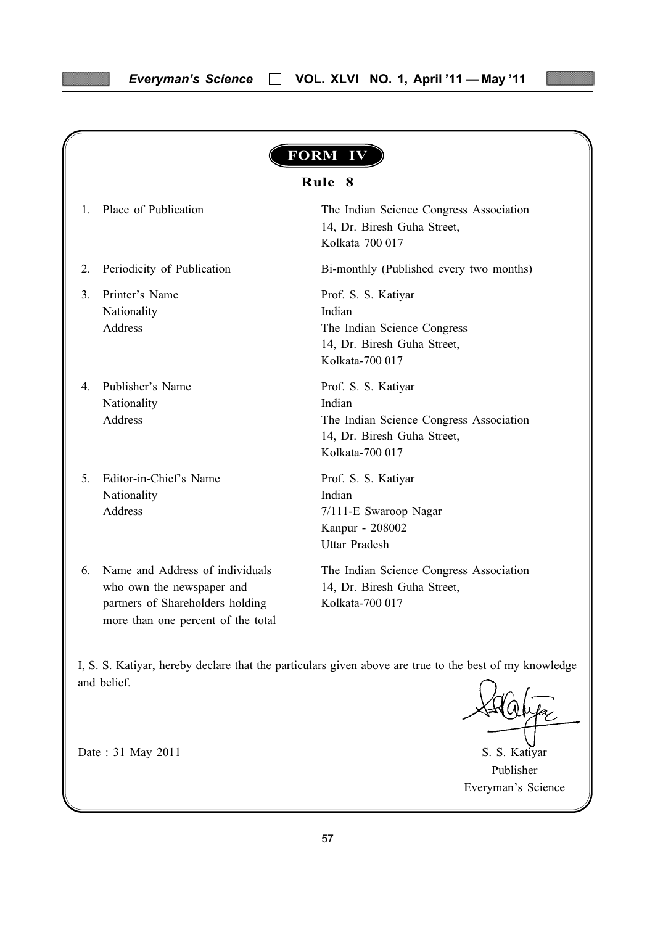| Rule 8                                                                                                                                 |                                                                                                                            |  |
|----------------------------------------------------------------------------------------------------------------------------------------|----------------------------------------------------------------------------------------------------------------------------|--|
| Place of Publication                                                                                                                   | The Indian Science Congress Association<br>14, Dr. Biresh Guha Street,<br>Kolkata 700 017                                  |  |
| Periodicity of Publication                                                                                                             | Bi-monthly (Published every two months)                                                                                    |  |
| Printer's Name<br>Nationality<br>Address                                                                                               | Prof. S. S. Katiyar<br>Indian<br>The Indian Science Congress<br>14, Dr. Biresh Guha Street,<br>Kolkata-700 017             |  |
| Publisher's Name<br>Nationality<br>Address                                                                                             | Prof. S. S. Katiyar<br>Indian<br>The Indian Science Congress Association<br>14, Dr. Biresh Guha Street,<br>Kolkata-700 017 |  |
| Editor-in-Chief's Name<br>Nationality<br><b>Address</b>                                                                                | Prof. S. S. Katiyar<br>Indian<br>7/111-E Swaroop Nagar<br>Kanpur - 208002<br><b>Uttar Pradesh</b>                          |  |
| Name and Address of individuals<br>who own the newspaper and<br>partners of Shareholders holding<br>more than one percent of the total | The Indian Science Congress Association<br>14, Dr. Biresh Guha Street,<br>Kolkata-700 017                                  |  |

I, S. S. Katiyar, hereby declare that the particulars given above are true to the best of my knowledge and belief.

Publisher Everyman's Science

Date : 31 May 2011 S. S. Katiyar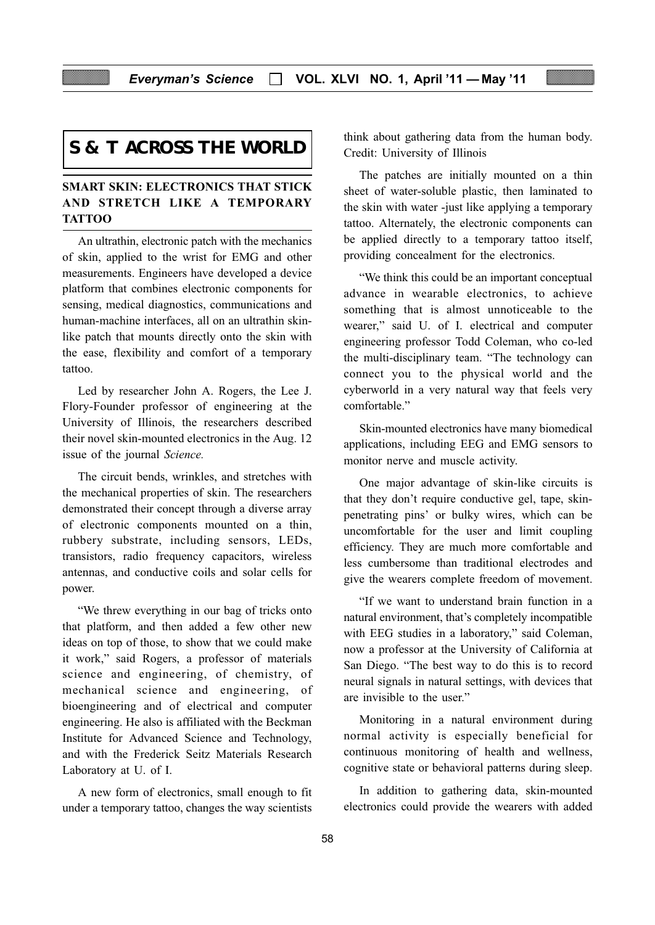# **S & T ACROSS THE WORLD**

# SMART SKIN: ELECTRONICS THAT STICK AND STRETCH LIKE A TEMPORARY **TATTOO**

An ultrathin, electronic patch with the mechanics of skin, applied to the wrist for EMG and other measurements. Engineers have developed a device platform that combines electronic components for sensing, medical diagnostics, communications and human-machine interfaces, all on an ultrathin skinlike patch that mounts directly onto the skin with the ease, flexibility and comfort of a temporary tattoo.

Led by researcher John A. Rogers, the Lee J. Flory-Founder professor of engineering at the University of Illinois, the researchers described their novel skin-mounted electronics in the Aug. 12 issue of the journal Science.

The circuit bends, wrinkles, and stretches with the mechanical properties of skin. The researchers demonstrated their concept through a diverse array of electronic components mounted on a thin, rubbery substrate, including sensors, LEDs, transistors, radio frequency capacitors, wireless antennas, and conductive coils and solar cells for power.

"We threw everything in our bag of tricks onto that platform, and then added a few other new ideas on top of those, to show that we could make it work," said Rogers, a professor of materials science and engineering, of chemistry, of mechanical science and engineering, of bioengineering and of electrical and computer engineering. He also is affiliated with the Beckman Institute for Advanced Science and Technology, and with the Frederick Seitz Materials Research Laboratory at U. of I.

A new form of electronics, small enough to fit under a temporary tattoo, changes the way scientists

think about gathering data from the human body. Credit: University of Illinois

The patches are initially mounted on a thin sheet of water-soluble plastic, then laminated to the skin with water -just like applying a temporary tattoo. Alternately, the electronic components can be applied directly to a temporary tattoo itself, providing concealment for the electronics.

"We think this could be an important conceptual advance in wearable electronics, to achieve something that is almost unnoticeable to the wearer," said U. of I. electrical and computer engineering professor Todd Coleman, who co-led the multi-disciplinary team. "The technology can connect you to the physical world and the cyberworld in a very natural way that feels very comfortable."

Skin-mounted electronics have many biomedical applications, including EEG and EMG sensors to monitor nerve and muscle activity.

One major advantage of skin-like circuits is that they don't require conductive gel, tape, skinpenetrating pins' or bulky wires, which can be uncomfortable for the user and limit coupling efficiency. They are much more comfortable and less cumbersome than traditional electrodes and give the wearers complete freedom of movement.

"If we want to understand brain function in a natural environment, that's completely incompatible with EEG studies in a laboratory," said Coleman, now a professor at the University of California at San Diego. "The best way to do this is to record neural signals in natural settings, with devices that are invisible to the user."

Monitoring in a natural environment during normal activity is especially beneficial for continuous monitoring of health and wellness, cognitive state or behavioral patterns during sleep.

In addition to gathering data, skin-mounted electronics could provide the wearers with added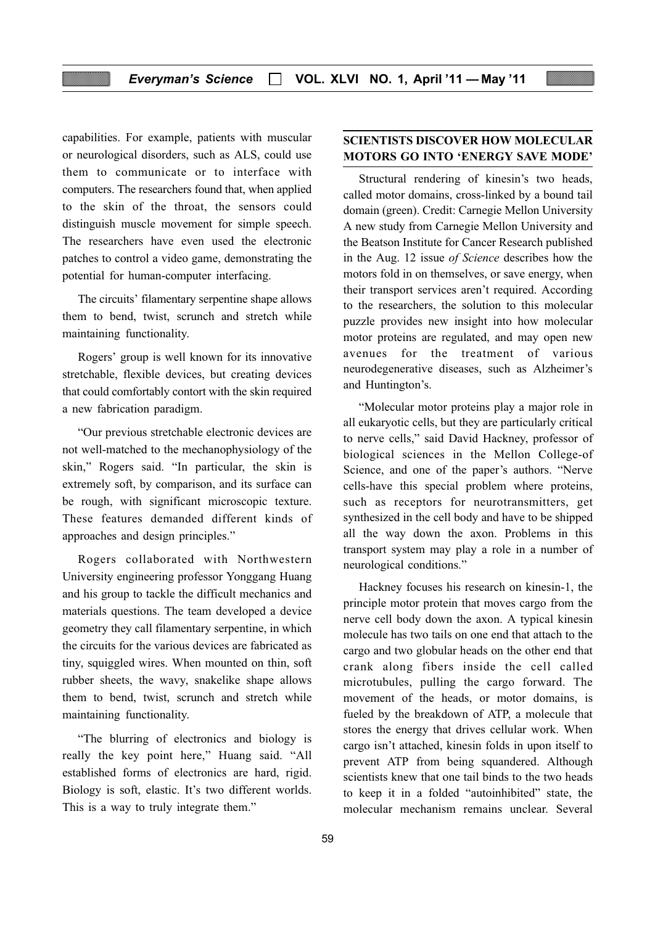capabilities. For example, patients with muscular or neurological disorders, such as ALS, could use them to communicate or to interface with computers. The researchers found that, when applied to the skin of the throat, the sensors could distinguish muscle movement for simple speech. The researchers have even used the electronic patches to control a video game, demonstrating the potential for human-computer interfacing.

The circuits' filamentary serpentine shape allows them to bend, twist, scrunch and stretch while maintaining functionality.

Rogers' group is well known for its innovative stretchable, flexible devices, but creating devices that could comfortably contort with the skin required a new fabrication paradigm.

"Our previous stretchable electronic devices are not well-matched to the mechanophysiology of the skin," Rogers said. "In particular, the skin is extremely soft, by comparison, and its surface can be rough, with significant microscopic texture. These features demanded different kinds of approaches and design principles."

Rogers collaborated with Northwestern University engineering professor Yonggang Huang and his group to tackle the difficult mechanics and materials questions. The team developed a device geometry they call filamentary serpentine, in which the circuits for the various devices are fabricated as tiny, squiggled wires. When mounted on thin, soft rubber sheets, the wavy, snakelike shape allows them to bend, twist, scrunch and stretch while maintaining functionality.

"The blurring of electronics and biology is really the key point here," Huang said. "All established forms of electronics are hard, rigid. Biology is soft, elastic. It's two different worlds. This is a way to truly integrate them."

# SCIENTISTS DISCOVER HOW MOLECULAR MOTORS GO INTO 'ENERGY SAVE MODE'

Structural rendering of kinesin's two heads, called motor domains, cross-linked by a bound tail domain (green). Credit: Carnegie Mellon University A new study from Carnegie Mellon University and the Beatson Institute for Cancer Research published in the Aug. 12 issue of Science describes how the motors fold in on themselves, or save energy, when their transport services aren't required. According to the researchers, the solution to this molecular puzzle provides new insight into how molecular motor proteins are regulated, and may open new avenues for the treatment of various neurodegenerative diseases, such as Alzheimer's and Huntington's.

"Molecular motor proteins play a major role in all eukaryotic cells, but they are particularly critical to nerve cells," said David Hackney, professor of biological sciences in the Mellon College-of Science, and one of the paper's authors. "Nerve cells-have this special problem where proteins, such as receptors for neurotransmitters, get synthesized in the cell body and have to be shipped all the way down the axon. Problems in this transport system may play a role in a number of neurological conditions."

Hackney focuses his research on kinesin-1, the principle motor protein that moves cargo from the nerve cell body down the axon. A typical kinesin molecule has two tails on one end that attach to the cargo and two globular heads on the other end that crank along fibers inside the cell called microtubules, pulling the cargo forward. The movement of the heads, or motor domains, is fueled by the breakdown of ATP, a molecule that stores the energy that drives cellular work. When cargo isn't attached, kinesin folds in upon itself to prevent ATP from being squandered. Although scientists knew that one tail binds to the two heads to keep it in a folded "autoinhibited" state, the molecular mechanism remains unclear. Several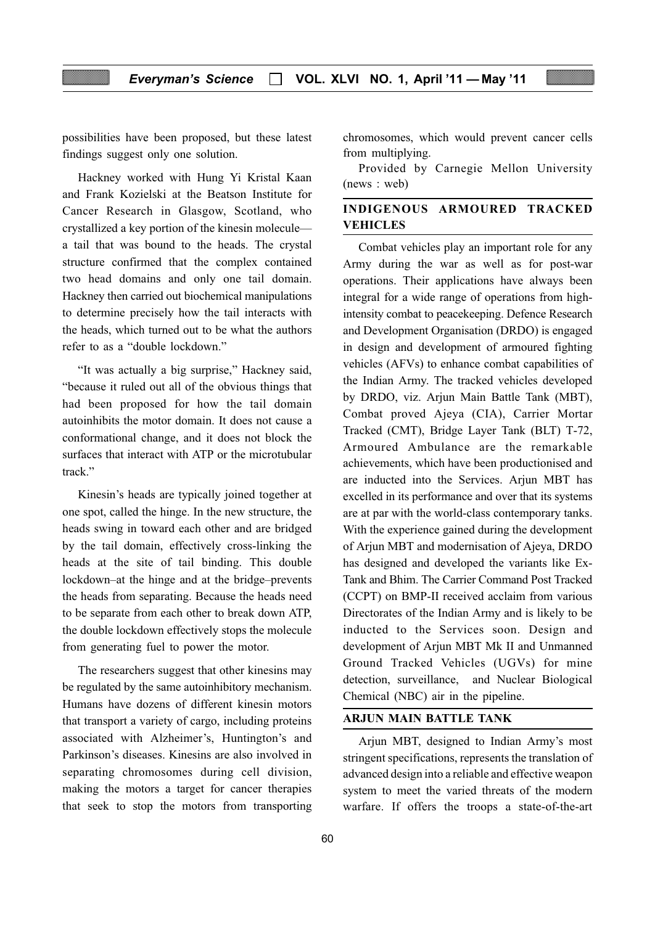possibilities have been proposed, but these latest findings suggest only one solution.

Hackney worked with Hung Yi Kristal Kaan and Frank Kozielski at the Beatson Institute for Cancer Research in Glasgow, Scotland, who crystallized a key portion of the kinesin molecule a tail that was bound to the heads. The crystal structure confirmed that the complex contained two head domains and only one tail domain. Hackney then carried out biochemical manipulations to determine precisely how the tail interacts with the heads, which turned out to be what the authors refer to as a "double lockdown."

"It was actually a big surprise," Hackney said, "because it ruled out all of the obvious things that had been proposed for how the tail domain autoinhibits the motor domain. It does not cause a conformational change, and it does not block the surfaces that interact with ATP or the microtubular track."

Kinesin's heads are typically joined together at one spot, called the hinge. In the new structure, the heads swing in toward each other and are bridged by the tail domain, effectively cross-linking the heads at the site of tail binding. This double lockdown–at the hinge and at the bridge–prevents the heads from separating. Because the heads need to be separate from each other to break down ATP, the double lockdown effectively stops the molecule from generating fuel to power the motor.

The researchers suggest that other kinesins may be regulated by the same autoinhibitory mechanism. Humans have dozens of different kinesin motors that transport a variety of cargo, including proteins associated with Alzheimer's, Huntington's and Parkinson's diseases. Kinesins are also involved in separating chromosomes during cell division, making the motors a target for cancer therapies that seek to stop the motors from transporting

chromosomes, which would prevent cancer cells from multiplying.

Provided by Carnegie Mellon University (news : web)

# INDIGENOUS ARMOURED TRACKED VEHICLES

Combat vehicles play an important role for any Army during the war as well as for post-war operations. Their applications have always been integral for a wide range of operations from highintensity combat to peacekeeping. Defence Research and Development Organisation (DRDO) is engaged in design and development of armoured fighting vehicles (AFVs) to enhance combat capabilities of the Indian Army. The tracked vehicles developed by DRDO, viz. Arjun Main Battle Tank (MBT), Combat proved Ajeya (CIA), Carrier Mortar Tracked (CMT), Bridge Layer Tank (BLT) T-72, Armoured Ambulance are the remarkable achievements, which have been productionised and are inducted into the Services. Arjun MBT has excelled in its performance and over that its systems are at par with the world-class contemporary tanks. With the experience gained during the development of Arjun MBT and modernisation of Ajeya, DRDO has designed and developed the variants like Ex-Tank and Bhim. The Carrier Command Post Tracked (CCPT) on BMP-II received acclaim from various Directorates of the Indian Army and is likely to be inducted to the Services soon. Design and development of Arjun MBT Mk II and Unmanned Ground Tracked Vehicles (UGVs) for mine detection, surveillance, and Nuclear Biological Chemical (NBC) air in the pipeline.

#### ARJUN MAIN BATTLE TANK

Arjun MBT, designed to Indian Army's most stringent specifications, represents the translation of advanced design into a reliable and effective weapon system to meet the varied threats of the modern warfare. If offers the troops a state-of-the-art